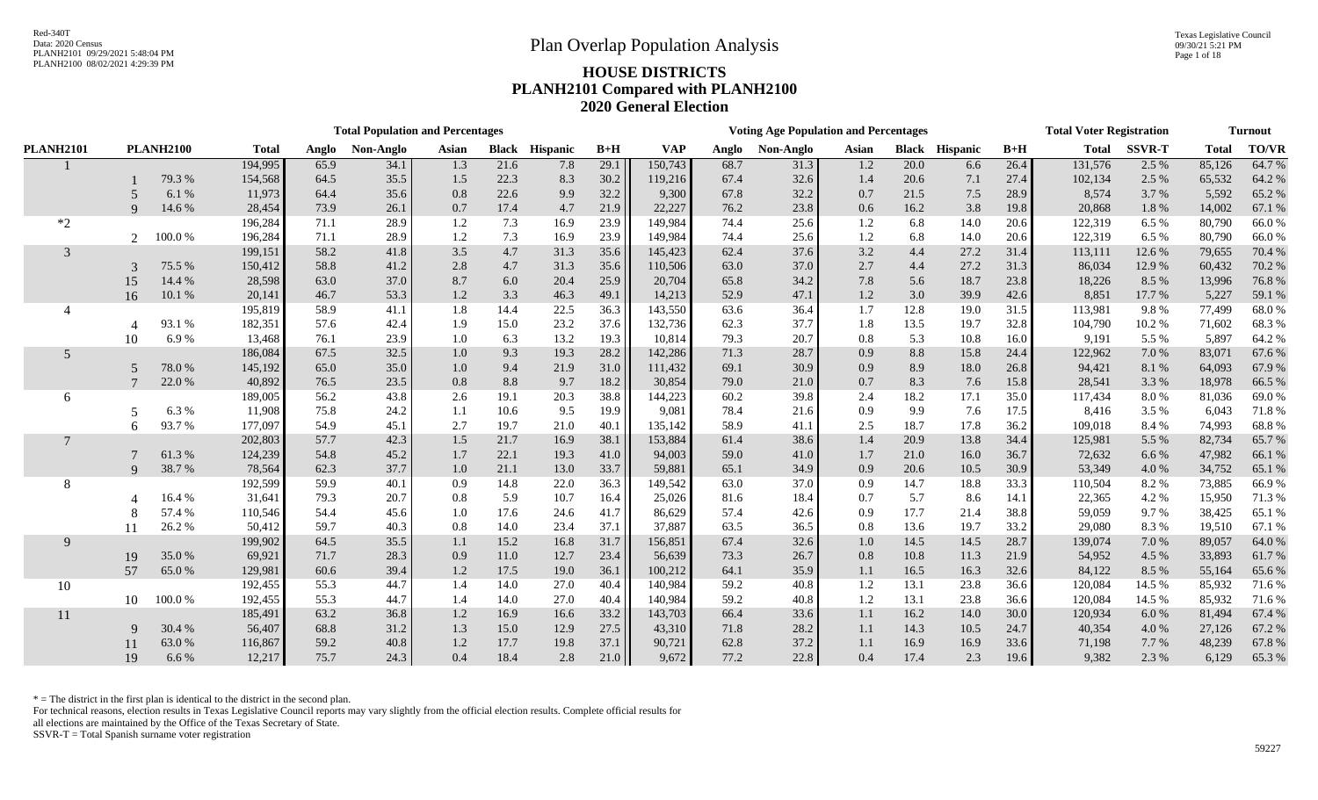Texas Legislative Council 09/30/21 5:21 PM Page 1 of 18

# PLANH2100 08/02/2021 4:29:39 PM **HOUSE DISTRICTS PLANH2101 Compared with PLANH2100 2020 General Election**

| <b>TO/VR</b><br><b>PLANH2100</b><br><b>VAP</b><br><b>SSVR-T</b><br><b>Total</b><br><b>PLANH2101</b><br><b>Total</b><br>Non-Anglo<br><b>Black Hispanic</b><br>$B+H$<br>$B+H$<br><b>Total</b><br>Non-Anglo<br>Asian<br><b>Black Hispanic</b><br>Anglo<br>Asian<br>Anglo<br>64.7%<br>194,995<br>21.6<br>29.1<br>150,743<br>68.7<br>20.0<br>26.4<br>131,576<br>2.5 %<br>85,126<br>65.9<br>34.1<br>1.3<br>7.8<br>31.3<br>1.2<br>6.6<br>154,568<br>$30.2\,$<br>64.2 %<br>79.3 %<br>35.5<br>22.3<br>8.3<br>119,216<br>67.4<br>32.6<br>102,134<br>65,532<br>64.5<br>1.5<br>1.4<br>20.6<br>7.1<br>27.4<br>2.5 %<br>6.1%<br>32.2<br>9,300<br>67.8<br>32.2<br>8,574<br>5,592<br>65.2%<br>11,973<br>64.4<br>35.6<br>0.8<br>22.6<br>9.9<br>21.5<br>7.5<br>3.7 %<br>0.7<br>28.9<br>$\sim$<br>23.8<br>14.6 %<br>73.9<br>26.1<br>4.7<br>22,227<br>76.2<br>3.8<br>20,868<br>14,002<br>67.1 %<br>28,454<br>0.7<br>17.4<br>21.9<br>0.6<br>16.2<br>19.8<br>1.8 %<br>$\mathbf{Q}$<br>80,790<br>66.0%<br>$*2$<br>196,284<br>71.1<br>28.9<br>7.3<br>16.9<br>23.9<br>149,984<br>74.4<br>25.6<br>14.0<br>122,319<br>1.2<br>1.2<br>6.8<br>20.6<br>6.5 %<br>100.0%<br>196,284<br>71.1<br>28.9<br>23.9<br>74.4<br>122,319<br>80,790<br>66.0%<br>1.2<br>7.3<br>16.9<br>149,984<br>25.6<br>1.2<br>6.8<br>14.0<br>6.5 %<br>$\overline{2}$<br>20.6<br>70.4 %<br>58.2<br>41.8<br>3.5<br>4.7<br>31.3<br>35.6<br>62.4<br>37.6<br>3.2<br>4.4<br>27.2<br>113,111<br>79,655<br>3<br>199,151<br>145,423<br>31.4<br>12.6 %<br>58.8<br>2.8<br>37.0<br>2.7<br>27.2<br>86,034<br>60,432<br>70.2 %<br>75.5 %<br>150,412<br>41.2<br>4.7<br>31.3<br>35.6<br>110,506<br>63.0<br>12.9 %<br>4.4<br>31.3<br>$\mathcal{R}$<br>76.8%<br>14.4 %<br>28,598<br>37.0<br>25.9<br>20,704<br>65.8<br>34.2<br>7.8<br>18,226<br>13,996<br>15<br>63.0<br>8.7<br>6.0<br>20.4<br>5.6<br>18.7<br>23.8<br>8.5 %<br>47.1<br>59.1 %<br>16<br>10.1 %<br>20,141<br>46.7<br>53.3<br>3.3<br>46.3<br>49.1<br>14,213<br>52.9<br>1.2<br>3.0<br>39.9<br>8,851<br>17.7 %<br>5,227<br>1.2<br>42.6<br>22.5<br>36.3<br>36.4<br>12.8<br>77,499<br>68.0%<br>195,819<br>58.9<br>41.1<br>1.8<br>14.4<br>143,550<br>63.6<br>1.7<br>19.0<br>113,981<br>9.8%<br>31.5<br>93.1 %<br>37.7<br>68.3%<br>182,351<br>57.6<br>42.4<br>23.2<br>37.6<br>132,736<br>62.3<br>13.5<br>19.7<br>104,790<br>10.2%<br>71,602<br>1.9<br>15.0<br>1.8<br>32.8<br>6.9%<br>79.3<br>20.7<br>5,897<br>64.2%<br>13,468<br>76.1<br>23.9<br>6.3<br>13.2<br>19.3<br>10,814<br>10.8<br>9,191<br>5.5 %<br>10<br>1.0<br>0.8<br>5.3<br>16.0<br>67.6%<br>67.5<br>32.5<br>9.3<br>19.3<br>28.2<br>71.3<br>28.7<br>$8.8\,$<br>15.8<br>83,071<br>5<br>186,084<br>1.0<br>142,286<br>0.9<br>24.4<br>122,962<br>7.0 %<br>78.0%<br>30.9<br>94,421<br>64,093<br>67.9%<br>145,192<br>65.0<br>35.0<br>21.9<br>31.0<br>111,432<br>69.1<br>0.9<br>8.9<br>18.0<br>8.1 %<br>1.0<br>9.4<br>26.8<br>66.5%<br>22.0%<br>23.5<br>79.0<br>28,541<br>40,892<br>76.5<br>0.8<br>8.8<br>9.7<br>18.2<br>30,854<br>21.0<br>0.7<br>8.3<br>7.6<br>3.3 %<br>18,978<br>15.8<br>69.0%<br>189,005<br>56.2<br>43.8<br>20.3<br>38.8<br>144,223<br>60.2<br>39.8<br>18.2<br>17.1<br>117,434<br>8.0%<br>81,036<br>2.6<br>19.1<br>2.4<br>35.0<br>6<br>11,908<br>9.5<br>78.4<br>8,416<br>6,043<br>71.8%<br>6.3%<br>75.8<br>24.2<br>10.6<br>19.9<br>9,081<br>21.6<br>0.9<br>9.9<br>7.6<br>17.5<br>3.5 %<br>1.1<br>-5<br>93.7%<br>68.8%<br>177,097<br>54.9<br>45.1<br>2.7<br>19.7<br>21.0<br>135,142<br>58.9<br>41.1<br>2.5<br>18.7<br>17.8<br>109,018<br>8.4 %<br>74,993<br>40.1<br>36.2<br>6<br>65.7%<br>57.7<br>38.1<br>20.9<br>13.8<br>82,734<br>202,803<br>42.3<br>1.5<br>21.7<br>16.9<br>153,884<br>61.4<br>38.6<br>1.4<br>34.4<br>125,981<br>5.5 %<br>$\overline{7}$<br>66.1 %<br>61.3%<br>124,239<br>54.8<br>45.2<br>22.1<br>19.3<br>59.0<br>16.0<br>72,632<br>47,982<br>1.7<br>41.0<br>94,003<br>41.0<br>1.7<br>21.0<br>36.7<br>6.6 %<br>38.7%<br>65.1 %<br>$\mathbf{Q}$<br>78,564<br>62.3<br>37.7<br>13.0<br>33.7<br>65.1<br>34.9<br>0.9<br>10.5<br>53,349<br>4.0%<br>34,752<br>1.0<br>21.1<br>59,881<br>20.6<br>30.9 |
|---------------------------------------------------------------------------------------------------------------------------------------------------------------------------------------------------------------------------------------------------------------------------------------------------------------------------------------------------------------------------------------------------------------------------------------------------------------------------------------------------------------------------------------------------------------------------------------------------------------------------------------------------------------------------------------------------------------------------------------------------------------------------------------------------------------------------------------------------------------------------------------------------------------------------------------------------------------------------------------------------------------------------------------------------------------------------------------------------------------------------------------------------------------------------------------------------------------------------------------------------------------------------------------------------------------------------------------------------------------------------------------------------------------------------------------------------------------------------------------------------------------------------------------------------------------------------------------------------------------------------------------------------------------------------------------------------------------------------------------------------------------------------------------------------------------------------------------------------------------------------------------------------------------------------------------------------------------------------------------------------------------------------------------------------------------------------------------------------------------------------------------------------------------------------------------------------------------------------------------------------------------------------------------------------------------------------------------------------------------------------------------------------------------------------------------------------------------------------------------------------------------------------------------------------------------------------------------------------------------------------------------------------------------------------------------------------------------------------------------------------------------------------------------------------------------------------------------------------------------------------------------------------------------------------------------------------------------------------------------------------------------------------------------------------------------------------------------------------------------------------------------------------------------------------------------------------------------------------------------------------------------------------------------------------------------------------------------------------------------------------------------------------------------------------------------------------------------------------------------------------------------------------------------------------------------------------------------------------------------------------------------------------------------------------------------------------------------------------------------------------------------------------------------------------------------------------------------------------------------------------------------------------------------------------------------------------------------------------------------------------------------------------------------------------------------|
|                                                                                                                                                                                                                                                                                                                                                                                                                                                                                                                                                                                                                                                                                                                                                                                                                                                                                                                                                                                                                                                                                                                                                                                                                                                                                                                                                                                                                                                                                                                                                                                                                                                                                                                                                                                                                                                                                                                                                                                                                                                                                                                                                                                                                                                                                                                                                                                                                                                                                                                                                                                                                                                                                                                                                                                                                                                                                                                                                                                                                                                                                                                                                                                                                                                                                                                                                                                                                                                                                                                                                                                                                                                                                                                                                                                                                                                                                                                                                                                                                                                               |
|                                                                                                                                                                                                                                                                                                                                                                                                                                                                                                                                                                                                                                                                                                                                                                                                                                                                                                                                                                                                                                                                                                                                                                                                                                                                                                                                                                                                                                                                                                                                                                                                                                                                                                                                                                                                                                                                                                                                                                                                                                                                                                                                                                                                                                                                                                                                                                                                                                                                                                                                                                                                                                                                                                                                                                                                                                                                                                                                                                                                                                                                                                                                                                                                                                                                                                                                                                                                                                                                                                                                                                                                                                                                                                                                                                                                                                                                                                                                                                                                                                                               |
|                                                                                                                                                                                                                                                                                                                                                                                                                                                                                                                                                                                                                                                                                                                                                                                                                                                                                                                                                                                                                                                                                                                                                                                                                                                                                                                                                                                                                                                                                                                                                                                                                                                                                                                                                                                                                                                                                                                                                                                                                                                                                                                                                                                                                                                                                                                                                                                                                                                                                                                                                                                                                                                                                                                                                                                                                                                                                                                                                                                                                                                                                                                                                                                                                                                                                                                                                                                                                                                                                                                                                                                                                                                                                                                                                                                                                                                                                                                                                                                                                                                               |
|                                                                                                                                                                                                                                                                                                                                                                                                                                                                                                                                                                                                                                                                                                                                                                                                                                                                                                                                                                                                                                                                                                                                                                                                                                                                                                                                                                                                                                                                                                                                                                                                                                                                                                                                                                                                                                                                                                                                                                                                                                                                                                                                                                                                                                                                                                                                                                                                                                                                                                                                                                                                                                                                                                                                                                                                                                                                                                                                                                                                                                                                                                                                                                                                                                                                                                                                                                                                                                                                                                                                                                                                                                                                                                                                                                                                                                                                                                                                                                                                                                                               |
|                                                                                                                                                                                                                                                                                                                                                                                                                                                                                                                                                                                                                                                                                                                                                                                                                                                                                                                                                                                                                                                                                                                                                                                                                                                                                                                                                                                                                                                                                                                                                                                                                                                                                                                                                                                                                                                                                                                                                                                                                                                                                                                                                                                                                                                                                                                                                                                                                                                                                                                                                                                                                                                                                                                                                                                                                                                                                                                                                                                                                                                                                                                                                                                                                                                                                                                                                                                                                                                                                                                                                                                                                                                                                                                                                                                                                                                                                                                                                                                                                                                               |
|                                                                                                                                                                                                                                                                                                                                                                                                                                                                                                                                                                                                                                                                                                                                                                                                                                                                                                                                                                                                                                                                                                                                                                                                                                                                                                                                                                                                                                                                                                                                                                                                                                                                                                                                                                                                                                                                                                                                                                                                                                                                                                                                                                                                                                                                                                                                                                                                                                                                                                                                                                                                                                                                                                                                                                                                                                                                                                                                                                                                                                                                                                                                                                                                                                                                                                                                                                                                                                                                                                                                                                                                                                                                                                                                                                                                                                                                                                                                                                                                                                                               |
|                                                                                                                                                                                                                                                                                                                                                                                                                                                                                                                                                                                                                                                                                                                                                                                                                                                                                                                                                                                                                                                                                                                                                                                                                                                                                                                                                                                                                                                                                                                                                                                                                                                                                                                                                                                                                                                                                                                                                                                                                                                                                                                                                                                                                                                                                                                                                                                                                                                                                                                                                                                                                                                                                                                                                                                                                                                                                                                                                                                                                                                                                                                                                                                                                                                                                                                                                                                                                                                                                                                                                                                                                                                                                                                                                                                                                                                                                                                                                                                                                                                               |
|                                                                                                                                                                                                                                                                                                                                                                                                                                                                                                                                                                                                                                                                                                                                                                                                                                                                                                                                                                                                                                                                                                                                                                                                                                                                                                                                                                                                                                                                                                                                                                                                                                                                                                                                                                                                                                                                                                                                                                                                                                                                                                                                                                                                                                                                                                                                                                                                                                                                                                                                                                                                                                                                                                                                                                                                                                                                                                                                                                                                                                                                                                                                                                                                                                                                                                                                                                                                                                                                                                                                                                                                                                                                                                                                                                                                                                                                                                                                                                                                                                                               |
|                                                                                                                                                                                                                                                                                                                                                                                                                                                                                                                                                                                                                                                                                                                                                                                                                                                                                                                                                                                                                                                                                                                                                                                                                                                                                                                                                                                                                                                                                                                                                                                                                                                                                                                                                                                                                                                                                                                                                                                                                                                                                                                                                                                                                                                                                                                                                                                                                                                                                                                                                                                                                                                                                                                                                                                                                                                                                                                                                                                                                                                                                                                                                                                                                                                                                                                                                                                                                                                                                                                                                                                                                                                                                                                                                                                                                                                                                                                                                                                                                                                               |
|                                                                                                                                                                                                                                                                                                                                                                                                                                                                                                                                                                                                                                                                                                                                                                                                                                                                                                                                                                                                                                                                                                                                                                                                                                                                                                                                                                                                                                                                                                                                                                                                                                                                                                                                                                                                                                                                                                                                                                                                                                                                                                                                                                                                                                                                                                                                                                                                                                                                                                                                                                                                                                                                                                                                                                                                                                                                                                                                                                                                                                                                                                                                                                                                                                                                                                                                                                                                                                                                                                                                                                                                                                                                                                                                                                                                                                                                                                                                                                                                                                                               |
|                                                                                                                                                                                                                                                                                                                                                                                                                                                                                                                                                                                                                                                                                                                                                                                                                                                                                                                                                                                                                                                                                                                                                                                                                                                                                                                                                                                                                                                                                                                                                                                                                                                                                                                                                                                                                                                                                                                                                                                                                                                                                                                                                                                                                                                                                                                                                                                                                                                                                                                                                                                                                                                                                                                                                                                                                                                                                                                                                                                                                                                                                                                                                                                                                                                                                                                                                                                                                                                                                                                                                                                                                                                                                                                                                                                                                                                                                                                                                                                                                                                               |
|                                                                                                                                                                                                                                                                                                                                                                                                                                                                                                                                                                                                                                                                                                                                                                                                                                                                                                                                                                                                                                                                                                                                                                                                                                                                                                                                                                                                                                                                                                                                                                                                                                                                                                                                                                                                                                                                                                                                                                                                                                                                                                                                                                                                                                                                                                                                                                                                                                                                                                                                                                                                                                                                                                                                                                                                                                                                                                                                                                                                                                                                                                                                                                                                                                                                                                                                                                                                                                                                                                                                                                                                                                                                                                                                                                                                                                                                                                                                                                                                                                                               |
|                                                                                                                                                                                                                                                                                                                                                                                                                                                                                                                                                                                                                                                                                                                                                                                                                                                                                                                                                                                                                                                                                                                                                                                                                                                                                                                                                                                                                                                                                                                                                                                                                                                                                                                                                                                                                                                                                                                                                                                                                                                                                                                                                                                                                                                                                                                                                                                                                                                                                                                                                                                                                                                                                                                                                                                                                                                                                                                                                                                                                                                                                                                                                                                                                                                                                                                                                                                                                                                                                                                                                                                                                                                                                                                                                                                                                                                                                                                                                                                                                                                               |
|                                                                                                                                                                                                                                                                                                                                                                                                                                                                                                                                                                                                                                                                                                                                                                                                                                                                                                                                                                                                                                                                                                                                                                                                                                                                                                                                                                                                                                                                                                                                                                                                                                                                                                                                                                                                                                                                                                                                                                                                                                                                                                                                                                                                                                                                                                                                                                                                                                                                                                                                                                                                                                                                                                                                                                                                                                                                                                                                                                                                                                                                                                                                                                                                                                                                                                                                                                                                                                                                                                                                                                                                                                                                                                                                                                                                                                                                                                                                                                                                                                                               |
|                                                                                                                                                                                                                                                                                                                                                                                                                                                                                                                                                                                                                                                                                                                                                                                                                                                                                                                                                                                                                                                                                                                                                                                                                                                                                                                                                                                                                                                                                                                                                                                                                                                                                                                                                                                                                                                                                                                                                                                                                                                                                                                                                                                                                                                                                                                                                                                                                                                                                                                                                                                                                                                                                                                                                                                                                                                                                                                                                                                                                                                                                                                                                                                                                                                                                                                                                                                                                                                                                                                                                                                                                                                                                                                                                                                                                                                                                                                                                                                                                                                               |
|                                                                                                                                                                                                                                                                                                                                                                                                                                                                                                                                                                                                                                                                                                                                                                                                                                                                                                                                                                                                                                                                                                                                                                                                                                                                                                                                                                                                                                                                                                                                                                                                                                                                                                                                                                                                                                                                                                                                                                                                                                                                                                                                                                                                                                                                                                                                                                                                                                                                                                                                                                                                                                                                                                                                                                                                                                                                                                                                                                                                                                                                                                                                                                                                                                                                                                                                                                                                                                                                                                                                                                                                                                                                                                                                                                                                                                                                                                                                                                                                                                                               |
|                                                                                                                                                                                                                                                                                                                                                                                                                                                                                                                                                                                                                                                                                                                                                                                                                                                                                                                                                                                                                                                                                                                                                                                                                                                                                                                                                                                                                                                                                                                                                                                                                                                                                                                                                                                                                                                                                                                                                                                                                                                                                                                                                                                                                                                                                                                                                                                                                                                                                                                                                                                                                                                                                                                                                                                                                                                                                                                                                                                                                                                                                                                                                                                                                                                                                                                                                                                                                                                                                                                                                                                                                                                                                                                                                                                                                                                                                                                                                                                                                                                               |
|                                                                                                                                                                                                                                                                                                                                                                                                                                                                                                                                                                                                                                                                                                                                                                                                                                                                                                                                                                                                                                                                                                                                                                                                                                                                                                                                                                                                                                                                                                                                                                                                                                                                                                                                                                                                                                                                                                                                                                                                                                                                                                                                                                                                                                                                                                                                                                                                                                                                                                                                                                                                                                                                                                                                                                                                                                                                                                                                                                                                                                                                                                                                                                                                                                                                                                                                                                                                                                                                                                                                                                                                                                                                                                                                                                                                                                                                                                                                                                                                                                                               |
|                                                                                                                                                                                                                                                                                                                                                                                                                                                                                                                                                                                                                                                                                                                                                                                                                                                                                                                                                                                                                                                                                                                                                                                                                                                                                                                                                                                                                                                                                                                                                                                                                                                                                                                                                                                                                                                                                                                                                                                                                                                                                                                                                                                                                                                                                                                                                                                                                                                                                                                                                                                                                                                                                                                                                                                                                                                                                                                                                                                                                                                                                                                                                                                                                                                                                                                                                                                                                                                                                                                                                                                                                                                                                                                                                                                                                                                                                                                                                                                                                                                               |
|                                                                                                                                                                                                                                                                                                                                                                                                                                                                                                                                                                                                                                                                                                                                                                                                                                                                                                                                                                                                                                                                                                                                                                                                                                                                                                                                                                                                                                                                                                                                                                                                                                                                                                                                                                                                                                                                                                                                                                                                                                                                                                                                                                                                                                                                                                                                                                                                                                                                                                                                                                                                                                                                                                                                                                                                                                                                                                                                                                                                                                                                                                                                                                                                                                                                                                                                                                                                                                                                                                                                                                                                                                                                                                                                                                                                                                                                                                                                                                                                                                                               |
|                                                                                                                                                                                                                                                                                                                                                                                                                                                                                                                                                                                                                                                                                                                                                                                                                                                                                                                                                                                                                                                                                                                                                                                                                                                                                                                                                                                                                                                                                                                                                                                                                                                                                                                                                                                                                                                                                                                                                                                                                                                                                                                                                                                                                                                                                                                                                                                                                                                                                                                                                                                                                                                                                                                                                                                                                                                                                                                                                                                                                                                                                                                                                                                                                                                                                                                                                                                                                                                                                                                                                                                                                                                                                                                                                                                                                                                                                                                                                                                                                                                               |
|                                                                                                                                                                                                                                                                                                                                                                                                                                                                                                                                                                                                                                                                                                                                                                                                                                                                                                                                                                                                                                                                                                                                                                                                                                                                                                                                                                                                                                                                                                                                                                                                                                                                                                                                                                                                                                                                                                                                                                                                                                                                                                                                                                                                                                                                                                                                                                                                                                                                                                                                                                                                                                                                                                                                                                                                                                                                                                                                                                                                                                                                                                                                                                                                                                                                                                                                                                                                                                                                                                                                                                                                                                                                                                                                                                                                                                                                                                                                                                                                                                                               |
| 192,599<br>59.9<br>40.1<br>22.0<br>36.3<br>63.0<br>37.0<br>18.8<br>110,504<br>66.9%<br>0.9<br>14.8<br>149,542<br>0.9<br>14.7<br>8.2%<br>73,885                                                                                                                                                                                                                                                                                                                                                                                                                                                                                                                                                                                                                                                                                                                                                                                                                                                                                                                                                                                                                                                                                                                                                                                                                                                                                                                                                                                                                                                                                                                                                                                                                                                                                                                                                                                                                                                                                                                                                                                                                                                                                                                                                                                                                                                                                                                                                                                                                                                                                                                                                                                                                                                                                                                                                                                                                                                                                                                                                                                                                                                                                                                                                                                                                                                                                                                                                                                                                                                                                                                                                                                                                                                                                                                                                                                                                                                                                                                |
| 8<br>33.3<br>79.3<br>71.3%<br>16.4%<br>20.7<br>5.9<br>10.7<br>25,026<br>81.6<br>18.4<br>5.7<br>8.6<br>22,365<br>4.2 %<br>15,950<br>31,641<br>0.8<br>16.4<br>0.7<br>14.1                                                                                                                                                                                                                                                                                                                                                                                                                                                                                                                                                                                                                                                                                                                                                                                                                                                                                                                                                                                                                                                                                                                                                                                                                                                                                                                                                                                                                                                                                                                                                                                                                                                                                                                                                                                                                                                                                                                                                                                                                                                                                                                                                                                                                                                                                                                                                                                                                                                                                                                                                                                                                                                                                                                                                                                                                                                                                                                                                                                                                                                                                                                                                                                                                                                                                                                                                                                                                                                                                                                                                                                                                                                                                                                                                                                                                                                                                       |
| 57.4<br>65.1 %<br>57.4 %<br>110,546<br>54.4<br>45.6<br>17.6<br>24.6<br>41.7<br>86,629<br>42.6<br>0.9<br>17.7<br>21.4<br>38.8<br>59,059<br>9.7 %<br>38,425<br>1.0                                                                                                                                                                                                                                                                                                                                                                                                                                                                                                                                                                                                                                                                                                                                                                                                                                                                                                                                                                                                                                                                                                                                                                                                                                                                                                                                                                                                                                                                                                                                                                                                                                                                                                                                                                                                                                                                                                                                                                                                                                                                                                                                                                                                                                                                                                                                                                                                                                                                                                                                                                                                                                                                                                                                                                                                                                                                                                                                                                                                                                                                                                                                                                                                                                                                                                                                                                                                                                                                                                                                                                                                                                                                                                                                                                                                                                                                                              |
| 67.1 %<br>26.2%<br>50,412<br>59.7<br>40.3<br>23.4<br>37,887<br>63.5<br>19.7<br>29,080<br>8.3%<br>19,510<br>11<br>0.8<br>14.0<br>37.1<br>36.5<br>0.8<br>13.6<br>33.2                                                                                                                                                                                                                                                                                                                                                                                                                                                                                                                                                                                                                                                                                                                                                                                                                                                                                                                                                                                                                                                                                                                                                                                                                                                                                                                                                                                                                                                                                                                                                                                                                                                                                                                                                                                                                                                                                                                                                                                                                                                                                                                                                                                                                                                                                                                                                                                                                                                                                                                                                                                                                                                                                                                                                                                                                                                                                                                                                                                                                                                                                                                                                                                                                                                                                                                                                                                                                                                                                                                                                                                                                                                                                                                                                                                                                                                                                           |
| 64.0 %<br>199,902<br>64.5<br>35.5<br>15.2<br>16.8<br>31.7<br>67.4<br>32.6<br>14.5<br>14.5<br>28.7<br>139,074<br>7.0 %<br>89,057<br>$\mathbf{Q}$<br>156,851<br>1.0<br>1.1                                                                                                                                                                                                                                                                                                                                                                                                                                                                                                                                                                                                                                                                                                                                                                                                                                                                                                                                                                                                                                                                                                                                                                                                                                                                                                                                                                                                                                                                                                                                                                                                                                                                                                                                                                                                                                                                                                                                                                                                                                                                                                                                                                                                                                                                                                                                                                                                                                                                                                                                                                                                                                                                                                                                                                                                                                                                                                                                                                                                                                                                                                                                                                                                                                                                                                                                                                                                                                                                                                                                                                                                                                                                                                                                                                                                                                                                                      |
| 35.0%<br>71.7<br>28.3<br>73.3<br>26.7<br>11.3<br>54,952<br>4.5 %<br>33,893<br>61.7%<br>19<br>69,921<br>0.9<br>11.0<br>12.7<br>23.4<br>56,639<br>0.8<br>10.8<br>21.9                                                                                                                                                                                                                                                                                                                                                                                                                                                                                                                                                                                                                                                                                                                                                                                                                                                                                                                                                                                                                                                                                                                                                                                                                                                                                                                                                                                                                                                                                                                                                                                                                                                                                                                                                                                                                                                                                                                                                                                                                                                                                                                                                                                                                                                                                                                                                                                                                                                                                                                                                                                                                                                                                                                                                                                                                                                                                                                                                                                                                                                                                                                                                                                                                                                                                                                                                                                                                                                                                                                                                                                                                                                                                                                                                                                                                                                                                           |
| 65.0%<br>65.6%<br>57<br>129,981<br>60.6<br>39.4<br>17.5<br>19.0<br>36.1<br>100,212<br>64.1<br>35.9<br>16.5<br>16.3<br>84,122<br>8.5 %<br>55,164<br>1.2<br>32.6<br>1.1                                                                                                                                                                                                                                                                                                                                                                                                                                                                                                                                                                                                                                                                                                                                                                                                                                                                                                                                                                                                                                                                                                                                                                                                                                                                                                                                                                                                                                                                                                                                                                                                                                                                                                                                                                                                                                                                                                                                                                                                                                                                                                                                                                                                                                                                                                                                                                                                                                                                                                                                                                                                                                                                                                                                                                                                                                                                                                                                                                                                                                                                                                                                                                                                                                                                                                                                                                                                                                                                                                                                                                                                                                                                                                                                                                                                                                                                                         |
| 55.3<br>27.0<br>59.2<br>23.8<br>85,932<br>71.6 %<br>10<br>192,455<br>44.7<br>14.0<br>40.4<br>140,984<br>40.8<br>1.2<br>13.1<br>120,084<br>14.5 %<br>1.4<br>36.6                                                                                                                                                                                                                                                                                                                                                                                                                                                                                                                                                                                                                                                                                                                                                                                                                                                                                                                                                                                                                                                                                                                                                                                                                                                                                                                                                                                                                                                                                                                                                                                                                                                                                                                                                                                                                                                                                                                                                                                                                                                                                                                                                                                                                                                                                                                                                                                                                                                                                                                                                                                                                                                                                                                                                                                                                                                                                                                                                                                                                                                                                                                                                                                                                                                                                                                                                                                                                                                                                                                                                                                                                                                                                                                                                                                                                                                                                               |
| 100.0%<br>55.3<br>27.0<br>59.2<br>1.2<br>13.1<br>23.8<br>120,084<br>14.5 %<br>85,932<br>71.6 %<br>10<br>192,455<br>44.7<br>14.0<br>40.4<br>140,984<br>40.8<br>1.4<br>36.6                                                                                                                                                                                                                                                                                                                                                                                                                                                                                                                                                                                                                                                                                                                                                                                                                                                                                                                                                                                                                                                                                                                                                                                                                                                                                                                                                                                                                                                                                                                                                                                                                                                                                                                                                                                                                                                                                                                                                                                                                                                                                                                                                                                                                                                                                                                                                                                                                                                                                                                                                                                                                                                                                                                                                                                                                                                                                                                                                                                                                                                                                                                                                                                                                                                                                                                                                                                                                                                                                                                                                                                                                                                                                                                                                                                                                                                                                     |
| 67.4 %<br>63.2<br>36.8<br>16.9<br>66.4<br>33.6<br>16.2<br>14.0<br>81,494<br>185,491<br>1.2<br>16.6<br>33.2<br>143,703<br>1.1<br>120,934<br>6.0%<br>11<br>30.0                                                                                                                                                                                                                                                                                                                                                                                                                                                                                                                                                                                                                                                                                                                                                                                                                                                                                                                                                                                                                                                                                                                                                                                                                                                                                                                                                                                                                                                                                                                                                                                                                                                                                                                                                                                                                                                                                                                                                                                                                                                                                                                                                                                                                                                                                                                                                                                                                                                                                                                                                                                                                                                                                                                                                                                                                                                                                                                                                                                                                                                                                                                                                                                                                                                                                                                                                                                                                                                                                                                                                                                                                                                                                                                                                                                                                                                                                                 |
| 67.2%<br>30.4%<br>68.8<br>31.2<br>71.8<br>28.2<br>10.5<br>40,354<br>27,126<br>56,407<br>1.3<br>15.0<br>12.9<br>27.5<br>43,310<br>14.3<br>24.7<br>4.0%<br>-9<br>1.1                                                                                                                                                                                                                                                                                                                                                                                                                                                                                                                                                                                                                                                                                                                                                                                                                                                                                                                                                                                                                                                                                                                                                                                                                                                                                                                                                                                                                                                                                                                                                                                                                                                                                                                                                                                                                                                                                                                                                                                                                                                                                                                                                                                                                                                                                                                                                                                                                                                                                                                                                                                                                                                                                                                                                                                                                                                                                                                                                                                                                                                                                                                                                                                                                                                                                                                                                                                                                                                                                                                                                                                                                                                                                                                                                                                                                                                                                            |
| 67.8%<br>63.0%<br>59.2<br>40.8<br>17.7<br>19.8<br>62.8<br>37.2<br>16.9<br>71,198<br>7.7%<br>48,239<br>116,867<br>1.2<br>37.1<br>90,721<br>16.9<br>33.6<br>1.1                                                                                                                                                                                                                                                                                                                                                                                                                                                                                                                                                                                                                                                                                                                                                                                                                                                                                                                                                                                                                                                                                                                                                                                                                                                                                                                                                                                                                                                                                                                                                                                                                                                                                                                                                                                                                                                                                                                                                                                                                                                                                                                                                                                                                                                                                                                                                                                                                                                                                                                                                                                                                                                                                                                                                                                                                                                                                                                                                                                                                                                                                                                                                                                                                                                                                                                                                                                                                                                                                                                                                                                                                                                                                                                                                                                                                                                                                                 |
| 77.2<br>75.7<br>24.3<br>18.4<br>2.8<br>9,672<br>22.8<br>2.3<br>9,382<br>6,129<br>65.3%<br>19<br>6.6%<br>12,217<br>17.4<br>19.6<br>2.3 %<br>0.4<br>21.0<br>0.4                                                                                                                                                                                                                                                                                                                                                                                                                                                                                                                                                                                                                                                                                                                                                                                                                                                                                                                                                                                                                                                                                                                                                                                                                                                                                                                                                                                                                                                                                                                                                                                                                                                                                                                                                                                                                                                                                                                                                                                                                                                                                                                                                                                                                                                                                                                                                                                                                                                                                                                                                                                                                                                                                                                                                                                                                                                                                                                                                                                                                                                                                                                                                                                                                                                                                                                                                                                                                                                                                                                                                                                                                                                                                                                                                                                                                                                                                                 |

 $*$  = The district in the first plan is identical to the district in the second plan.

For technical reasons, election results in Texas Legislative Council reports may vary slightly from the official election results. Complete official results for

all elections are maintained by the Office of the Texas Secretary of State.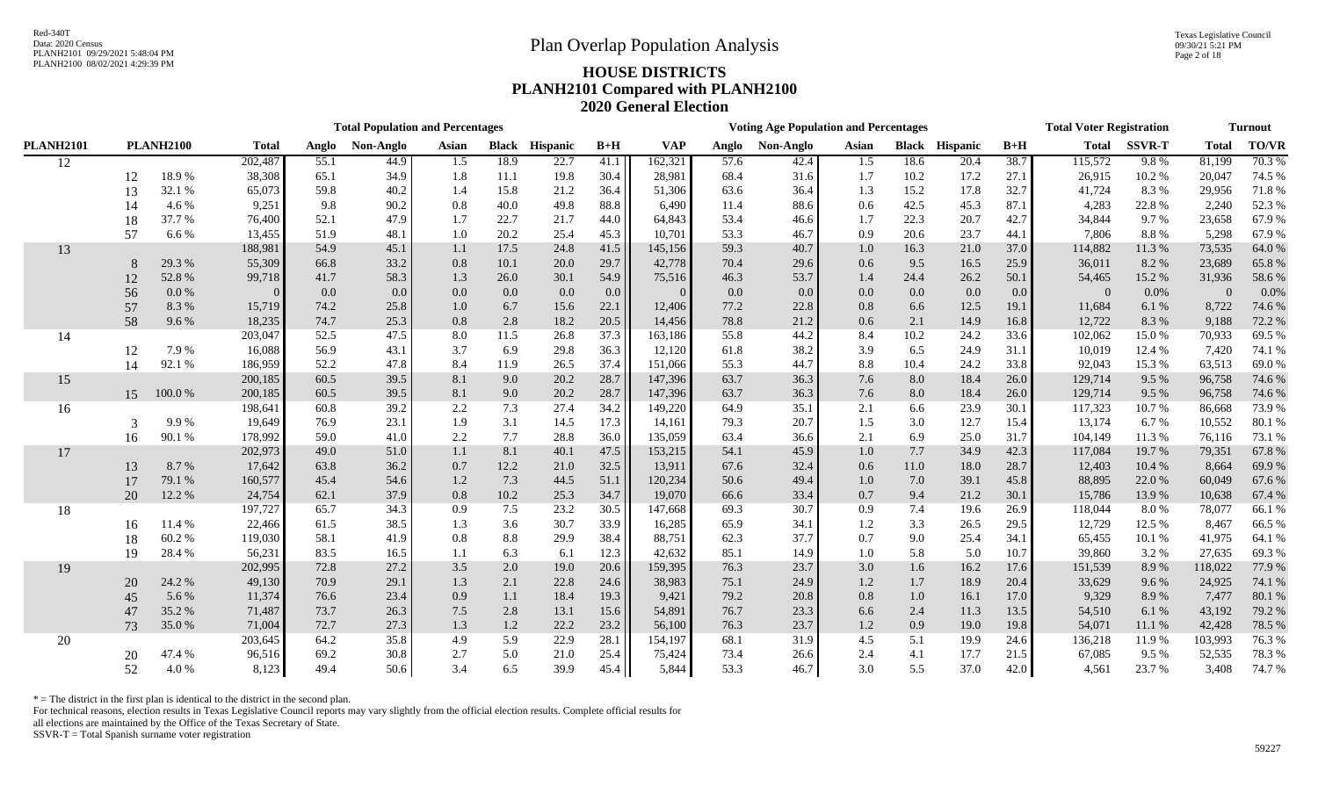|                  |    |                  |              |       | <b>Total Population and Percentages</b> |         |              |                 |         |            |       | <b>Voting Age Population and Percentages</b> |         |         |                       |                  | <b>Total Voter Registration</b> |               |              | <b>Turnout</b> |
|------------------|----|------------------|--------------|-------|-----------------------------------------|---------|--------------|-----------------|---------|------------|-------|----------------------------------------------|---------|---------|-----------------------|------------------|---------------------------------|---------------|--------------|----------------|
| <b>PLANH2101</b> |    | <b>PLANH2100</b> | <b>Total</b> | Anglo | Non-Anglo                               | Asian   | <b>Black</b> | <b>Hispanic</b> | $B+H$   | <b>VAP</b> | Anglo | Non-Anglo                                    | Asian   |         | <b>Black Hispanic</b> | $B+H$            | <b>Total</b>                    | <b>SSVR-T</b> | <b>Total</b> | TO/VR          |
| 12               |    |                  | 202,487      | 55.1  | 44.9                                    | 1.5     | 18.9         | 22.7            | 41.1    | 162,321    | 57.6  | 42.4                                         | 1.5     | 18.6    | 20.4                  | 38.7             | 115,572                         | 9.8%          | 81,199       | 70.3%          |
|                  | 12 | 18.9%            | 38,308       | 65.1  | 34.9                                    | 1.8     | 11.1         | 19.8            | 30.4    | 28,981     | 68.4  | 31.6                                         | 1.7     | 10.2    | 17.2                  | 27.1             | 26,915                          | 10.2 %        | 20,047       | 74.5 %         |
|                  | 13 | 32.1 %           | 65,073       | 59.8  | 40.2                                    | 1.4     | 15.8         | 21.2            | 36.4    | 51,306     | 63.6  | 36.4                                         | 1.3     | 15.2    | 17.8                  | 32.7             | 41,724                          | 8.3%          | 29,956       | 71.8%          |
|                  | 14 | 4.6%             | 9,251        | 9.8   | 90.2                                    | 0.8     | 40.0         | 49.8            | 88.8    | 6,490      | 11.4  | 88.6                                         | 0.6     | 42.5    | 45.3                  | 87.1             | 4,283                           | 22.8%         | 2,240        | 52.3 %         |
|                  | 18 | 37.7 %           | 76,400       | 52.1  | 47.9                                    | 1.7     | 22.7         | 21.7            | 44.0    | 64,843     | 53.4  | 46.6                                         | 1.7     | 22.3    | 20.7                  | 42.7             | 34,844                          | 9.7%          | 23,658       | 67.9%          |
|                  | 57 | 6.6 %            | 13,455       | 51.9  | 48.1                                    | 1.0     | 20.2         | 25.4            | 45.3    | 10,701     | 53.3  | 46.7                                         | 0.9     | 20.6    | 23.7                  | 44.1             | 7,806                           | 8.8%          | 5,298        | 67.9%          |
| 13               |    |                  | 188,981      | 54.9  | 45.1                                    | 1.1     | 17.5         | 24.8            | 41.5    | 145,156    | 59.3  | 40.7                                         | 1.0     | 16.3    | 21.0                  | 37.0             | 114,882                         | 11.3%         | 73,535       | 64.0%          |
|                  | 8  | 29.3 %           | 55,309       | 66.8  | 33.2                                    | $0.8\,$ | 10.1         | 20.0            | 29.7    | 42,778     | 70.4  | 29.6                                         | 0.6     | 9.5     | 16.5                  | 25.9             | 36,011                          | 8.2%          | 23,689       | 65.8%          |
|                  | 12 | 52.8 %           | 99,718       | 41.7  | 58.3                                    | 1.3     | 26.0         | 30.1            | 54.9    | 75,516     | 46.3  | 53.7                                         | 1.4     | 24.4    | 26.2                  | 50.1             | 54,465                          | 15.2 %        | 31,936       | 58.6 %         |
|                  | 56 | 0.0 %            |              | 0.0   | 0.0                                     | 0.0     | 0.0          | 0.0             | $0.0\,$ | $\Omega$   | 0.0   | 0.0                                          | $0.0\,$ | 0.0     | 0.0                   | 0.0 <sub>1</sub> | $\overline{0}$                  | 0.0%          | $\theta$     | 0.0%           |
|                  | 57 | 8.3%             | 15,719       | 74.2  | 25.8                                    | 1.0     | 6.7          | 15.6            | 22.1    | 12,406     | 77.2  | 22.8                                         | 0.8     | 6.6     | 12.5                  | 19.1             | 11,684                          | 6.1%          | 8,722        | 74.6 %         |
|                  | 58 | 9.6%             | 18,235       | 74.7  | 25.3                                    | $0.8\,$ | 2.8          | 18.2            | 20.5    | 14,456     | 78.8  | 21.2                                         | 0.6     | 2.1     | 14.9                  | 16.8             | 12,722                          | 8.3%          | 9,188        | 72.2 %         |
| 14               |    |                  | 203,047      | 52.5  | 47.5                                    | 8.0     | 11.5         | 26.8            | 37.3    | 163,186    | 55.8  | 44.2                                         | 8.4     | 10.2    | 24.2                  | 33.6             | 102,062                         | 15.0%         | 70,933       | 69.5 %         |
|                  | 12 | 7.9%             | 16,088       | 56.9  | 43.1                                    | 3.7     | 6.9          | 29.8            | 36.3    | 12,120     | 61.8  | 38.2                                         | 3.9     | 6.5     | 24.9                  | 31.1             | 10,019                          | 12.4 %        | 7,420        | 74.1 %         |
|                  | 14 | 92.1 %           | 186,959      | 52.2  | 47.8                                    | 8.4     | 11.9         | 26.5            | 37.4    | 151,066    | 55.3  | 44.7                                         | 8.8     | 10.4    | 24.2                  | 33.8             | 92,043                          | 15.3%         | 63,513       | 69.0%          |
| 15               |    |                  | 200,185      | 60.5  | 39.5                                    | 8.1     | 9.0          | 20.2            | 28.7    | 147,396    | 63.7  | 36.3                                         | 7.6     | 8.0     | 18.4                  | 26.0             | 129,714                         | 9.5 %         | 96,758       | 74.6%          |
|                  | 15 | 100.0%           | 200,185      | 60.5  | 39.5                                    | 8.1     | 9.0          | 20.2            | 28.7    | 147,396    | 63.7  | 36.3                                         | 7.6     | 8.0     | 18.4                  | 26.0             | 129,714                         | 9.5 %         | 96,758       | 74.6%          |
| 16               |    |                  | 198,641      | 60.8  | 39.2                                    | 2.2     | 7.3          | 27.4            | 34.2    | 149,220    | 64.9  | 35.1                                         | 2.1     | 6.6     | 23.9                  | 30.1             | 117,323                         | 10.7%         | 86,668       | 73.9%          |
|                  | 3  | 9.9%             | 19,649       | 76.9  | 23.1                                    | 1.9     | 3.1          | 14.5            | 17.3    | 14,161     | 79.3  | 20.7                                         | 1.5     | 3.0     | 12.7                  | 15.4             | 13,174                          | 6.7 %         | 10,552       | 80.1%          |
|                  | 16 | 90.1 %           | 178,992      | 59.0  | 41.0                                    | 2.2     | 7.7          | 28.8            | 36.0    | 135,059    | 63.4  | 36.6                                         | 2.1     | 6.9     | 25.0                  | 31.7             | 104,149                         | 11.3%         | 76,116       | 73.1 %         |
| 17               |    |                  | 202,973      | 49.0  | 51.0                                    | 1.1     | 8.1          | 40.1            | 47.5    | 153,215    | 54.1  | 45.9                                         | 1.0     | 7.7     | 34.9                  | 42.3             | 117,084                         | 19.7%         | 79,351       | 67.8%          |
|                  | 13 | 8.7%             | 17,642       | 63.8  | 36.2                                    | 0.7     | 12.2         | 21.0            | 32.5    | 13,911     | 67.6  | 32.4                                         | 0.6     | 11.0    | 18.0                  | 28.7             | 12,403                          | 10.4 %        | 8,664        | 69.9%          |
|                  | 17 | 79.1 %           | 160,577      | 45.4  | 54.6                                    | 1.2     | 7.3          | 44.5            | 51.1    | 120,234    | 50.6  | 49.4                                         | 1.0     | $7.0\,$ | 39.1                  | 45.8             | 88,895                          | 22.0%         | 60,049       | 67.6%          |
|                  | 20 | 12.2 %           | 24,754       | 62.1  | 37.9                                    | 0.8     | 10.2         | 25.3            | 34.7    | 19,070     | 66.6  | 33.4                                         | 0.7     | 9.4     | 21.2                  | 30.1             | 15,786                          | 13.9%         | 10,638       | 67.4 %         |
| 18               |    |                  | 197,727      | 65.7  | 34.3                                    | 0.9     | 7.5          | 23.2            | 30.5    | 147,668    | 69.3  | 30.7                                         | 0.9     | 7.4     | 19.6                  | 26.9             | 118,044                         | 8.0%          | 78,077       | 66.1%          |
|                  | 16 | 11.4 %           | 22,466       | 61.5  | 38.5                                    | 1.3     | 3.6          | 30.7            | 33.9    | 16,285     | 65.9  | 34.1                                         | 1.2     | 3.3     | 26.5                  | 29.5             | 12,729                          | 12.5 %        | 8,467        | 66.5%          |
|                  | 18 | 60.2%            | 119,030      | 58.1  | 41.9                                    | 0.8     | 8.8          | 29.9            | 38.4    | 88,751     | 62.3  | 37.7                                         | 0.7     | 9.0     | 25.4                  | 34.1             | 65,455                          | 10.1 %        | 41,975       | 64.1 %         |
|                  | 19 | 28.4 %           | 56,231       | 83.5  | 16.5                                    | 1.1     | 6.3          | 6.1             | 12.3    | 42,632     | 85.1  | 14.9                                         | 1.0     | 5.8     | 5.0                   | 10.7             | 39,860                          | 3.2%          | 27,635       | 69.3%          |
| 19               |    |                  | 202,995      | 72.8  | 27.2                                    | $3.5$   | 2.0          | 19.0            | 20.6    | 159,395    | 76.3  | 23.7                                         | 3.0     | 1.6     | 16.2                  | 17.6             | 151,539                         | 8.9%          | 118,022      | 77.9 %         |
|                  | 20 | 24.2 %           | 49,130       | 70.9  | 29.1                                    | 1.3     | 2.1          | 22.8            | 24.6    | 38,983     | 75.1  | 24.9                                         | 1.2     | 1.7     | 18.9                  | 20.4             | 33,629                          | 9.6%          | 24,925       | 74.1 %         |
|                  | 45 | 5.6%             | 11,374       | 76.6  | 23.4                                    | 0.9     | 1.1          | 18.4            | 19.3    | 9,421      | 79.2  | 20.8                                         | $0.8\,$ | $1.0\,$ | 16.1                  | 17.0             | 9,329                           | 8.9%          | 7,477        | 80.1 %         |
|                  | 47 | 35.2 %           | 71,487       | 73.7  | 26.3                                    | 7.5     | 2.8          | 13.1            | 15.6    | 54,891     | 76.7  | 23.3                                         | 6.6     | 2.4     | 11.3                  | 13.5             | 54,510                          | 6.1%          | 43,192       | 79.2 %         |
|                  | 73 | 35.0%            | 71,004       | 72.7  | 27.3                                    | 1.3     | $1.2\,$      | 22.2            | 23.2    | 56,100     | 76.3  | 23.7                                         | $1.2\,$ | 0.9     | 19.0                  | 19.8             | 54,071                          | 11.1 %        | 42,428       | 78.5 %         |
| 20               |    |                  | 203,645      | 64.2  | 35.8                                    | 4.9     | 5.9          | 22.9            | 28.1    | 154,197    | 68.1  | 31.9                                         | 4.5     | 5.1     | 19.9                  | 24.6             | 136,218                         | 11.9%         | 103,993      | 76.3 %         |
|                  | 20 | 47.4 %           | 96,516       | 69.2  | 30.8                                    | 2.7     | 5.0          | 21.0            | 25.4    | 75,424     | 73.4  | 26.6                                         | 2.4     | 4.1     | 17.7                  | 21.5             | 67,085                          | 9.5 %         | 52,535       | 78.3 %         |
|                  | 52 | 4.0%             | 8,123        | 49.4  | 50.6                                    | 3.4     | 6.5          | 39.9            | 45.4    | 5,844      | 53.3  | 46.7                                         | 3.0     | 5.5     | 37.0                  | 42.0             | 4,561                           | 23.7%         | 3,408        | 74.7%          |

 $*$  = The district in the first plan is identical to the district in the second plan.

For technical reasons, election results in Texas Legislative Council reports may vary slightly from the official election results. Complete official results for

all elections are maintained by the Office of the Texas Secretary of State.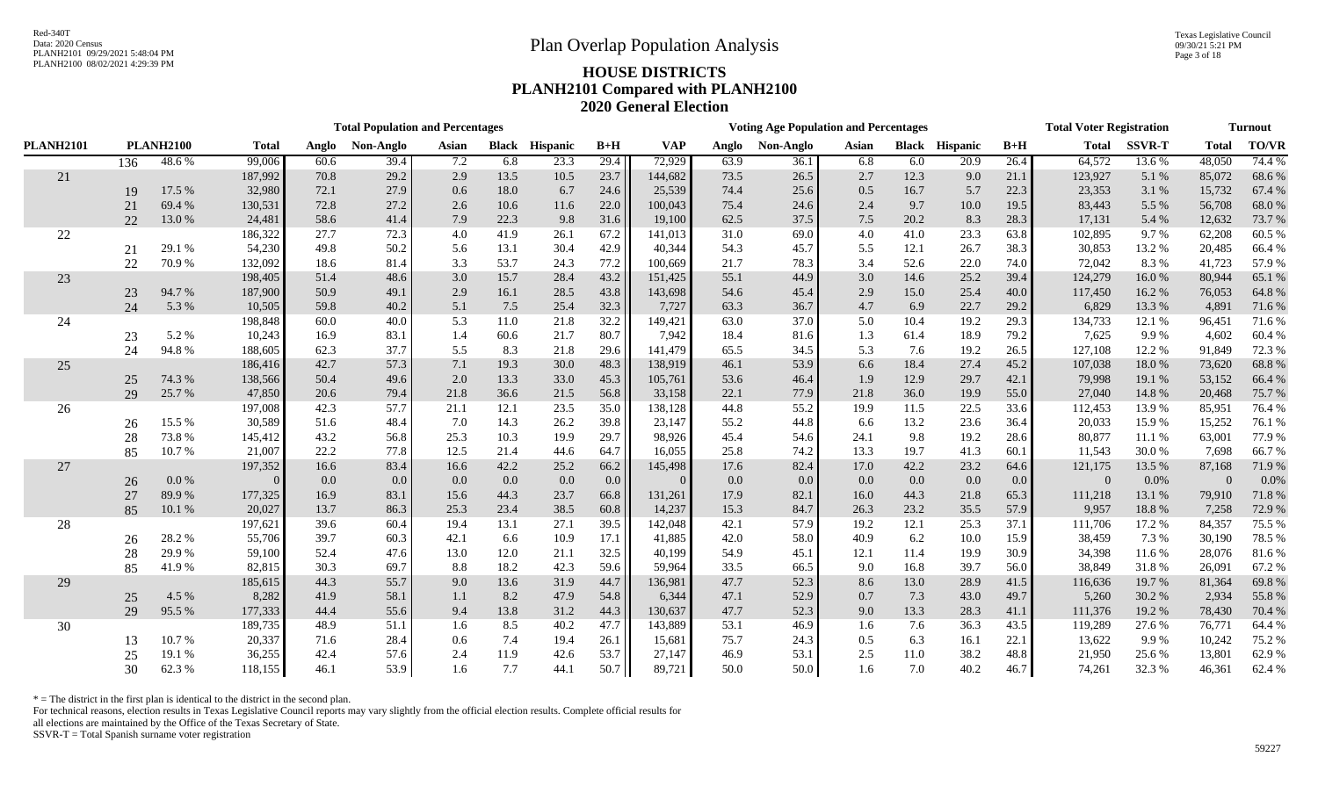Texas Legislative Council 09/30/21 5:21 PM Page 3 of 18

# PLANH2100 08/02/2021 4:29:39 PM **HOUSE DISTRICTS PLANH2101 Compared with PLANH2100 2020 General Election**

|                  |                                  |        |         |       | <b>Total Population and Percentages</b> |       |              |          |       |            |       | <b>Voting Age Population and Percentages</b> |       |      |                       |       | <b>Total Voter Registration</b> |               |              | <b>Turnout</b> |
|------------------|----------------------------------|--------|---------|-------|-----------------------------------------|-------|--------------|----------|-------|------------|-------|----------------------------------------------|-------|------|-----------------------|-------|---------------------------------|---------------|--------------|----------------|
| <b>PLANH2101</b> | <b>PLANH2100</b><br><b>Total</b> |        |         | Anglo | Non-Anglo                               | Asian | <b>Black</b> | Hispanic | $B+H$ | <b>VAP</b> | Anglo | Non-Anglo                                    | Asian |      | <b>Black Hispanic</b> | $B+H$ | <b>Total</b>                    | <b>SSVR-T</b> | <b>Total</b> | TO/VR          |
|                  | 136                              | 48.6%  | 99,006  | 60.6  | 39.4                                    | 7.2   | 6.8          | 23.3     | 29.4  | 72,929     | 63.9  | 36.1                                         | 6.8   | 6.0  | $\overline{20.9}$     | 26.4  | 64,572                          | 13.6 %        | 48,050       | 74.4 %         |
| 21               |                                  |        | 187,992 | 70.8  | 29.2                                    | 2.9   | 13.5         | 10.5     | 23.7  | 144,682    | 73.5  | 26.5                                         | 2.7   | 12.3 | 9.0                   | 21.1  | 123,927                         | 5.1%          | 85,072       | 68.6%          |
|                  | 19                               | 17.5 % | 32,980  | 72.1  | 27.9                                    | 0.6   | 18.0         | 6.7      | 24.6  | 25,539     | 74.4  | 25.6                                         | 0.5   | 16.7 | 5.7                   | 22.3  | 23,353                          | 3.1 %         | 15,732       | 67.4 %         |
|                  | 21                               | 69.4%  | 130,531 | 72.8  | 27.2                                    | 2.6   | 10.6         | 11.6     | 22.0  | 100,043    | 75.4  | 24.6                                         | 2.4   | 9.7  | 10.0                  | 19.5  | 83,443                          | 5.5 %         | 56,708       | 68.0%          |
|                  | 22                               | 13.0%  | 24,481  | 58.6  | 41.4                                    | 7.9   | 22.3         | 9.8      | 31.6  | 19,100     | 62.5  | 37.5                                         | 7.5   | 20.2 | 8.3                   | 28.3  | 17,131                          | 5.4 %         | 12,632       | 73.7 %         |
| 22               |                                  |        | 186,322 | 27.7  | 72.3                                    | 4.0   | 41.9         | 26.1     | 67.2  | 141,013    | 31.0  | 69.0                                         | 4.0   | 41.0 | 23.3                  | 63.8  | 102,895                         | 9.7%          | 62,208       | 60.5 %         |
|                  | 21                               | 29.1 % | 54,230  | 49.8  | 50.2                                    | 5.6   | 13.1         | 30.4     | 42.9  | 40,344     | 54.3  | 45.7                                         | 5.5   | 12.1 | 26.7                  | 38.3  | 30,853                          | 13.2 %        | 20,485       | 66.4%          |
|                  | 22                               | 70.9%  | 132,092 | 18.6  | 81.4                                    | 3.3   | 53.7         | 24.3     | 77.2  | 100,669    | 21.7  | 78.3                                         | 3.4   | 52.6 | 22.0                  | 74.0  | 72,042                          | 8.3%          | 41,723       | 57.9%          |
| 23               |                                  |        | 198,405 | 51.4  | 48.6                                    | 3.0   | 15.7         | 28.4     | 43.2  | 151,425    | 55.1  | 44.9                                         | 3.0   | 14.6 | 25.2                  | 39.4  | 124,279                         | 16.0%         | 80,944       | 65.1 %         |
|                  | 23                               | 94.7%  | 187,900 | 50.9  | 49.1                                    | 2.9   | 16.1         | 28.5     | 43.8  | 143,698    | 54.6  | 45.4                                         | 2.9   | 15.0 | 25.4                  | 40.0  | 117,450                         | 16.2%         | 76,053       | 64.8%          |
|                  | 24                               | 5.3 %  | 10,505  | 59.8  | 40.2                                    | 5.1   | 7.5          | 25.4     | 32.3  | 7,727      | 63.3  | 36.7                                         | 4.7   | 6.9  | 22.7                  | 29.2  | 6,829                           | 13.3 %        | 4,891        | 71.6%          |
| 24               |                                  |        | 198,848 | 60.0  | 40.0                                    | 5.3   | 11.0         | 21.8     | 32.2  | 149,421    | 63.0  | 37.0                                         | 5.0   | 10.4 | 19.2                  | 29.3  | 134,733                         | 12.1 %        | 96,451       | 71.6%          |
|                  | 23                               | 5.2%   | 10,243  | 16.9  | 83.1                                    | 1.4   | 60.6         | 21.7     | 80.7  | 7,942      | 18.4  | 81.6                                         | 1.3   | 61.4 | 18.9                  | 79.2  | 7,625                           | 9.9%          | 4,602        | 60.4%          |
|                  | 24                               | 94.8%  | 188,605 | 62.3  | 37.7                                    | 5.5   | 8.3          | 21.8     | 29.6  | 141,479    | 65.5  | 34.5                                         | 5.3   | 7.6  | 19.2                  | 26.5  | 127,108                         | 12.2 %        | 91,849       | 72.3 %         |
| 25               |                                  |        | 186,416 | 42.7  | 57.3                                    | 7.1   | 19.3         | 30.0     | 48.3  | 138,919    | 46.1  | 53.9                                         | 6.6   | 18.4 | 27.4                  | 45.2  | 107,038                         | 18.0%         | 73,620       | 68.8%          |
|                  | 25                               | 74.3 % | 138,566 | 50.4  | 49.6                                    | 2.0   | 13.3         | 33.0     | 45.3  | 105,761    | 53.6  | 46.4                                         | 1.9   | 12.9 | 29.7                  | 42.1  | 79,998                          | 19.1 %        | 53,152       | 66.4%          |
|                  | 29                               | 25.7%  | 47,850  | 20.6  | 79.4                                    | 21.8  | 36.6         | 21.5     | 56.8  | 33,158     | 22.1  | 77.9                                         | 21.8  | 36.0 | 19.9                  | 55.0  | 27,040                          | 14.8 %        | 20,468       | 75.7%          |
| 26               |                                  |        | 197,008 | 42.3  | 57.7                                    | 21.1  | 12.1         | 23.5     | 35.0  | 138,128    | 44.8  | 55.2                                         | 19.9  | 11.5 | 22.5                  | 33.6  | 112,453                         | 13.9%         | 85,951       | 76.4%          |
|                  | 26                               | 15.5 % | 30,589  | 51.6  | 48.4                                    | 7.0   | 14.3         | 26.2     | 39.8  | 23,147     | 55.2  | 44.8                                         | 6.6   | 13.2 | 23.6                  | 36.4  | 20,033                          | 15.9%         | 15,252       | 76.1 %         |
|                  | 28                               | 73.8%  | 145,412 | 43.2  | 56.8                                    | 25.3  | 10.3         | 19.9     | 29.7  | 98,926     | 45.4  | 54.6                                         | 24.1  | 9.8  | 19.2                  | 28.6  | 80,877                          | 11.1 %        | 63,001       | 77.9 %         |
|                  | 85                               | 10.7%  | 21,007  | 22.2  | 77.8                                    | 12.5  | 21.4         | 44.6     | 64.7  | 16,055     | 25.8  | 74.2                                         | 13.3  | 19.7 | 41.3                  | 60.1  | 11,543                          | 30.0%         | 7,698        | 66.7%          |
| 27               |                                  |        | 197,352 | 16.6  | 83.4                                    | 16.6  | 42.2         | 25.2     | 66.2  | 145,498    | 17.6  | 82.4                                         | 17.0  | 42.2 | 23.2                  | 64.6  | 121,175                         | 13.5 %        | 87,168       | 71.9%          |
|                  | 26                               | 0.0 %  |         | 0.0   | 0.0                                     | 0.0   | 0.0          | 0.0      | 0.0   | $\Omega$   | 0.0   | $0.0\,$                                      | 0.0   | 0.0  | 0.0                   | 0.0   | $\Omega$                        | 0.0%          | $\Omega$     | 0.0%           |
|                  | 27                               | 89.9%  | 177,325 | 16.9  | 83.1                                    | 15.6  | 44.3         | 23.7     | 66.8  | 131,261    | 17.9  | 82.1                                         | 16.0  | 44.3 | 21.8                  | 65.3  | 111,218                         | 13.1 %        | 79,910       | 71.8%          |
|                  | 85                               | 10.1 % | 20,027  | 13.7  | 86.3                                    | 25.3  | 23.4         | 38.5     | 60.8  | 14,237     | 15.3  | 84.7                                         | 26.3  | 23.2 | 35.5                  | 57.9  | 9,957                           | 18.8%         | 7,258        | 72.9 %         |
| 28               |                                  |        | 197,621 | 39.6  | 60.4                                    | 19.4  | 13.1         | 27.1     | 39.5  | 142,048    | 42.1  | 57.9                                         | 19.2  | 12.1 | 25.3                  | 37.1  | 111,706                         | 17.2 %        | 84,357       | 75.5 %         |
|                  | 26                               | 28.2%  | 55,706  | 39.7  | 60.3                                    | 42.1  | 6.6          | 10.9     | 17.1  | 41,885     | 42.0  | 58.0                                         | 40.9  | 6.2  | 10.0                  | 15.9  | 38,459                          | 7.3 %         | 30,190       | 78.5 %         |
|                  | 28                               | 29.9%  | 59,100  | 52.4  | 47.6                                    | 13.0  | 12.0         | 21.1     | 32.5  | 40,199     | 54.9  | 45.1                                         | 12.1  | 11.4 | 19.9                  | 30.9  | 34,398                          | 11.6%         | 28,076       | 81.6%          |
|                  | 85                               | 41.9%  | 82,815  | 30.3  | 69.7                                    | 8.8   | 18.2         | 42.3     | 59.6  | 59,964     | 33.5  | 66.5                                         | 9.0   | 16.8 | 39.7                  | 56.0  | 38,849                          | 31.8%         | 26,091       | 67.2%          |
| 29               |                                  |        | 185,615 | 44.3  | 55.7                                    | 9.0   | 13.6         | 31.9     | 44.7  | 136,981    | 47.7  | 52.3                                         | 8.6   | 13.0 | 28.9                  | 41.5  | 116,636                         | 19.7 %        | 81,364       | 69.8%          |
|                  | 25                               | 4.5 %  | 8,282   | 41.9  | 58.1                                    | 1.1   | 8.2          | 47.9     | 54.8  | 6,344      | 47.1  | 52.9                                         | 0.7   | 7.3  | 43.0                  | 49.7  | 5,260                           | 30.2 %        | 2,934        | 55.8%          |
|                  | 29                               | 95.5%  | 177,333 | 44.4  | 55.6                                    | 9.4   | 13.8         | 31.2     | 44.3  | 130,637    | 47.7  | 52.3                                         | 9.0   | 13.3 | 28.3                  | 41.1  | 111,376                         | 19.2 %        | 78,430       | 70.4 %         |
| 30               |                                  |        | 189,735 | 48.9  | 51.1                                    | 1.6   | 8.5          | 40.2     | 47.7  | 143,889    | 53.1  | 46.9                                         | 1.6   | 7.6  | 36.3                  | 43.5  | 119,289                         | 27.6 %        | 76,771       | 64.4 %         |
|                  | 13                               | 10.7%  | 20,337  | 71.6  | 28.4                                    | 0.6   | 7.4          | 19.4     | 26.1  | 15,681     | 75.7  | 24.3                                         | 0.5   | 6.3  | 16.1                  | 22.1  | 13,622                          | 9.9%          | 10,242       | 75.2 %         |
|                  | 25                               | 19.1 % | 36,255  | 42.4  | 57.6                                    | 2.4   | 11.9         | 42.6     | 53.7  | 27,147     | 46.9  | 53.1                                         | 2.5   | 11.0 | 38.2                  | 48.8  | 21,950                          | 25.6 %        | 13,801       | 62.9%          |
|                  | 30                               | 62.3%  | 118,155 | 46.1  | 53.9                                    | 1.6   | 7.7          | 44.1     | 50.7  | 89,721     | 50.0  | 50.0                                         | 1.6   | 7.0  | 40.2                  | 46.7  | 74,261                          | 32.3 %        | 46,361       | 62.4 %         |

 $*$  = The district in the first plan is identical to the district in the second plan.

For technical reasons, election results in Texas Legislative Council reports may vary slightly from the official election results. Complete official results for

all elections are maintained by the Office of the Texas Secretary of State.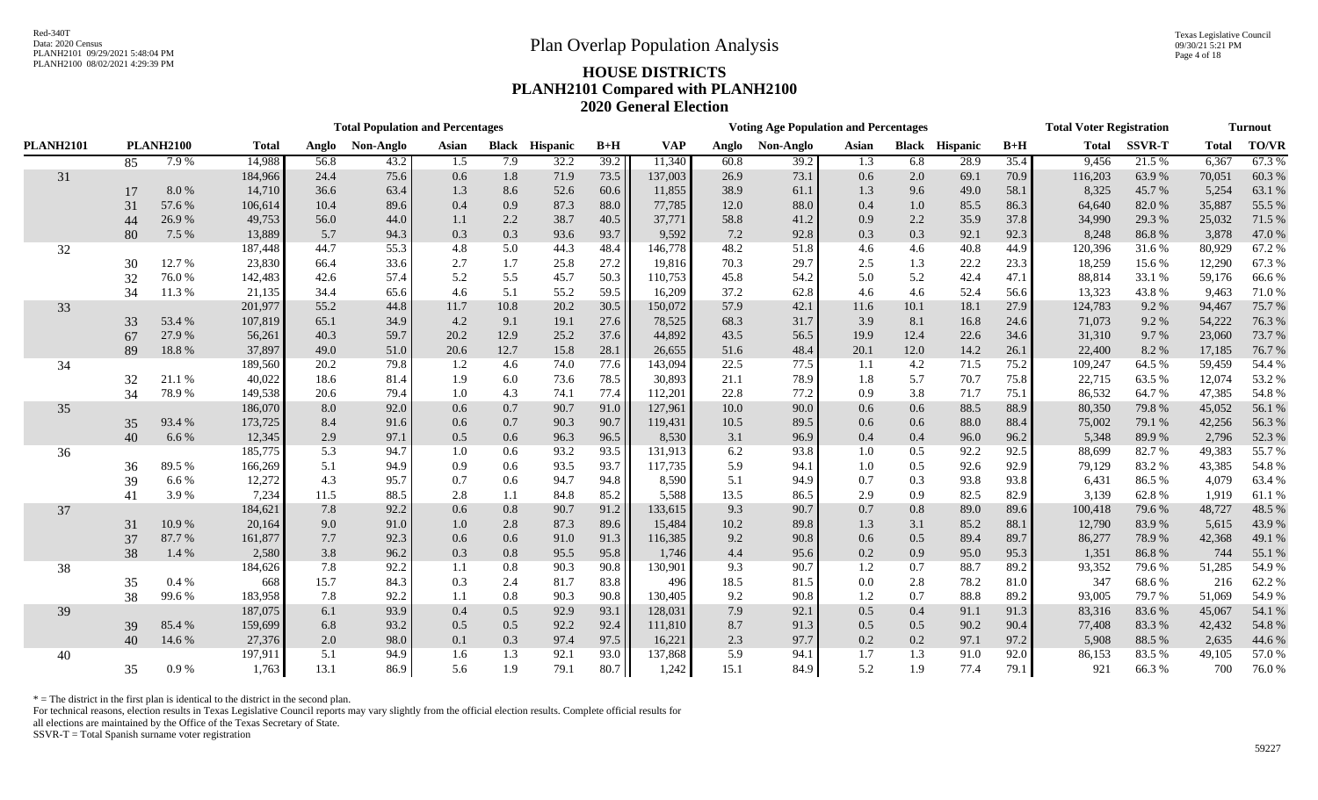Texas Legislative Council 09/30/21 5:21 PM Page 4 of 18

# PLANH2100 08/02/2021 4:29:39 PM **HOUSE DISTRICTS PLANH2101 Compared with PLANH2100 2020 General Election**

|                  |    |                  |              |       | <b>Total Population and Percentages</b> |       |              |                 |        |            |       | <b>Voting Age Population and Percentages</b> |         |         |                       |       | <b>Total Voter Registration</b> |               |              | <b>Turnout</b> |
|------------------|----|------------------|--------------|-------|-----------------------------------------|-------|--------------|-----------------|--------|------------|-------|----------------------------------------------|---------|---------|-----------------------|-------|---------------------------------|---------------|--------------|----------------|
| <b>PLANH2101</b> |    | <b>PLANH2100</b> | <b>Total</b> | Anglo | Non-Anglo                               | Asian | <b>Black</b> | <b>Hispanic</b> | $B+H$  | <b>VAP</b> | Anglo | Non-Anglo                                    | Asian   |         | <b>Black Hispanic</b> | $B+H$ | <b>Total</b>                    | <b>SSVR-T</b> | <b>Total</b> | <b>TO/VR</b>   |
|                  | 85 | 7.9%             | 14,988       | 56.8  | 43.2                                    | 1.5   | 7.9          | 32.2            | 39.2   | 11,340     | 60.8  | 39.2                                         | 1.3     | 6.8     | 28.9                  | 35.4  | 9,456                           | 21.5 %        | 6,367        | 67.3%          |
| 31               |    |                  | 184,966      | 24.4  | 75.6                                    | 0.6   | 1.8          | 71.9            | 73.5   | 137,003    | 26.9  | 73.1                                         | 0.6     | 2.0     | 69.1                  | 70.9  | 116,203                         | 63.9%         | 70,051       | 60.3%          |
|                  | 17 | 8.0%             | 14,710       | 36.6  | 63.4                                    | 1.3   | 8.6          | 52.6            | 60.6   | 11,855     | 38.9  | 61.1                                         | 1.3     | 9.6     | 49.0                  | 58.1  | 8,325                           | 45.7%         | 5,254        | 63.1 %         |
|                  | 31 | 57.6%            | 106,614      | 10.4  | 89.6                                    | 0.4   | 0.9          | 87.3            | 88.0   | 77,785     | 12.0  | 88.0                                         | 0.4     | $1.0\,$ | 85.5                  | 86.3  | 64,640                          | 82.0%         | 35,887       | 55.5 %         |
|                  | 44 | 26.9%            | 49,753       | 56.0  | 44.0                                    | 1.1   | 2.2          | 38.7            | 40.5   | 37,771     | 58.8  | 41.2                                         | 0.9     | 2.2     | 35.9                  | 37.8  | 34,990                          | 29.3%         | 25,032       | 71.5 %         |
|                  | 80 | 7.5 %            | 13,889       | 5.7   | 94.3                                    | 0.3   | 0.3          | 93.6            | 93.7   | 9,592      | 7.2   | 92.8                                         | 0.3     | 0.3     | 92.1                  | 92.3  | 8,248                           | 86.8%         | 3,878        | 47.0%          |
| 32               |    |                  | 187,448      | 44.7  | 55.3                                    | 4.8   | 5.0          | 44.3            | 48.4   | 146,778    | 48.2  | 51.8                                         | 4.6     | 4.6     | 40.8                  | 44.9  | 120,396                         | 31.6 %        | 80,929       | 67.2%          |
|                  | 30 | 12.7%            | 23,830       | 66.4  | 33.6                                    | 2.7   | 1.7          | 25.8            | 27.2   | 19,816     | 70.3  | 29.7                                         | 2.5     | 1.3     | 22.2                  | 23.3  | 18,259                          | 15.6 %        | 12,290       | 67.3%          |
|                  | 32 | 76.0%            | 142,483      | 42.6  | 57.4                                    | 5.2   | 5.5          | 45.7            | 50.3   | 110,753    | 45.8  | 54.2                                         | 5.0     | 5.2     | 42.4                  | 47.1  | 88,814                          | 33.1 %        | 59,176       | 66.6%          |
|                  | 34 | 11.3%            | 21,135       | 34.4  | 65.6                                    | 4.6   | 5.1          | 55.2            | 59.5   | 16,209     | 37.2  | 62.8                                         | 4.6     | 4.6     | 52.4                  | 56.6  | 13,323                          | 43.8%         | 9,463        | 71.0%          |
| 33               |    |                  | 201,977      | 55.2  | 44.8                                    | 11.7  | 10.8         | 20.2            | 30.5   | 150,072    | 57.9  | 42.1                                         | 11.6    | 10.1    | 18.1                  | 27.9  | 124,783                         | 9.2%          | 94,467       | 75.7 %         |
|                  | 33 | 53.4 %           | 107,819      | 65.1  | 34.9                                    | 4.2   | 9.1          | 19.1            | 27.6   | 78,525     | 68.3  | 31.7                                         | 3.9     | 8.1     | 16.8                  | 24.6  | 71,073                          | 9.2%          | 54,222       | 76.3 %         |
|                  | 67 | 27.9 %           | 56,261       | 40.3  | 59.7                                    | 20.2  | 12.9         | 25.2            | 37.6   | 44,892     | 43.5  | 56.5                                         | 19.9    | 12.4    | 22.6                  | 34.6  | 31,310                          | 9.7%          | 23,060       | 73.7 %         |
|                  | 89 | 18.8%            | 37,897       | 49.0  | 51.0                                    | 20.6  | 12.7         | 15.8            | 28.1   | 26,655     | 51.6  | 48.4                                         | 20.1    | 12.0    | 14.2                  | 26.1  | 22,400                          | 8.2%          | 17,185       | 76.7%          |
| 34               |    |                  | 189,560      | 20.2  | 79.8                                    | 1.2   | 4.6          | 74.0            | 77.6   | 143,094    | 22.5  | 77.5                                         | 1.1     | 4.2     | 71.5                  | 75.2  | 109,247                         | 64.5 %        | 59,459       | 54.4 %         |
|                  | 32 | 21.1 %           | 40,022       | 18.6  | 81.4                                    | 1.9   | 6.0          | 73.6            | 78.5   | 30,893     | 21.1  | 78.9                                         | 1.8     | 5.7     | 70.7                  | 75.8  | 22,715                          | 63.5 %        | 12,074       | 53.2 %         |
|                  | 34 | 78.9%            | 149,538      | 20.6  | 79.4                                    | 1.0   | 4.3          | 74.1            | 77.4   | 112,201    | 22.8  | 77.2                                         | 0.9     | 3.8     | 71.7                  | 75.1  | 86,532                          | 64.7%         | 47,385       | 54.8%          |
| 35               |    |                  | 186,070      | 8.0   | 92.0                                    | 0.6   | 0.7          | 90.7            | 91.0   | 127,961    | 10.0  | 90.0                                         | $0.6\,$ | 0.6     | 88.5                  | 88.9  | 80,350                          | 79.8%         | 45,052       | 56.1 %         |
|                  | 35 | 93.4%            | 173,725      | 8.4   | 91.6                                    | 0.6   | 0.7          | 90.3            | 90.7   | 119,431    | 10.5  | 89.5                                         | 0.6     | 0.6     | 88.0                  | 88.4  | 75,002                          | 79.1 %        | 42,256       | 56.3%          |
|                  | 40 | 6.6%             | 12,345       | 2.9   | 97.1                                    | 0.5   | 0.6          | 96.3            | 96.5   | 8,530      | 3.1   | 96.9                                         | 0.4     | 0.4     | 96.0                  | 96.2  | 5,348                           | 89.9%         | 2,796        | 52.3 %         |
| 36               |    |                  | 185,775      | 5.3   | 94.7                                    | 1.0   | 0.6          | 93.2            | 93.5   | 131,913    | 6.2   | 93.8                                         | 1.0     | 0.5     | 92.2                  | 92.5  | 88,699                          | 82.7%         | 49,383       | 55.7%          |
|                  | 36 | 89.5%            | 166,269      | 5.1   | 94.9                                    | 0.9   | 0.6          | 93.5            | 93.7   | 117,735    | 5.9   | 94.1                                         | 1.0     | 0.5     | 92.6                  | 92.9  | 79,129                          | 83.2%         | 43,385       | 54.8 %         |
|                  | 39 | 6.6%             | 12,272       | 4.3   | 95.7                                    | 0.7   | 0.6          | 94.7            | 94.8   | 8,590      | 5.1   | 94.9                                         | 0.7     | 0.3     | 93.8                  | 93.8  | 6,431                           | 86.5%         | 4,079        | 63.4 %         |
|                  | 41 | 3.9%             | 7,234        | 11.5  | 88.5                                    | 2.8   | 1.1          | 84.8            | 85.2   | 5,588      | 13.5  | 86.5                                         | 2.9     | 0.9     | 82.5                  | 82.9  | 3,139                           | 62.8%         | 1,919        | 61.1%          |
| 37               |    |                  | 184,621      | 7.8   | 92.2                                    | 0.6   | 0.8          | 90.7            | 91.2   | 133,615    | 9.3   | 90.7                                         | 0.7     | 0.8     | 89.0                  | 89.6  | 100,418                         | 79.6%         | 48,727       | 48.5 %         |
|                  | 31 | 10.9%            | 20,164       | 9.0   | 91.0                                    | 1.0   | 2.8          | 87.3            | 89.6   | 15,484     | 10.2  | 89.8                                         | 1.3     | 3.1     | 85.2                  | 88.1  | 12,790                          | 83.9%         | 5,615        | 43.9 %         |
|                  | 37 | 87.7%            | 161,877      | 7.7   | 92.3                                    | 0.6   | 0.6          | 91.0            | 91.3   | 116,385    | 9.2   | 90.8                                         | 0.6     | 0.5     | 89.4                  | 89.7  | 86,277                          | 78.9%         | 42,368       | 49.1 %         |
|                  | 38 | 1.4 %            | 2,580        | 3.8   | 96.2                                    | 0.3   | $0.8\,$      | 95.5            | 95.8   | 1,746      | 4.4   | 95.6                                         | 0.2     | 0.9     | 95.0                  | 95.3  | 1,351                           | 86.8%         | 744          | 55.1 %         |
| 38               |    |                  | 184,626      | 7.8   | 92.2                                    | 1.1   | 0.8          | 90.3            | 90.8   | 130,901    | 9.3   | 90.7                                         | 1.2     | 0.7     | 88.7                  | 89.2  | 93,352                          | 79.6%         | 51,285       | 54.9 %         |
|                  | 35 | 0.4%             | 668          | 15.7  | 84.3                                    | 0.3   | 2.4          | 81.7            | 83.8   | 496        | 18.5  | 81.5                                         | 0.0     | 2.8     | 78.2                  | 81.0  | 347                             | 68.6%         | 216          | 62.2 %         |
|                  | 38 | 99.6%            | 183,958      | 7.8   | 92.2                                    | 1.1   | $0.8\,$      | 90.3            | 90.8   | 130,405    | 9.2   | 90.8                                         | 1.2     | 0.7     | 88.8                  | 89.2  | 93,005                          | 79.7%         | 51,069       | 54.9 %         |
| 39               |    |                  | 187,075      | 6.1   | 93.9                                    | 0.4   | $0.5\,$      | 92.9            | 93.1   | 128,031    | 7.9   | 92.1                                         | 0.5     | 0.4     | 91.1                  | 91.3  | 83,316                          | 83.6%         | 45,067       | 54.1 %         |
|                  | 39 | 85.4%            | 159,699      | 6.8   | 93.2                                    | 0.5   | $0.5\,$      | 92.2            | 92.4   | 111,810    | 8.7   | 91.3                                         | 0.5     | 0.5     | 90.2                  | 90.4  | 77,408                          | 83.3%         | 42,432       | 54.8 %         |
|                  | 40 | 14.6 %           | 27,376       | 2.0   | 98.0                                    | 0.1   | 0.3          | 97.4            | 97.5   | 16,221     | 2.3   | 97.7                                         | 0.2     | 0.2     | 97.1                  | 97.2  | 5,908                           | 88.5%         | 2,635        | 44.6 %         |
| 40               |    |                  | 197,911      | 5.1   | 94.9                                    | 1.6   | 1.3          | 92.1            | 93.0   | 137,868    | 5.9   | 94.1                                         | 1.7     | 1.3     | 91.0                  | 92.0  | 86,153                          | 83.5%         | 49,105       | 57.0%          |
|                  | 35 | 0.9%             | 1,763        | 13.1  | 86.9                                    | 5.6   | 1.9          | 79.1            | $80.7$ | 1,242      | 15.1  | 84.9                                         | 5.2     | 1.9     | 77.4                  | 79.1  | 921                             | 66.3%         | 700          | 76.0%          |

 $*$  = The district in the first plan is identical to the district in the second plan.

For technical reasons, election results in Texas Legislative Council reports may vary slightly from the official election results. Complete official results for

all elections are maintained by the Office of the Texas Secretary of State.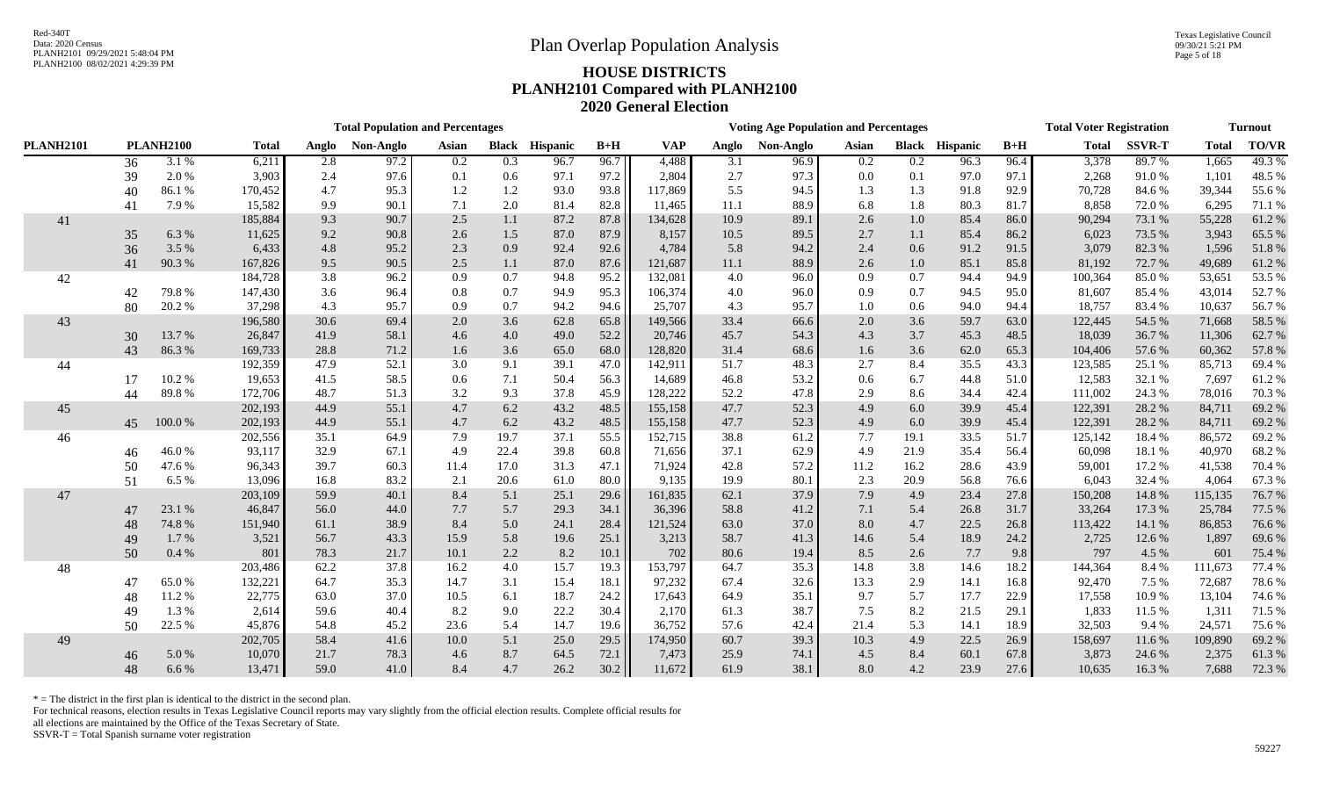|                  |    |                  |              |       | <b>Total Population and Percentages</b> |         |              |                 |       |            |       | <b>Voting Age Population and Percentages</b> |       |         |                       |       | <b>Total Voter Registration</b> |               |              | <b>Turnout</b> |
|------------------|----|------------------|--------------|-------|-----------------------------------------|---------|--------------|-----------------|-------|------------|-------|----------------------------------------------|-------|---------|-----------------------|-------|---------------------------------|---------------|--------------|----------------|
| <b>PLANH2101</b> |    | <b>PLANH2100</b> | <b>Total</b> | Anglo | Non-Anglo                               | Asian   | <b>Black</b> | <b>Hispanic</b> | $B+H$ | <b>VAP</b> | Anglo | Non-Anglo                                    | Asian |         | <b>Black Hispanic</b> | $B+H$ | <b>Total</b>                    | <b>SSVR-T</b> | <b>Total</b> | <b>TO/VR</b>   |
|                  | 36 | 3.1 %            | 6,211        | 2.8   | 97.2                                    | 0.2     | 0.3          | 96.7            | 96.7  | 4,488      | 3.1   | 96.9                                         | 0.2   | 0.2     | 96.3                  | 96.4  | 3,378                           | 89.7%         | 1,665        | 49.3%          |
|                  | 39 | 2.0%             | 3,903        | 2.4   | 97.6                                    | 0.1     | 0.6          | 97.1            | 97.2  | 2,804      | 2.7   | 97.3                                         | 0.0   | 0.1     | 97.0                  | 97.1  | 2,268                           | 91.0%         | 1,101        | 48.5 %         |
|                  | 40 | 86.1%            | 170,452      | 4.7   | 95.3                                    | 1.2     | 1.2          | 93.0            | 93.8  | 117,869    | 5.5   | 94.5                                         | 1.3   | 1.3     | 91.8                  | 92.9  | 70,728                          | 84.6%         | 39,344       | 55.6%          |
|                  | 41 | 7.9%             | 15,582       | 9.9   | 90.1                                    | 7.1     | 2.0          | 81.4            | 82.8  | 11,465     | 11.1  | 88.9                                         | 6.8   | 1.8     | 80.3                  | 81.7  | 8,858                           | 72.0%         | 6,295        | 71.1 %         |
| 41               |    |                  | 185,884      | 9.3   | 90.7                                    | 2.5     | 1.1          | 87.2            | 87.8  | 134,628    | 10.9  | 89.1                                         | 2.6   | $1.0\,$ | 85.4                  | 86.0  | 90,294                          | 73.1 %        | 55,228       | 61.2%          |
|                  | 35 | 6.3%             | 11,625       | 9.2   | 90.8                                    | 2.6     | 1.5          | 87.0            | 87.9  | 8,157      | 10.5  | 89.5                                         | 2.7   | 1.1     | 85.4                  | 86.2  | 6,023                           | 73.5 %        | 3,943        | 65.5 %         |
|                  | 36 | 3.5 %            | 6,433        | 4.8   | 95.2                                    | 2.3     | 0.9          | 92.4            | 92.6  | 4,784      | 5.8   | 94.2                                         | 2.4   | 0.6     | 91.2                  | 91.5  | 3,079                           | 82.3 %        | 1,596        | 51.8%          |
|                  | 41 | 90.3%            | 167,826      | 9.5   | 90.5                                    | 2.5     | 1.1          | 87.0            | 87.6  | 121,687    | 11.1  | 88.9                                         | 2.6   | $1.0\,$ | 85.1                  | 85.8  | 81,192                          | 72.7%         | 49,689       | 61.2%          |
| 42               |    |                  | 184,728      | 3.8   | 96.2                                    | 0.9     | 0.7          | 94.8            | 95.2  | 132,081    | 4.0   | 96.0                                         | 0.9   | 0.7     | 94.4                  | 94.9  | 100,364                         | 85.0%         | 53,651       | 53.5 %         |
|                  | 42 | 79.8%            | 147,430      | 3.6   | 96.4                                    | $0.8\,$ | 0.7          | 94.9            | 95.3  | 106,374    | 4.0   | 96.0                                         | 0.9   | 0.7     | 94.5                  | 95.0  | 81,607                          | 85.4%         | 43,014       | 52.7 %         |
|                  | 80 | 20.2%            | 37,298       | 4.3   | 95.7                                    | 0.9     | 0.7          | 94.2            | 94.6  | 25,707     | 4.3   | 95.7                                         | 1.0   | 0.6     | 94.0                  | 94.4  | 18,757                          | 83.4 %        | 10,637       | 56.7 %         |
| 43               |    |                  | 196,580      | 30.6  | 69.4                                    | 2.0     | 3.6          | 62.8            | 65.8  | 149,566    | 33.4  | 66.6                                         | 2.0   | 3.6     | 59.7                  | 63.0  | 122,445                         | 54.5 %        | 71,668       | 58.5 %         |
|                  | 30 | 13.7%            | 26,847       | 41.9  | 58.1                                    | 4.6     | 4.0          | 49.0            | 52.2  | 20,746     | 45.7  | 54.3                                         | 4.3   | 3.7     | 45.3                  | 48.5  | 18,039                          | 36.7%         | 11,306       | 62.7%          |
|                  | 43 | 86.3%            | 169,733      | 28.8  | 71.2                                    | 1.6     | 3.6          | 65.0            | 68.0  | 128,820    | 31.4  | 68.6                                         | 1.6   | 3.6     | 62.0                  | 65.3  | 104,406                         | 57.6%         | 60,362       | 57.8%          |
| 44               |    |                  | 192,359      | 47.9  | 52.1                                    | 3.0     | 9.1          | 39.1            | 47.0  | 142,911    | 51.7  | 48.3                                         | 2.7   | 8.4     | 35.5                  | 43.3  | 123,585                         | 25.1 %        | 85,713       | 69.4%          |
|                  | 17 | 10.2%            | 19,653       | 41.5  | 58.5                                    | 0.6     | 7.1          | 50.4            | 56.3  | 14,689     | 46.8  | 53.2                                         | 0.6   | 6.7     | 44.8                  | 51.0  | 12,583                          | 32.1 %        | 7,697        | 61.2%          |
|                  | 44 | 89.8%            | 172,706      | 48.7  | 51.3                                    | 3.2     | 9.3          | 37.8            | 45.9  | 128,222    | 52.2  | 47.8                                         | 2.9   | 8.6     | 34.4                  | 42.4  | 111,002                         | 24.3 %        | 78,016       | 70.3 %         |
| 45               |    |                  | 202,193      | 44.9  | 55.1                                    | 4.7     | 6.2          | 43.2            | 48.5  | 155,158    | 47.7  | 52.3                                         | 4.9   | 6.0     | 39.9                  | 45.4  | 122,391                         | 28.2%         | 84,711       | 69.2%          |
|                  | 45 | 100.0%           | 202,193      | 44.9  | 55.1                                    | 4.7     | 6.2          | 43.2            | 48.5  | 155,158    | 47.7  | 52.3                                         | 4.9   | 6.0     | 39.9                  | 45.4  | 122,391                         | 28.2%         | 84,711       | 69.2 %         |
| 46               |    |                  | 202,556      | 35.1  | 64.9                                    | 7.9     | 19.7         | 37.1            | 55.5  | 152,715    | 38.8  | 61.2                                         | 7.7   | 19.1    | 33.5                  | 51.7  | 125,142                         | 18.4 %        | 86,572       | 69.2%          |
|                  | 46 | 46.0%            | 93,117       | 32.9  | 67.1                                    | 4.9     | 22.4         | 39.8            | 60.8  | 71,656     | 37.1  | 62.9                                         | 4.9   | 21.9    | 35.4                  | 56.4  | 60,098                          | 18.1 %        | 40,970       | 68.2 %         |
|                  | 50 | 47.6 %           | 96,343       | 39.7  | 60.3                                    | 11.4    | 17.0         | 31.3            | 47.1  | 71,924     | 42.8  | 57.2                                         | 11.2  | 16.2    | 28.6                  | 43.9  | 59,001                          | 17.2 %        | 41,538       | 70.4 %         |
|                  | 51 | 6.5 %            | 13,096       | 16.8  | 83.2                                    | 2.1     | 20.6         | 61.0            | 80.0  | 9,135      | 19.9  | 80.1                                         | 2.3   | 20.9    | 56.8                  | 76.6  | 6,043                           | 32.4 %        | 4,064        | 67.3 %         |
| 47               |    |                  | 203,109      | 59.9  | 40.1                                    | 8.4     | 5.1          | 25.1            | 29.6  | 161,835    | 62.1  | 37.9                                         | 7.9   | 4.9     | 23.4                  | 27.8  | 150,208                         | 14.8%         | 115,135      | 76.7 %         |
|                  | 47 | 23.1 %           | 46,847       | 56.0  | 44.0                                    | 7.7     | 5.7          | 29.3            | 34.1  | 36,396     | 58.8  | 41.2                                         | 7.1   | 5.4     | 26.8                  | 31.7  | 33,264                          | 17.3 %        | 25,784       | 77.5 %         |
|                  | 48 | 74.8%            | 151,940      | 61.1  | 38.9                                    | 8.4     | 5.0          | 24.1            | 28.4  | 121,524    | 63.0  | 37.0                                         | 8.0   | 4.7     | 22.5                  | 26.8  | 113,422                         | 14.1 %        | 86,853       | 76.6 %         |
|                  | 49 | 1.7%             | 3,521        | 56.7  | 43.3                                    | 15.9    | 5.8          | 19.6            | 25.1  | 3,213      | 58.7  | 41.3                                         | 14.6  | 5.4     | 18.9                  | 24.2  | 2,725                           | 12.6 %        | 1,897        | 69.6 %         |
|                  | 50 | 0.4 %            | 801          | 78.3  | 21.7                                    | 10.1    | 2.2          | 8.2             | 10.1  | 702        | 80.6  | 19.4                                         | 8.5   | 2.6     | 7.7                   | 9.8   | 797                             | 4.5 %         | 601          | 75.4 %         |
| 48               |    |                  | 203,486      | 62.2  | 37.8                                    | 16.2    | 4.0          | 15.7            | 19.3  | 153,797    | 64.7  | 35.3                                         | 14.8  | 3.8     | 14.6                  | 18.2  | 144,364                         | 8.4 %         | 111,673      | 77.4 %         |
|                  | 47 | 65.0%            | 132,221      | 64.7  | 35.3                                    | 14.7    | 3.1          | 15.4            | 18.1  | 97,232     | 67.4  | 32.6                                         | 13.3  | 2.9     | 14.1                  | 16.8  | 92,470                          | 7.5 %         | 72,687       | 78.6%          |
|                  | 48 | 11.2%            | 22,775       | 63.0  | 37.0                                    | 10.5    | 6.1          | 18.7            | 24.2  | 17,643     | 64.9  | 35.1                                         | 9.7   | 5.7     | 17.7                  | 22.9  | 17,558                          | 10.9%         | 13,104       | 74.6 %         |
|                  | 49 | 1.3%             | 2,614        | 59.6  | 40.4                                    | 8.2     | 9.0          | 22.2            | 30.4  | 2,170      | 61.3  | 38.7                                         | 7.5   | 8.2     | 21.5                  | 29.1  | 1,833                           | 11.5 %        | 1,311        | 71.5 %         |
|                  | 50 | 22.5 %           | 45,876       | 54.8  | 45.2                                    | 23.6    | 5.4          | 14.7            | 19.6  | 36,752     | 57.6  | 42.4                                         | 21.4  | 5.3     | 14.1                  | 18.9  | 32,503                          | 9.4 %         | 24,571       | 75.6 %         |
| 49               |    |                  | 202,705      | 58.4  | 41.6                                    | 10.0    | 5.1          | 25.0            | 29.5  | 174,950    | 60.7  | 39.3                                         | 10.3  | 4.9     | 22.5                  | 26.9  | 158,697                         | 11.6 %        | 109,890      | 69.2%          |
|                  | 46 | 5.0 %            | 10,070       | 21.7  | 78.3                                    | 4.6     | 8.7          | 64.5            | 72.1  | 7,473      | 25.9  | 74.1                                         | 4.5   | 8.4     | 60.1                  | 67.8  | 3,873                           | 24.6 %        | 2,375        | 61.3%          |
|                  | 48 | 6.6%             | 13,471       | 59.0  | 41.0                                    | 8.4     | 4.7          | 26.2            | 30.2  | 11,672     | 61.9  | 38.1                                         | 8.0   | 4.2     | 23.9                  | 27.6  | 10,635                          | 16.3%         | 7,688        | 72.3 %         |

 $*$  = The district in the first plan is identical to the district in the second plan.

For technical reasons, election results in Texas Legislative Council reports may vary slightly from the official election results. Complete official results for

all elections are maintained by the Office of the Texas Secretary of State.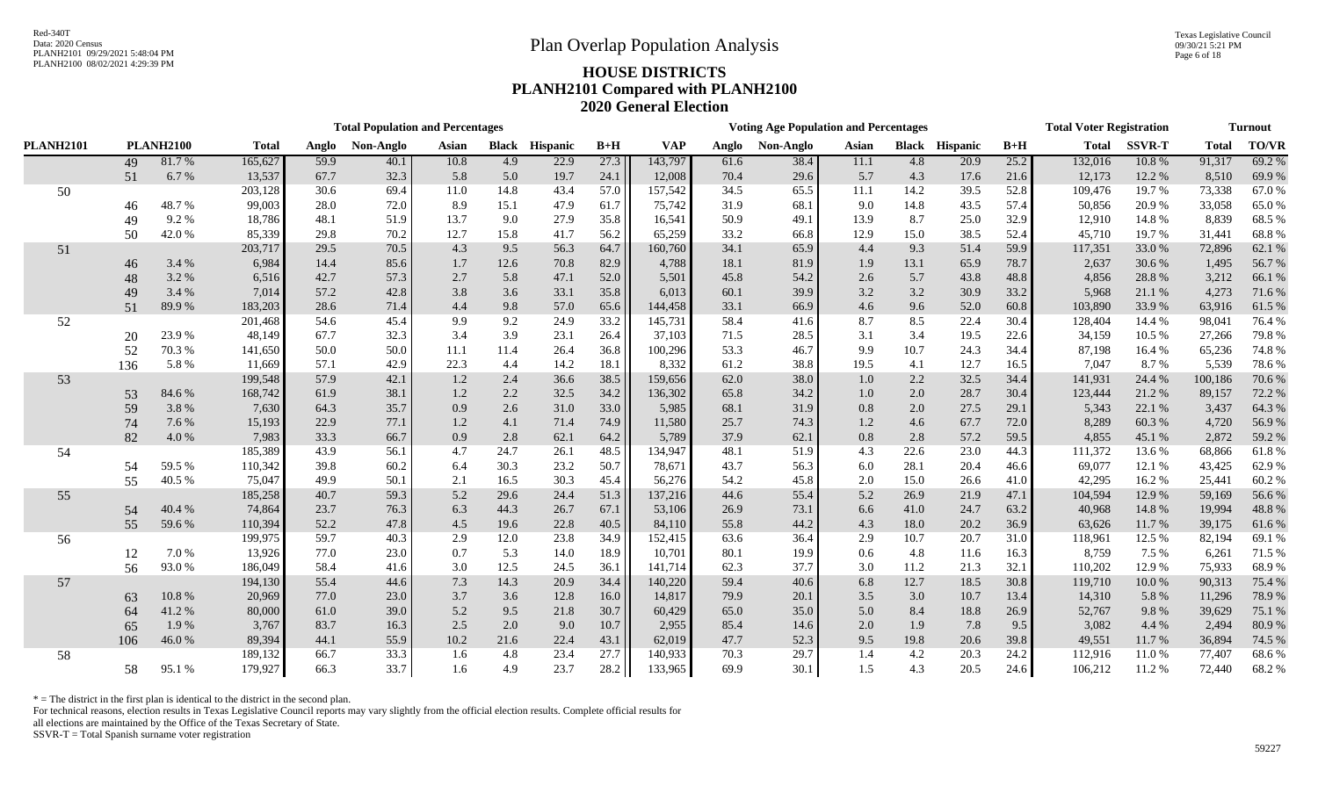Texas Legislative Council 09/30/21 5:21 PM Page 6 of 18

# PLANH2100 08/02/2021 4:29:39 PM **HOUSE DISTRICTS PLANH2101 Compared with PLANH2100 2020 General Election**

|                  |        |                  |              |       | <b>Total Population and Percentages</b> |       |              |                 |       |            |       | <b>Voting Age Population and Percentages</b> |       |      |                       |       | <b>Total Voter Registration</b> |               |              | <b>Turnout</b> |
|------------------|--------|------------------|--------------|-------|-----------------------------------------|-------|--------------|-----------------|-------|------------|-------|----------------------------------------------|-------|------|-----------------------|-------|---------------------------------|---------------|--------------|----------------|
| <b>PLANH2101</b> |        | <b>PLANH2100</b> | <b>Total</b> | Anglo | Non-Anglo                               | Asian | <b>Black</b> | <b>Hispanic</b> | $B+H$ | <b>VAP</b> | Anglo | Non-Anglo                                    | Asian |      | <b>Black Hispanic</b> | $B+H$ | <b>Total</b>                    | <b>SSVR-T</b> | <b>Total</b> | <b>TO/VR</b>   |
|                  | 49     | 81.7%            | 165,627      | 59.9  | 40.1                                    | 10.8  | 4.9          | 22.9            | 27.3  | 143,797    | 61.6  | 38.4                                         | 11.1  | 4.8  | 20.9                  | 25.2  | 132,016                         | 10.8%         | 91,317       | 69.2%          |
|                  | 51     | 6.7%             | 13,537       | 67.7  | 32.3                                    | 5.8   | 5.0          | 19.7            | 24.1  | 12,008     | 70.4  | 29.6                                         | 5.7   | 4.3  | 17.6                  | 21.6  | 12,173                          | 12.2 %        | 8,510        | 69.9%          |
| 50               |        |                  | 203,128      | 30.6  | 69.4                                    | 11.0  | 14.8         | 43.4            | 57.0  | 157,542    | 34.5  | 65.5                                         | 11.1  | 14.2 | 39.5                  | 52.8  | 109,476                         | 19.7 %        | 73,338       | 67.0%          |
|                  | 46     | 48.7%            | 99,003       | 28.0  | 72.0                                    | 8.9   | 15.1         | 47.9            | 61.7  | 75,742     | 31.9  | 68.1                                         | 9.0   | 14.8 | 43.5                  | 57.4  | 50,856                          | 20.9%         | 33,058       | 65.0%          |
|                  | 49     | 9.2%             | 18,786       | 48.1  | 51.9                                    | 13.7  | 9.0          | 27.9            | 35.8  | 16,541     | 50.9  | 49.1                                         | 13.9  | 8.7  | 25.0                  | 32.9  | 12,910                          | 14.8%         | 8,839        | 68.5%          |
|                  | 50     | 42.0%            | 85,339       | 29.8  | 70.2                                    | 12.7  | 15.8         | 41.7            | 56.2  | 65,259     | 33.2  | 66.8                                         | 12.9  | 15.0 | 38.5                  | 52.4  | 45,710                          | 19.7%         | 31,441       | 68.8%          |
| 51               |        |                  | 203,717      | 29.5  | 70.5                                    | 4.3   | 9.5          | 56.3            | 64.7  | 160,760    | 34.1  | 65.9                                         | 4.4   | 9.3  | 51.4                  | 59.9  | 117,351                         | 33.0%         | 72,896       | 62.1 %         |
|                  | 46     | 3.4 %            | 6,984        | 14.4  | 85.6                                    | 1.7   | 12.6         | 70.8            | 82.9  | 4,788      | 18.1  | 81.9                                         | 1.9   | 13.1 | 65.9                  | 78.7  | 2,637                           | 30.6%         | 1,495        | 56.7 %         |
|                  | 48     | 3.2%             | 6,516        | 42.7  | 57.3                                    | 2.7   | 5.8          | 47.1            | 52.0  | 5,501      | 45.8  | 54.2                                         | 2.6   | 5.7  | 43.8                  | 48.8  | 4,856                           | 28.8%         | 3,212        | 66.1 %         |
|                  | 49     | 3.4 %            | 7,014        | 57.2  | 42.8                                    | 3.8   | 3.6          | 33.1            | 35.8  | 6,013      | 60.1  | 39.9                                         | 3.2   | 3.2  | 30.9                  | 33.2  | 5,968                           | 21.1 %        | 4,273        | 71.6 %         |
|                  | 51     | 89.9%            | 183,203      | 28.6  | 71.4                                    | 4.4   | 9.8          | 57.0            | 65.6  | 144,458    | 33.1  | 66.9                                         | 4.6   | 9.6  | 52.0                  | 60.8  | 103,890                         | 33.9%         | 63,916       | 61.5%          |
| 52               |        |                  | 201,468      | 54.6  | 45.4                                    | 9.9   | 9.2          | 24.9            | 33.2  | 145,731    | 58.4  | 41.6                                         | 8.7   | 8.5  | 22.4                  | 30.4  | 128,404                         | 14.4 %        | 98,041       | 76.4 %         |
|                  | $20\,$ | 23.9%            | 48,149       | 67.7  | 32.3                                    | 3.4   | 3.9          | 23.1            | 26.4  | 37,103     | 71.5  | 28.5                                         | 3.1   | 3.4  | 19.5                  | 22.6  | 34,159                          | 10.5 %        | 27,266       | 79.8%          |
|                  | 52     | 70.3%            | 141,650      | 50.0  | 50.0                                    | 11.1  | 11.4         | 26.4            | 36.8  | 100,296    | 53.3  | 46.7                                         | 9.9   | 10.7 | 24.3                  | 34.4  | 87,198                          | 16.4 %        | 65,236       | 74.8%          |
|                  | 136    | 5.8%             | 11,669       | 57.1  | 42.9                                    | 22.3  | 4.4          | 14.2            | 18.1  | 8,332      | 61.2  | 38.8                                         | 19.5  | 4.1  | 12.7                  | 16.5  | 7,047                           | 8.7%          | 5,539        | 78.6%          |
| 53               |        |                  | 199,548      | 57.9  | 42.1                                    | 1.2   | 2.4          | 36.6            | 38.5  | 159,656    | 62.0  | 38.0                                         | 1.0   | 2.2  | 32.5                  | 34.4  | 141,931                         | 24.4 %        | 100,186      | 70.6%          |
|                  | 53     | 84.6%            | 168,742      | 61.9  | 38.1                                    | 1.2   | 2.2          | 32.5            | 34.2  | 136,302    | 65.8  | 34.2                                         | 1.0   | 2.0  | 28.7                  | 30.4  | 123,444                         | 21.2%         | 89,157       | 72.2 %         |
|                  | 59     | 3.8%             | 7,630        | 64.3  | 35.7                                    | 0.9   | 2.6          | 31.0            | 33.0  | 5,985      | 68.1  | 31.9                                         | 0.8   | 2.0  | 27.5                  | 29.1  | 5,343                           | 22.1 %        | 3,437        | 64.3 %         |
|                  | 74     | 7.6%             | 15,193       | 22.9  | 77.1                                    | 1.2   | 4.1          | 71.4            | 74.9  | 11,580     | 25.7  | 74.3                                         | 1.2   | 4.6  | 67.7                  | 72.0  | 8,289                           | 60.3%         | 4,720        | 56.9%          |
|                  | 82     | 4.0%             | 7,983        | 33.3  | 66.7                                    | 0.9   | 2.8          | 62.1            | 64.2  | 5,789      | 37.9  | 62.1                                         | 0.8   | 2.8  | 57.2                  | 59.5  | 4,855                           | 45.1 %        | 2,872        | 59.2 %         |
| 54               |        |                  | 185,389      | 43.9  | 56.1                                    | 4.7   | 24.7         | 26.1            | 48.5  | 134,947    | 48.1  | 51.9                                         | 4.3   | 22.6 | 23.0                  | 44.3  | 111,372                         | 13.6 %        | 68,866       | 61.8%          |
|                  | 54     | 59.5%            | 110,342      | 39.8  | 60.2                                    | 6.4   | 30.3         | 23.2            | 50.7  | 78,671     | 43.7  | 56.3                                         | 6.0   | 28.1 | 20.4                  | 46.6  | 69,077                          | 12.1 %        | 43,425       | 62.9%          |
|                  | 55     | 40.5 %           | 75,047       | 49.9  | 50.1                                    | 2.1   | 16.5         | 30.3            | 45.4  | 56,276     | 54.2  | 45.8                                         | 2.0   | 15.0 | 26.6                  | 41.0  | 42,295                          | 16.2%         | 25,441       | 60.2%          |
| 55               |        |                  | 185,258      | 40.7  | 59.3                                    | 5.2   | 29.6         | 24.4            | 51.3  | 137,216    | 44.6  | 55.4                                         | 5.2   | 26.9 | 21.9                  | 47.1  | 104,594                         | 12.9%         | 59,169       | 56.6%          |
|                  | 54     | 40.4%            | 74,864       | 23.7  | 76.3                                    | 6.3   | 44.3         | 26.7            | 67.1  | 53,106     | 26.9  | 73.1                                         | 6.6   | 41.0 | 24.7                  | 63.2  | 40,968                          | 14.8%         | 19,994       | 48.8%          |
|                  | 55     | 59.6%            | 110,394      | 52.2  | 47.8                                    | 4.5   | 19.6         | 22.8            | 40.5  | 84,110     | 55.8  | 44.2                                         | 4.3   | 18.0 | 20.2                  | 36.9  | 63,626                          | 11.7 %        | 39,175       | 61.6%          |
| 56               |        |                  | 199,975      | 59.7  | 40.3                                    | 2.9   | 12.0         | 23.8            | 34.9  | 152,415    | 63.6  | 36.4                                         | 2.9   | 10.7 | 20.7                  | 31.0  | 118,961                         | 12.5 %        | 82,194       | 69.1 %         |
|                  | 12     | 7.0%             | 13,926       | 77.0  | 23.0                                    | 0.7   | 5.3          | 14.0            | 18.9  | 10,701     | 80.1  | 19.9                                         | 0.6   | 4.8  | 11.6                  | 16.3  | 8,759                           | 7.5 %         | 6,261        | 71.5 %         |
|                  | 56     | 93.0%            | 186,049      | 58.4  | 41.6                                    | 3.0   | 12.5         | 24.5            | 36.1  | 141,714    | 62.3  | 37.7                                         | 3.0   | 11.2 | 21.3                  | 32.1  | 110,202                         | 12.9%         | 75,933       | 68.9%          |
| 57               |        |                  | 194,130      | 55.4  | 44.6                                    | 7.3   | 14.3         | 20.9            | 34.4  | 140,220    | 59.4  | 40.6                                         | 6.8   | 12.7 | 18.5                  | 30.8  | 119,710                         | 10.0%         | 90,313       | 75.4 %         |
|                  | 63     | $10.8~\%$        | 20,969       | 77.0  | 23.0                                    | 3.7   | 3.6          | 12.8            | 16.0  | 14,817     | 79.9  | 20.1                                         | 3.5   | 3.0  | 10.7                  | 13.4  | 14,310                          | 5.8%          | 11,296       | 78.9 %         |
|                  | 64     | 41.2%            | 80,000       | 61.0  | 39.0                                    | 5.2   | 9.5          | 21.8            | 30.7  | 60,429     | 65.0  | 35.0                                         | 5.0   | 8.4  | 18.8                  | 26.9  | 52,767                          | 9.8%          | 39,629       | 75.1 %         |
|                  | 65     | 1.9%             | 3,767        | 83.7  | 16.3                                    | 2.5   | 2.0          | 9.0             | 10.7  | 2,955      | 85.4  | 14.6                                         | 2.0   | 1.9  | 7.8                   | 9.5   | 3,082                           | 4.4 %         | 2,494        | 80.9%          |
|                  | 106    | 46.0%            | 89,394       | 44.1  | 55.9                                    | 10.2  | 21.6         | 22.4            | 43.1  | 62,019     | 47.7  | 52.3                                         | 9.5   | 19.8 | 20.6                  | 39.8  | 49,551                          | 11.7 %        | 36,894       | 74.5 %         |
| 58               |        |                  | 189,132      | 66.7  | 33.3                                    | 1.6   | 4.8          | 23.4            | 27.7  | 140,933    | 70.3  | 29.7                                         | 1.4   | 4.2  | 20.3                  | 24.2  | 112,916                         | 11.0%         | 77,407       | 68.6%          |
|                  | 58     | 95.1 %           | 179,927      | 66.3  | 33.7                                    | 1.6   | 4.9          | 23.7            | 28.2  | 133,965    | 69.9  | 30.1                                         | 1.5   | 4.3  | 20.5                  | 24.6  | 106,212                         | 11.2 %        | 72,440       | 68.2%          |

 $*$  = The district in the first plan is identical to the district in the second plan.

For technical reasons, election results in Texas Legislative Council reports may vary slightly from the official election results. Complete official results for

all elections are maintained by the Office of the Texas Secretary of State.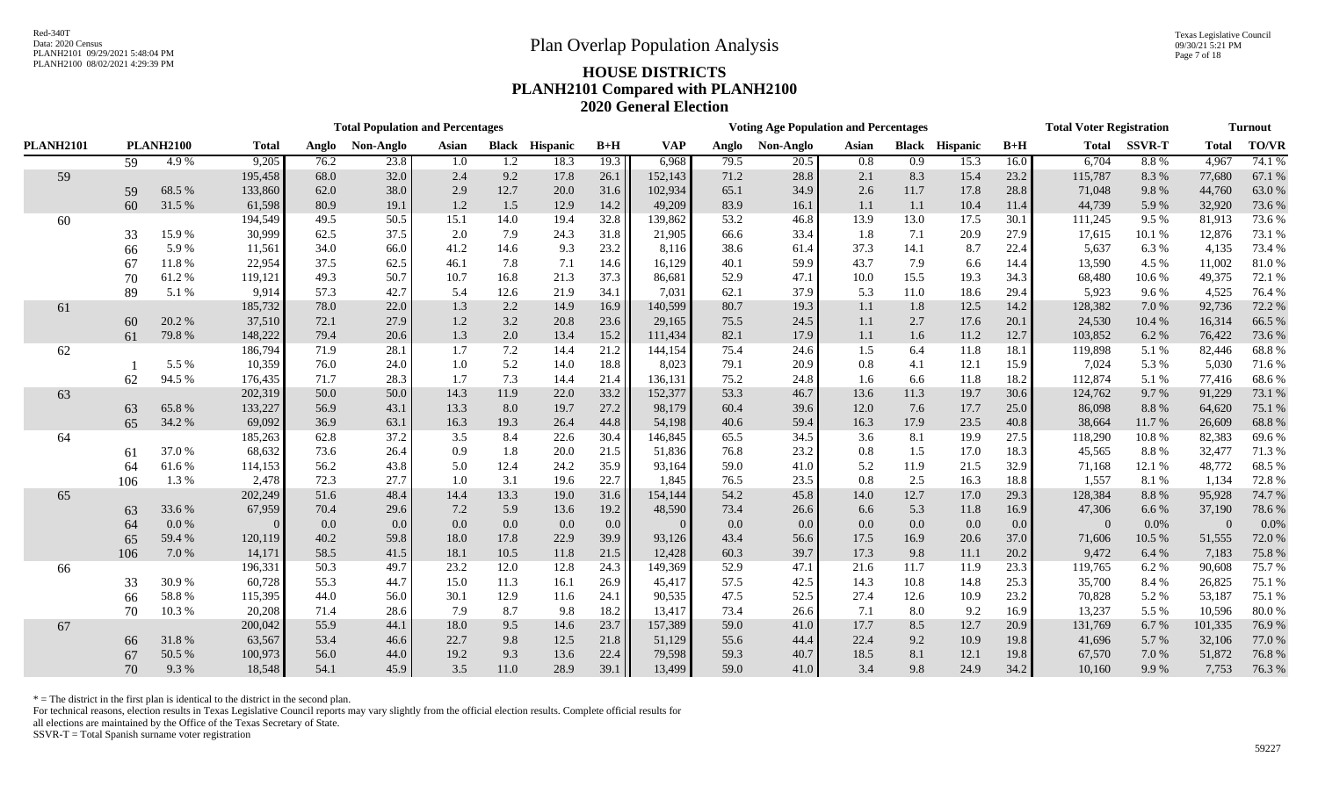Texas Legislative Council 09/30/21 5:21 PM Page 7 of 18

# PLANH2100 08/02/2021 4:29:39 PM **HOUSE DISTRICTS PLANH2101 Compared with PLANH2100 2020 General Election**

|                  |                  |        |              |       | <b>Total Population and Percentages</b> |       |              |                 |         |            |       | <b>Voting Age Population and Percentages</b> |       |      |                       |       | <b>Total Voter Registration</b> |               |              | <b>Turnout</b> |
|------------------|------------------|--------|--------------|-------|-----------------------------------------|-------|--------------|-----------------|---------|------------|-------|----------------------------------------------|-------|------|-----------------------|-------|---------------------------------|---------------|--------------|----------------|
| <b>PLANH2101</b> | <b>PLANH2100</b> |        | <b>Total</b> | Anglo | Non-Anglo                               | Asian | <b>Black</b> | <b>Hispanic</b> | $B+H$   | <b>VAP</b> | Anglo | Non-Anglo                                    | Asian |      | <b>Black Hispanic</b> | $B+H$ | <b>Total</b>                    | <b>SSVR-T</b> | <b>Total</b> | <b>TO/VR</b>   |
|                  | 59               | 4.9%   | 9,205        | 76.2  | 23.8                                    | 1.0   | 1.2          | 18.3            | 19.3    | 6,968      | 79.5  | 20.5                                         | 0.8   | 0.9  | 15.3                  | 16.0  | 6,704                           | 8.8%          | 4,967        | 74.1 %         |
| 59               |                  |        | 195,458      | 68.0  | 32.0                                    | 2.4   | 9.2          | 17.8            | 26.1    | 152,143    | 71.2  | 28.8                                         | 2.1   | 8.3  | 15.4                  | 23.2  | 115,787                         | 8.3%          | 77,680       | 67.1 %         |
|                  | 59               | 68.5%  | 133,860      | 62.0  | 38.0                                    | 2.9   | 12.7         | 20.0            | 31.6    | 102,934    | 65.1  | 34.9                                         | 2.6   | 11.7 | 17.8                  | 28.8  | 71,048                          | 9.8%          | 44,760       | 63.0%          |
|                  | 60               | 31.5 % | 61,598       | 80.9  | 19.1                                    | 1.2   | 1.5          | 12.9            | 14.2    | 49,209     | 83.9  | 16.1                                         | 1.1   | 1.1  | 10.4                  | 11.4  | 44,739                          | 5.9%          | 32,920       | 73.6%          |
| 60               |                  |        | 194,549      | 49.5  | 50.5                                    | 15.1  | 14.0         | 19.4            | 32.8    | 139,862    | 53.2  | 46.8                                         | 13.9  | 13.0 | 17.5                  | 30.1  | 111,245                         | 9.5 %         | 81,913       | 73.6%          |
|                  | 33               | 15.9%  | 30,999       | 62.5  | 37.5                                    | 2.0   | 7.9          | 24.3            | 31.8    | 21,905     | 66.6  | 33.4                                         | 1.8   | 7.1  | 20.9                  | 27.9  | 17,615                          | 10.1%         | 12,876       | 73.1 %         |
|                  | 66               | 5.9%   | 11,561       | 34.0  | 66.0                                    | 41.2  | 14.6         | 9.3             | 23.2    | 8,116      | 38.6  | 61.4                                         | 37.3  | 14.1 | 8.7                   | 22.4  | 5,637                           | 6.3%          | 4,135        | 73.4 %         |
|                  | 67               | 11.8 % | 22,954       | 37.5  | 62.5                                    | 46.1  | 7.8          | 7.1             | 14.6    | 16,129     | 40.1  | 59.9                                         | 43.7  | 7.9  | 6.6                   | 14.4  | 13,590                          | 4.5 %         | 11,002       | 81.0%          |
|                  | 70               | 61.2%  | 119,121      | 49.3  | 50.7                                    | 10.7  | 16.8         | 21.3            | 37.3    | 86,681     | 52.9  | 47.1                                         | 10.0  | 15.5 | 19.3                  | 34.3  | 68,480                          | 10.6%         | 49,375       | 72.1 %         |
|                  | 89               | 5.1 %  | 9,914        | 57.3  | 42.7                                    | 5.4   | 12.6         | 21.9            | 34.1    | 7,031      | 62.1  | 37.9                                         | 5.3   | 11.0 | 18.6                  | 29.4  | 5,923                           | 9.6 %         | 4,525        | 76.4 %         |
| 61               |                  |        | 185,732      | 78.0  | 22.0                                    | 1.3   | 2.2          | 14.9            | 16.9    | 140,599    | 80.7  | 19.3                                         | 1.1   | 1.8  | 12.5                  | 14.2  | 128,382                         | 7.0%          | 92,736       | 72.2 %         |
|                  | 60               | 20.2 % | 37,510       | 72.1  | 27.9                                    | 1.2   | 3.2          | 20.8            | 23.6    | 29,165     | 75.5  | 24.5                                         | 1.1   | 2.7  | 17.6                  | 20.1  | 24,530                          | 10.4 %        | 16,314       | 66.5%          |
|                  | 61               | 79.8%  | 148,222      | 79.4  | 20.6                                    | 1.3   | $2.0\,$      | 13.4            | 15.2    | 111,434    | 82.1  | 17.9                                         | 1.1   | 1.6  | 11.2                  | 12.7  | 103,852                         | 6.2%          | 76,422       | 73.6%          |
| 62               |                  |        | 186,794      | 71.9  | 28.1                                    | 1.7   | 7.2          | 14.4            | 21.2    | 144,154    | 75.4  | 24.6                                         | 1.5   | 6.4  | 11.8                  | 18.1  | 119,898                         | 5.1 %         | 82,446       | 68.8%          |
|                  |                  | 5.5 %  | 10,359       | 76.0  | 24.0                                    | 1.0   | 5.2          | 14.0            | 18.8    | 8,023      | 79.1  | 20.9                                         | 0.8   | 4.1  | 12.1                  | 15.9  | 7,024                           | 5.3 %         | 5,030        | 71.6%          |
|                  | 62               | 94.5 % | 176,435      | 71.7  | 28.3                                    | 1.7   | 7.3          | 14.4            | 21.4    | 136,131    | 75.2  | 24.8                                         | 1.6   | 6.6  | 11.8                  | 18.2  | 112,874                         | 5.1 %         | 77,416       | 68.6%          |
| 63               |                  |        | 202,319      | 50.0  | 50.0                                    | 14.3  | 11.9         | 22.0            | 33.2    | 152,377    | 53.3  | 46.7                                         | 13.6  | 11.3 | 19.7                  | 30.6  | 124,762                         | 9.7%          | 91,229       | 73.1 %         |
|                  | 63               | 65.8%  | 133,227      | 56.9  | 43.1                                    | 13.3  | 8.0          | 19.7            | 27.2    | 98,179     | 60.4  | 39.6                                         | 12.0  | 7.6  | 17.7                  | 25.0  | 86,098                          | 8.8%          | 64,620       | 75.1 %         |
|                  | 65               | 34.2 % | 69,092       | 36.9  | 63.1                                    | 16.3  | 19.3         | 26.4            | 44.8    | 54,198     | 40.6  | 59.4                                         | 16.3  | 17.9 | 23.5                  | 40.8  | 38,664                          | 11.7%         | 26,609       | 68.8%          |
| 64               |                  |        | 185,263      | 62.8  | 37.2                                    | 3.5   | 8.4          | 22.6            | 30.4    | 146,845    | 65.5  | 34.5                                         | 3.6   | 8.1  | 19.9                  | 27.5  | 118,290                         | 10.8%         | 82,383       | 69.6%          |
|                  | 61               | 37.0%  | 68,632       | 73.6  | 26.4                                    | 0.9   | 1.8          | 20.0            | 21.5    | 51,836     | 76.8  | 23.2                                         | 0.8   | 1.5  | 17.0                  | 18.3  | 45,565                          | 8.8%          | 32,477       | 71.3%          |
|                  | 64               | 61.6%  | 114,153      | 56.2  | 43.8                                    | 5.0   | 12.4         | 24.2            | 35.9    | 93,164     | 59.0  | 41.0                                         | 5.2   | 11.9 | 21.5                  | 32.9  | 71,168                          | 12.1 %        | 48,772       | 68.5 %         |
|                  | 106              | 1.3%   | 2,478        | 72.3  | 27.7                                    | 1.0   | 3.1          | 19.6            | 22.7    | 1,845      | 76.5  | 23.5                                         | 0.8   | 2.5  | 16.3                  | 18.8  | 1,557                           | 8.1 %         | 1,134        | 72.8%          |
| 65               |                  |        | 202,249      | 51.6  | 48.4                                    | 14.4  | 13.3         | 19.0            | 31.6    | 154,144    | 54.2  | 45.8                                         | 14.0  | 12.7 | 17.0                  | 29.3  | 128,384                         | 8.8%          | 95,928       | 74.7 %         |
|                  | 63               | 33.6%  | 67,959       | 70.4  | 29.6                                    | 7.2   | 5.9          | 13.6            | 19.2    | 48,590     | 73.4  | 26.6                                         | 6.6   | 5.3  | 11.8                  | 16.9  | 47,306                          | 6.6 %         | 37,190       | 78.6%          |
|                  | 64               | 0.0 %  |              | 0.0   | 0.0                                     | 0.0   | 0.0          | 0.0             | $0.0\,$ |            | 0.0   | 0.0                                          | 0.0   | 0.0  | 0.0                   | 0.0   | $\Omega$                        | 0.0%          |              | 0.0%           |
|                  | 65               | 59.4 % | 120,119      | 40.2  | 59.8                                    | 18.0  | 17.8         | 22.9            | 39.9    | 93,126     | 43.4  | 56.6                                         | 17.5  | 16.9 | 20.6                  | 37.0  | 71,606                          | 10.5 %        | 51,555       | 72.0 %         |
|                  | 106              | 7.0 %  | 14,171       | 58.5  | 41.5                                    | 18.1  | 10.5         | 11.8            | 21.5    | 12,428     | 60.3  | 39.7                                         | 17.3  | 9.8  | 11.1                  | 20.2  | 9,472                           | 6.4 %         | 7,183        | 75.8%          |
| 66               |                  |        | 196,331      | 50.3  | 49.7                                    | 23.2  | 12.0         | 12.8            | 24.3    | 149,369    | 52.9  | 47.1                                         | 21.6  | 11.7 | 11.9                  | 23.3  | 119,765                         | 6.2 %         | 90,608       | 75.7 %         |
|                  | 33               | 30.9%  | 60,728       | 55.3  | 44.7                                    | 15.0  | 11.3         | 16.1            | 26.9    | 45,417     | 57.5  | 42.5                                         | 14.3  | 10.8 | 14.8                  | 25.3  | 35,700                          | 8.4 %         | 26,825       | 75.1 %         |
|                  | 66               | 58.8%  | 115,395      | 44.0  | 56.0                                    | 30.1  | 12.9         | 11.6            | 24.1    | 90,535     | 47.5  | 52.5                                         | 27.4  | 12.6 | 10.9                  | 23.2  | 70,828                          | 5.2%          | 53,187       | 75.1 %         |
|                  | 70               | 10.3%  | 20,208       | 71.4  | 28.6                                    | 7.9   | 8.7          | 9.8             | 18.2    | 13,417     | 73.4  | 26.6                                         | 7.1   | 8.0  | 9.2                   | 16.9  | 13,237                          | 5.5 %         | 10,596       | 80.0%          |
| 67               |                  |        | 200,042      | 55.9  | 44.1                                    | 18.0  | 9.5          | 14.6            | 23.7    | 157,389    | 59.0  | 41.0                                         | 17.7  | 8.5  | 12.7                  | 20.9  | 131,769                         | 6.7%          | 101,335      | 76.9 %         |
|                  | 66               | 31.8%  | 63,567       | 53.4  | 46.6                                    | 22.7  | 9.8          | 12.5            | 21.8    | 51,129     | 55.6  | 44.4                                         | 22.4  | 9.2  | 10.9                  | 19.8  | 41,696                          | 5.7 %         | 32,106       | 77.0 %         |
|                  | 67               | 50.5 % | 100,973      | 56.0  | 44.0                                    | 19.2  | 9.3          | 13.6            | 22.4    | 79,598     | 59.3  | 40.7                                         | 18.5  | 8.1  | 12.1                  | 19.8  | 67,570                          | 7.0 %         | 51,872       | 76.8%          |
|                  | 70               | 9.3%   | 18,548       | 54.1  | 45.9                                    | 3.5   | 11.0         | 28.9            | 39.1    | 13,499     | 59.0  | 41.0                                         | 3.4   | 9.8  | 24.9                  | 34.2  | 10,160                          | 9.9%          | 7,753        | 76.3 %         |

 $*$  = The district in the first plan is identical to the district in the second plan.

For technical reasons, election results in Texas Legislative Council reports may vary slightly from the official election results. Complete official results for

all elections are maintained by the Office of the Texas Secretary of State.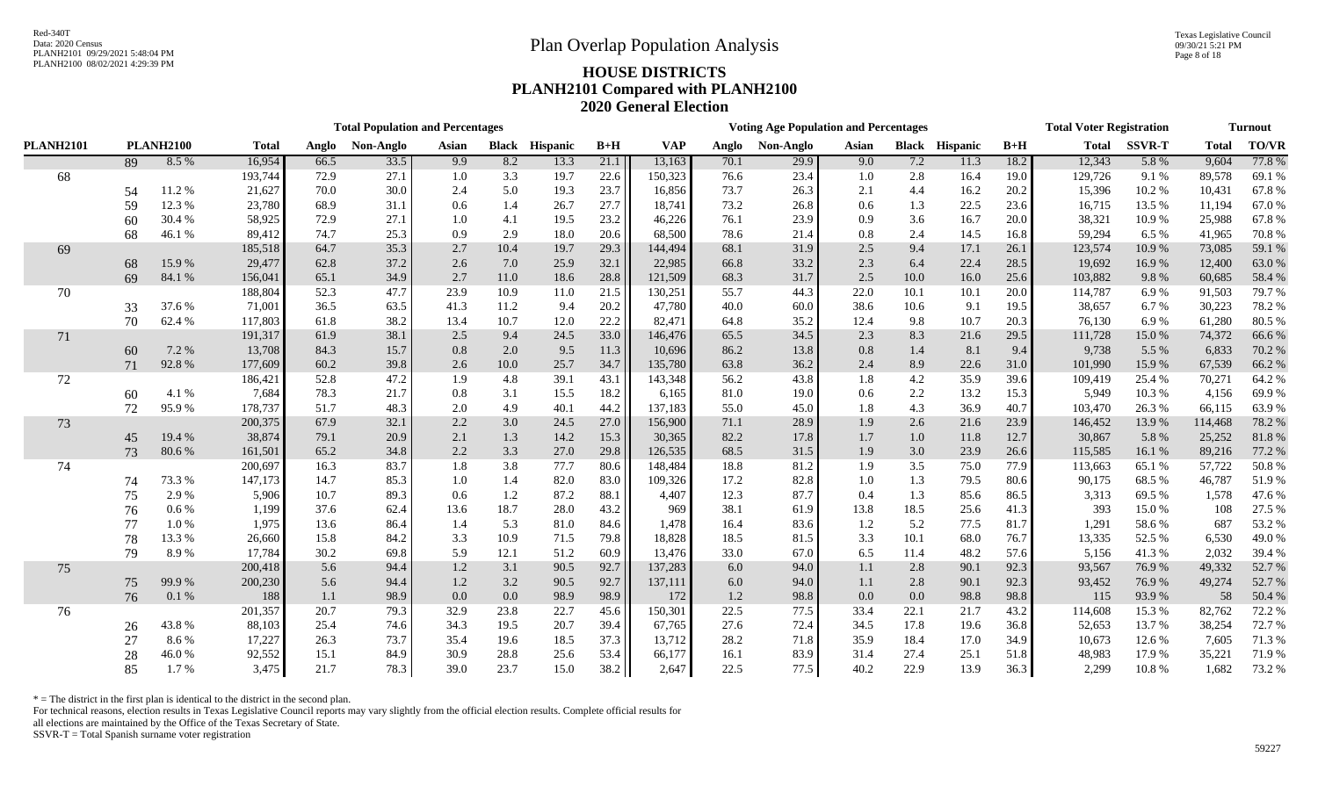Texas Legislative Council 09/30/21 5:21 PM Page 8 of 18

# PLANH2100 08/02/2021 4:29:39 PM **HOUSE DISTRICTS PLANH2101 Compared with PLANH2100 2020 General Election**

|                  |    |                  |              |       | <b>Total Population and Percentages</b> |         |      |                       |       |            |       | <b>Voting Age Population and Percentages</b> |         |      |                       |       | <b>Total Voter Registration</b> |               |              | <b>Turnout</b> |
|------------------|----|------------------|--------------|-------|-----------------------------------------|---------|------|-----------------------|-------|------------|-------|----------------------------------------------|---------|------|-----------------------|-------|---------------------------------|---------------|--------------|----------------|
| <b>PLANH2101</b> |    | <b>PLANH2100</b> | <b>Total</b> | Anglo | Non-Anglo                               | Asian   |      | <b>Black Hispanic</b> | $B+H$ | <b>VAP</b> | Anglo | Non-Anglo                                    | Asian   |      | <b>Black Hispanic</b> | $B+H$ | <b>Total</b>                    | <b>SSVR-T</b> | <b>Total</b> | <b>TO/VR</b>   |
|                  | 89 | 8.5 %            | 16,954       | 66.5  | 33.5                                    | 9.9     | 8.2  | 13.3                  | 21.1  | 13,163     | 70.1  | 29.9                                         | 9.0     | 7.2  | 11.3                  | 18.2  | 12,343                          | 5.8%          | 9,604        | 77.8%          |
| 68               |    |                  | 193,744      | 72.9  | 27.1                                    | 1.0     | 3.3  | 19.7                  | 22.6  | 150,323    | 76.6  | 23.4                                         | 1.0     | 2.8  | 16.4                  | 19.0  | 129,726                         | 9.1 %         | 89,578       | 69.1%          |
|                  | 54 | 11.2%            | 21,627       | 70.0  | 30.0                                    | 2.4     | 5.0  | 19.3                  | 23.7  | 16,856     | 73.7  | 26.3                                         | 2.1     | 4.4  | 16.2                  | 20.2  | 15,396                          | 10.2%         | 10,431       | 67.8%          |
|                  | 59 | 12.3 %           | 23,780       | 68.9  | 31.1                                    | 0.6     | 1.4  | 26.7                  | 27.7  | 18,741     | 73.2  | 26.8                                         | 0.6     | 1.3  | 22.5                  | 23.6  | 16,715                          | 13.5 %        | 11,194       | 67.0%          |
|                  | 60 | 30.4 %           | 58,925       | 72.9  | 27.1                                    | $1.0\,$ | 4.1  | 19.5                  | 23.2  | 46,226     | 76.1  | 23.9                                         | 0.9     | 3.6  | 16.7                  | 20.0  | 38,321                          | 10.9%         | 25,988       | 67.8%          |
|                  | 68 | 46.1%            | 89,412       | 74.7  | 25.3                                    | 0.9     | 2.9  | 18.0                  | 20.6  | 68,500     | 78.6  | 21.4                                         | 0.8     | 2.4  | 14.5                  | 16.8  | 59,294                          | 6.5 %         | 41,965       | 70.8%          |
| 69               |    |                  | 185,518      | 64.7  | 35.3                                    | 2.7     | 10.4 | 19.7                  | 29.3  | 144,494    | 68.1  | 31.9                                         | 2.5     | 9.4  | 17.1                  | 26.1  | 123,574                         | 10.9%         | 73,085       | 59.1 %         |
|                  | 68 | 15.9%            | 29,477       | 62.8  | 37.2                                    | 2.6     | 7.0  | 25.9                  | 32.1  | 22,985     | 66.8  | 33.2                                         | 2.3     | 6.4  | 22.4                  | 28.5  | 19,692                          | 16.9%         | 12,400       | 63.0%          |
|                  | 69 | 84.1 %           | 156,041      | 65.1  | 34.9                                    | 2.7     | 11.0 | 18.6                  | 28.8  | 121,509    | 68.3  | 31.7                                         | $2.5\,$ | 10.0 | 16.0                  | 25.6  | 103,882                         | 9.8%          | 60,685       | 58.4 %         |
| 70               |    |                  | 188,804      | 52.3  | 47.7                                    | 23.9    | 10.9 | 11.0                  | 21.5  | 130,251    | 55.7  | 44.3                                         | 22.0    | 10.1 | 10.1                  | 20.0  | 114,787                         | 6.9%          | 91,503       | 79.7 %         |
|                  | 33 | 37.6 %           | 71,001       | 36.5  | 63.5                                    | 41.3    | 11.2 | 9.4                   | 20.2  | 47,780     | 40.0  | 60.0                                         | 38.6    | 10.6 | 9.1                   | 19.5  | 38,657                          | 6.7%          | 30,223       | 78.2 %         |
|                  | 70 | 62.4%            | 117,803      | 61.8  | 38.2                                    | 13.4    | 10.7 | 12.0                  | 22.2  | 82,471     | 64.8  | 35.2                                         | 12.4    | 9.8  | 10.7                  | 20.3  | 76,130                          | 6.9%          | 61,280       | 80.5%          |
| 71               |    |                  | 191,317      | 61.9  | 38.1                                    | 2.5     | 9.4  | 24.5                  | 33.0  | 146,476    | 65.5  | 34.5                                         | 2.3     | 8.3  | 21.6                  | 29.5  | 111,728                         | 15.0%         | 74,372       | 66.6%          |
|                  | 60 | 7.2 %            | 13,708       | 84.3  | 15.7                                    | 0.8     | 2.0  | 9.5                   | 11.3  | 10,696     | 86.2  | 13.8                                         | 0.8     | 1.4  | 8.1                   | 9.4   | 9,738                           | 5.5 %         | 6,833        | 70.2 %         |
|                  | 71 | 92.8%            | 177,609      | 60.2  | 39.8                                    | 2.6     | 10.0 | 25.7                  | 34.7  | 135,780    | 63.8  | 36.2                                         | 2.4     | 8.9  | 22.6                  | 31.0  | 101,990                         | 15.9%         | 67,539       | 66.2 %         |
| 72               |    |                  | 186,421      | 52.8  | 47.2                                    | 1.9     | 4.8  | 39.1                  | 43.1  | 143,348    | 56.2  | 43.8                                         | 1.8     | 4.2  | 35.9                  | 39.6  | 109,419                         | 25.4 %        | 70,271       | 64.2 %         |
|                  | 60 | 4.1 %            | 7,684        | 78.3  | 21.7                                    | 0.8     | 3.1  | 15.5                  | 18.2  | 6,165      | 81.0  | 19.0                                         | 0.6     | 2.2  | 13.2                  | 15.3  | 5,949                           | 10.3%         | 4,156        | 69.9%          |
|                  | 72 | 95.9%            | 178,737      | 51.7  | 48.3                                    | 2.0     | 4.9  | 40.1                  | 44.2  | 137,183    | 55.0  | 45.0                                         | 1.8     | 4.3  | 36.9                  | 40.7  | 103,470                         | 26.3%         | 66,115       | 63.9%          |
| 73               |    |                  | 200,375      | 67.9  | 32.1                                    | 2.2     | 3.0  | 24.5                  | 27.0  | 156,900    | 71.1  | 28.9                                         | 1.9     | 2.6  | 21.6                  | 23.9  | 146,452                         | 13.9%         | 114,468      | 78.2 %         |
|                  | 45 | 19.4 %           | 38,874       | 79.1  | 20.9                                    | 2.1     | 1.3  | 14.2                  | 15.3  | 30,365     | 82.2  | 17.8                                         | 1.7     | 1.0  | 11.8                  | 12.7  | 30,867                          | 5.8 %         | 25,252       | 81.8%          |
|                  | 73 | 80.6%            | 161,501      | 65.2  | 34.8                                    | 2.2     | 3.3  | 27.0                  | 29.8  | 126,535    | 68.5  | 31.5                                         | 1.9     | 3.0  | 23.9                  | 26.6  | 115,585                         | 16.1%         | 89,216       | 77.2 %         |
| 74               |    |                  | 200,697      | 16.3  | 83.7                                    | 1.8     | 3.8  | 77.7                  | 80.6  | 148,484    | 18.8  | 81.2                                         | 1.9     | 3.5  | 75.0                  | 77.9  | 113,663                         | 65.1 %        | 57,722       | 50.8%          |
|                  | 74 | 73.3 %           | 147,173      | 14.7  | 85.3                                    | 1.0     | 1.4  | 82.0                  | 83.0  | 109,326    | 17.2  | 82.8                                         | $1.0\,$ | 1.3  | 79.5                  | 80.6  | 90,175                          | 68.5%         | 46,787       | 51.9%          |
|                  | 75 | 2.9%             | 5,906        | 10.7  | 89.3                                    | 0.6     | 1.2  | 87.2                  | 88.1  | 4,407      | 12.3  | 87.7                                         | 0.4     | 1.3  | 85.6                  | 86.5  | 3,313                           | 69.5 %        | 1,578        | 47.6%          |
|                  | 76 | $0.6\%$          | 1,199        | 37.6  | 62.4                                    | 13.6    | 18.7 | 28.0                  | 43.2  | 969        | 38.1  | 61.9                                         | 13.8    | 18.5 | 25.6                  | 41.3  | 393                             | 15.0%         | 108          | 27.5 %         |
|                  | 77 | $1.0\ \%$        | 1,975        | 13.6  | 86.4                                    | 1.4     | 5.3  | 81.0                  | 84.6  | 1,478      | 16.4  | 83.6                                         | 1.2     | 5.2  | 77.5                  | 81.7  | 1,291                           | 58.6%         | 687          | 53.2 %         |
|                  | 78 | 13.3 %           | 26,660       | 15.8  | 84.2                                    | 3.3     | 10.9 | 71.5                  | 79.8  | 18,828     | 18.5  | 81.5                                         | 3.3     | 10.1 | 68.0                  | 76.7  | 13,335                          | 52.5 %        | 6,530        | 49.0%          |
|                  | 79 | 8.9%             | 17,784       | 30.2  | 69.8                                    | 5.9     | 12.1 | 51.2                  | 60.9  | 13,476     | 33.0  | 67.0                                         | 6.5     | 11.4 | 48.2                  | 57.6  | 5,156                           | 41.3%         | 2,032        | 39.4 %         |
| 75               |    |                  | 200,418      | 5.6   | 94.4                                    | 1.2     | 3.1  | 90.5                  | 92.7  | 137,283    | 6.0   | 94.0                                         | 1.1     | 2.8  | 90.1                  | 92.3  | 93,567                          | 76.9%         | 49,332       | 52.7 %         |
|                  | 75 | 99.9%            | 200,230      | 5.6   | 94.4                                    | 1.2     | 3.2  | 90.5                  | 92.7  | 137,111    | 6.0   | 94.0                                         | 1.1     | 2.8  | 90.1                  | 92.3  | 93,452                          | 76.9%         | 49,274       | 52.7 %         |
|                  | 76 | 0.1 %            | 188          | 1.1   | 98.9                                    | 0.0     | 0.0  | 98.9                  | 98.9  | 172        | 1.2   | 98.8                                         | 0.0     | 0.0  | 98.8                  | 98.8  | 115                             | 93.9%         | 58           | 50.4 %         |
| 76               |    |                  | 201,357      | 20.7  | 79.3                                    | 32.9    | 23.8 | 22.7                  | 45.6  | 150,301    | 22.5  | 77.5                                         | 33.4    | 22.1 | 21.7                  | 43.2  | 114,608                         | 15.3 %        | 82,762       | 72.2 %         |
|                  | 26 | 43.8%            | 88,103       | 25.4  | 74.6                                    | 34.3    | 19.5 | 20.7                  | 39.4  | 67,765     | 27.6  | 72.4                                         | 34.5    | 17.8 | 19.6                  | 36.8  | 52,653                          | 13.7%         | 38,254       | 72.7 %         |
|                  | 27 | 8.6%             | 17,227       | 26.3  | 73.7                                    | 35.4    | 19.6 | 18.5                  | 37.3  | 13,712     | 28.2  | 71.8                                         | 35.9    | 18.4 | 17.0                  | 34.9  | 10,673                          | 12.6 %        | 7,605        | 71.3%          |
|                  | 28 | 46.0%            | 92,552       | 15.1  | 84.9                                    | 30.9    | 28.8 | 25.6                  | 53.4  | 66,177     | 16.1  | 83.9                                         | 31.4    | 27.4 | 25.1                  | 51.8  | 48,983                          | 17.9%         | 35,221       | 71.9 %         |
|                  | 85 | 1.7%             | 3,475        | 21.7  | 78.3                                    | 39.0    | 23.7 | 15.0                  | 38.2  | 2,647      | 22.5  | 77.5                                         | 40.2    | 22.9 | 13.9                  | 36.3  | 2,299                           | 10.8%         | 1,682        | 73.2 %         |

 $*$  = The district in the first plan is identical to the district in the second plan.

For technical reasons, election results in Texas Legislative Council reports may vary slightly from the official election results. Complete official results for

all elections are maintained by the Office of the Texas Secretary of State.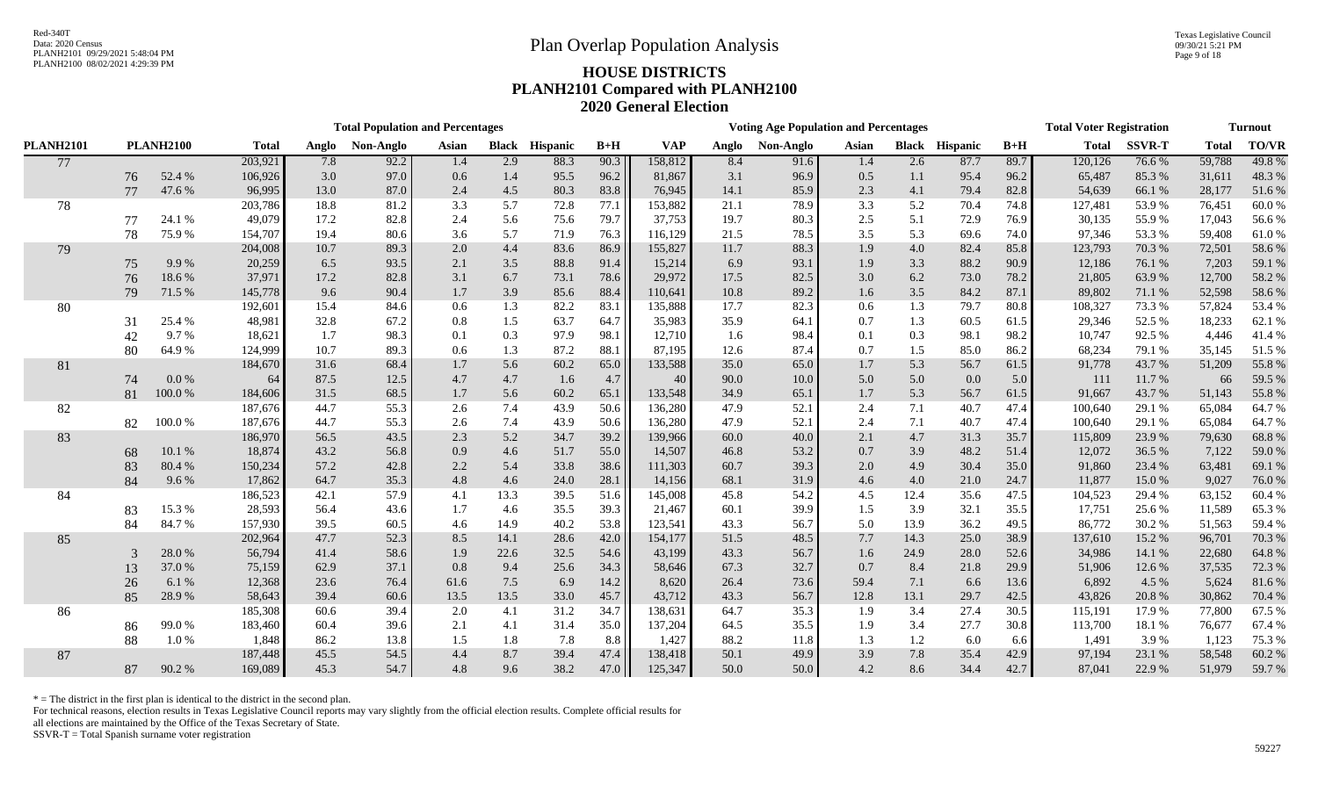Texas Legislative Council 09/30/21 5:21 PM Page 9 of 18

# PLANH2100 08/02/2021 4:29:39 PM **HOUSE DISTRICTS PLANH2101 Compared with PLANH2100 2020 General Election**

|                  |    |                  |              |       | <b>Total Population and Percentages</b> |       |       |                       |       |            |       | <b>Voting Age Population and Percentages</b> |       |      |                       |       | <b>Total Voter Registration</b> |               |              | <b>Turnout</b> |
|------------------|----|------------------|--------------|-------|-----------------------------------------|-------|-------|-----------------------|-------|------------|-------|----------------------------------------------|-------|------|-----------------------|-------|---------------------------------|---------------|--------------|----------------|
| <b>PLANH2101</b> |    | <b>PLANH2100</b> | <b>Total</b> | Anglo | Non-Anglo                               | Asian |       | <b>Black Hispanic</b> | $B+H$ | <b>VAP</b> | Anglo | Non-Anglo                                    | Asian |      | <b>Black Hispanic</b> | $B+H$ | <b>Total</b>                    | <b>SSVR-T</b> | <b>Total</b> | <b>TO/VR</b>   |
| 77               |    |                  | 203,921      | 7.8   | 92.2                                    | 1.4   | 2.9   | 88.3                  | 90.3  | 158,812    | 8.4   | 91.6                                         | 1.4   | 2.6  | 87.7                  | 89.7  | 120,126                         | 76.6%         | 59,788       | 49.8%          |
|                  | 76 | 52.4 %           | 106,926      | 3.0   | 97.0                                    | 0.6   | 1.4   | 95.5                  | 96.2  | 81,867     | 3.1   | 96.9                                         | 0.5   | 1.1  | 95.4                  | 96.2  | 65,487                          | 85.3%         | 31,611       | 48.3%          |
|                  | 77 | 47.6 %           | 96,995       | 13.0  | 87.0                                    | 2.4   | 4.5   | 80.3                  | 83.8  | 76,945     | 14.1  | 85.9                                         | 2.3   | 4.1  | 79.4                  | 82.8  | 54,639                          | 66.1 %        | 28,177       | 51.6%          |
| 78               |    |                  | 203,786      | 18.8  | 81.2                                    | 3.3   | 5.7   | 72.8                  | 77.1  | 153,882    | 21.1  | 78.9                                         | 3.3   | 5.2  | 70.4                  | 74.8  | 127,481                         | 53.9%         | 76,451       | 60.0%          |
|                  | 77 | 24.1 %           | 49,079       | 17.2  | 82.8                                    | 2.4   | 5.6   | 75.6                  | 79.7  | 37,753     | 19.7  | 80.3                                         | 2.5   | 5.1  | 72.9                  | 76.9  | 30,135                          | 55.9%         | 17,043       | 56.6%          |
|                  | 78 | 75.9%            | 154,707      | 19.4  | 80.6                                    | 3.6   | 5.7   | 71.9                  | 76.3  | 116,129    | 21.5  | 78.5                                         | 3.5   | 5.3  | 69.6                  | 74.0  | 97,346                          | 53.3%         | 59,408       | 61.0%          |
| 79               |    |                  | 204,008      | 10.7  | 89.3                                    | 2.0   | 4.4   | 83.6                  | 86.9  | 155,827    | 11.7  | 88.3                                         | 1.9   | 4.0  | 82.4                  | 85.8  | 123,793                         | 70.3 %        | 72,501       | 58.6 %         |
|                  | 75 | 9.9%             | 20,259       | 6.5   | 93.5                                    | 2.1   | $3.5$ | 88.8                  | 91.4  | 15,214     | 6.9   | 93.1                                         | 1.9   | 3.3  | 88.2                  | 90.9  | 12,186                          | 76.1 %        | 7,203        | 59.1 %         |
|                  | 76 | 18.6%            | 37,971       | 17.2  | 82.8                                    | 3.1   | 6.7   | 73.1                  | 78.6  | 29,972     | 17.5  | 82.5                                         | 3.0   | 6.2  | 73.0                  | 78.2  | 21,805                          | 63.9%         | 12,700       | 58.2 %         |
|                  | 79 | 71.5 %           | 145,778      | 9.6   | 90.4                                    | 1.7   | 3.9   | 85.6                  | 88.4  | 110,641    | 10.8  | 89.2                                         | 1.6   | 3.5  | 84.2                  | 87.1  | 89,802                          | 71.1 %        | 52,598       | 58.6 %         |
| 80               |    |                  | 192,601      | 15.4  | 84.6                                    | 0.6   | 1.3   | 82.2                  | 83.1  | 135,888    | 17.7  | 82.3                                         | 0.6   | 1.3  | 79.7                  | 80.8  | 108,327                         | 73.3%         | 57,824       | 53.4 %         |
|                  | 31 | 25.4 %           | 48,981       | 32.8  | 67.2                                    | 0.8   | 1.5   | 63.7                  | 64.7  | 35,983     | 35.9  | 64.1                                         | 0.7   | 1.3  | 60.5                  | 61.5  | 29,346                          | 52.5 %        | 18,233       | 62.1 %         |
|                  | 42 | 9.7%             | 18,621       | 1.7   | 98.3                                    | 0.1   | 0.3   | 97.9                  | 98.1  | 12,710     | 1.6   | 98.4                                         | 0.1   | 0.3  | 98.1                  | 98.2  | 10,747                          | 92.5 %        | 4,446        | 41.4%          |
|                  | 80 | 64.9%            | 124,999      | 10.7  | 89.3                                    | 0.6   | 1.3   | 87.2                  | 88.1  | 87,195     | 12.6  | 87.4                                         | 0.7   | 1.5  | 85.0                  | 86.2  | 68,234                          | 79.1 %        | 35,145       | 51.5 %         |
| 81               |    |                  | 184,670      | 31.6  | 68.4                                    | 1.7   | 5.6   | 60.2                  | 65.0  | 133,588    | 35.0  | 65.0                                         | 1.7   | 5.3  | 56.7                  | 61.5  | 91,778                          | 43.7%         | 51,209       | 55.8 %         |
|                  | 74 | 0.0 %            | -64          | 87.5  | 12.5                                    | 4.7   | 4.7   | 1.6                   | 4.7   | 40         | 90.0  | 10.0                                         | 5.0   | 5.0  | 0.0                   | 5.0   | 111                             | 11.7%         | 66           | 59.5 %         |
|                  | 81 | 100.0 %          | 184,606      | 31.5  | 68.5                                    | 1.7   | 5.6   | 60.2                  | 65.1  | 133,548    | 34.9  | 65.1                                         | 1.7   | 5.3  | 56.7                  | 61.5  | 91,667                          | 43.7%         | 51,143       | 55.8%          |
| 82               |    |                  | 187,676      | 44.7  | 55.3                                    | 2.6   | 7.4   | 43.9                  | 50.6  | 136,280    | 47.9  | 52.1                                         | 2.4   | 7.1  | 40.7                  | 47.4  | 100,640                         | 29.1 %        | 65,084       | 64.7%          |
|                  | 82 | 100.0%           | 187,676      | 44.7  | 55.3                                    | 2.6   | 7.4   | 43.9                  | 50.6  | 136,280    | 47.9  | 52.1                                         | 2.4   | 7.1  | 40.7                  | 47.4  | 100,640                         | 29.1 %        | 65,084       | 64.7%          |
| 83               |    |                  | 186,970      | 56.5  | 43.5                                    | 2.3   | 5.2   | 34.7                  | 39.2  | 139,966    | 60.0  | 40.0                                         | 2.1   | 4.7  | 31.3                  | 35.7  | 115,809                         | 23.9%         | 79,630       | 68.8 %         |
|                  | 68 | 10.1%            | 18,874       | 43.2  | 56.8                                    | 0.9   | 4.6   | 51.7                  | 55.0  | 14,507     | 46.8  | 53.2                                         | 0.7   | 3.9  | 48.2                  | 51.4  | 12,072                          | 36.5 %        | 7,122        | 59.0 %         |
|                  | 83 | 80.4 %           | 150,234      | 57.2  | 42.8                                    | 2.2   | 5.4   | 33.8                  | 38.6  | 111,303    | 60.7  | 39.3                                         | 2.0   | 4.9  | 30.4                  | 35.0  | 91,860                          | 23.4 %        | 63,481       | 69.1 %         |
|                  | 84 | 9.6%             | 17,862       | 64.7  | 35.3                                    | 4.8   | 4.6   | 24.0                  | 28.1  | 14,156     | 68.1  | 31.9                                         | 4.6   | 4.0  | 21.0                  | 24.7  | 11,877                          | 15.0%         | 9,027        | 76.0%          |
| 84               |    |                  | 186,523      | 42.1  | 57.9                                    | 4.1   | 13.3  | 39.5                  | 51.6  | 145,008    | 45.8  | 54.2                                         | 4.5   | 12.4 | 35.6                  | 47.5  | 104,523                         | 29.4 %        | 63,152       | 60.4 %         |
|                  | 83 | 15.3%            | 28,593       | 56.4  | 43.6                                    | 1.7   | 4.6   | 35.5                  | 39.3  | 21,467     | 60.1  | 39.9                                         | 1.5   | 3.9  | 32.1                  | 35.5  | 17,751                          | 25.6%         | 11,589       | 65.3 %         |
|                  | 84 | 84.7%            | 157,930      | 39.5  | 60.5                                    | 4.6   | 14.9  | 40.2                  | 53.8  | 123,541    | 43.3  | 56.7                                         | 5.0   | 13.9 | 36.2                  | 49.5  | 86,772                          | 30.2 %        | 51,563       | 59.4 %         |
| 85               |    |                  | 202,964      | 47.7  | 52.3                                    | 8.5   | 14.1  | 28.6                  | 42.0  | 154,177    | 51.5  | 48.5                                         | 7.7   | 14.3 | 25.0                  | 38.9  | 137,610                         | 15.2 %        | 96,701       | 70.3 %         |
|                  | 3  | 28.0%            | 56,794       | 41.4  | 58.6                                    | 1.9   | 22.6  | 32.5                  | 54.6  | 43,199     | 43.3  | 56.7                                         | 1.6   | 24.9 | 28.0                  | 52.6  | 34,986                          | 14.1 %        | 22,680       | 64.8 %         |
|                  | 13 | 37.0%            | 75,159       | 62.9  | 37.1                                    | 0.8   | 9.4   | 25.6                  | 34.3  | 58,646     | 67.3  | 32.7                                         | 0.7   | 8.4  | 21.8                  | 29.9  | 51,906                          | 12.6 %        | 37,535       | 72.3 %         |
|                  | 26 | 6.1 %            | 12,368       | 23.6  | 76.4                                    | 61.6  | 7.5   | 6.9                   | 14.2  | 8,620      | 26.4  | 73.6                                         | 59.4  | 7.1  | 6.6                   | 13.6  | 6,892                           | 4.5 %         | 5,624        | 81.6%          |
|                  | 85 | 28.9%            | 58,643       | 39.4  | 60.6                                    | 13.5  | 13.5  | 33.0                  | 45.7  | 43,712     | 43.3  | 56.7                                         | 12.8  | 13.1 | 29.7                  | 42.5  | 43,826                          | 20.8%         | 30,862       | 70.4 %         |
| 86               |    |                  | 185,308      | 60.6  | 39.4                                    | 2.0   | 4.1   | 31.2                  | 34.7  | 138,631    | 64.7  | 35.3                                         | 1.9   | 3.4  | 27.4                  | 30.5  | 115,191                         | 17.9 %        | 77,800       | 67.5 %         |
|                  | 86 | 99.0%            | 183,460      | 60.4  | 39.6                                    | 2.1   | 4.1   | 31.4                  | 35.0  | 137,204    | 64.5  | 35.5                                         | 1.9   | 3.4  | 27.7                  | 30.8  | 113,700                         | 18.1 %        | 76,677       | 67.4 %         |
|                  | 88 | 1.0%             | 1,848        | 86.2  | 13.8                                    | 1.5   | 1.8   | 7.8                   | 8.8   | 1,427      | 88.2  | 11.8                                         | 1.3   | 1.2  | 6.0                   | 6.6   | 1,491                           | 3.9 %         | 1,123        | 75.3 %         |
| 87               |    |                  | 187,448      | 45.5  | 54.5                                    | 4.4   | 8.7   | 39.4                  | 47.4  | 138,418    | 50.1  | 49.9                                         | 3.9   | 7.8  | 35.4                  | 42.9  | 97,194                          | 23.1 %        | 58,548       | 60.2 %         |
|                  | 87 | 90.2%            | 169,089      | 45.3  | 54.7                                    | 4.8   | 9.6   | 38.2                  | 47.0  | 125,347    | 50.0  | 50.0                                         | 4.2   | 8.6  | 34.4                  | 42.7  | 87,041                          | 22.9 %        | 51,979       | 59.7 %         |

 $*$  = The district in the first plan is identical to the district in the second plan.

For technical reasons, election results in Texas Legislative Council reports may vary slightly from the official election results. Complete official results for

all elections are maintained by the Office of the Texas Secretary of State.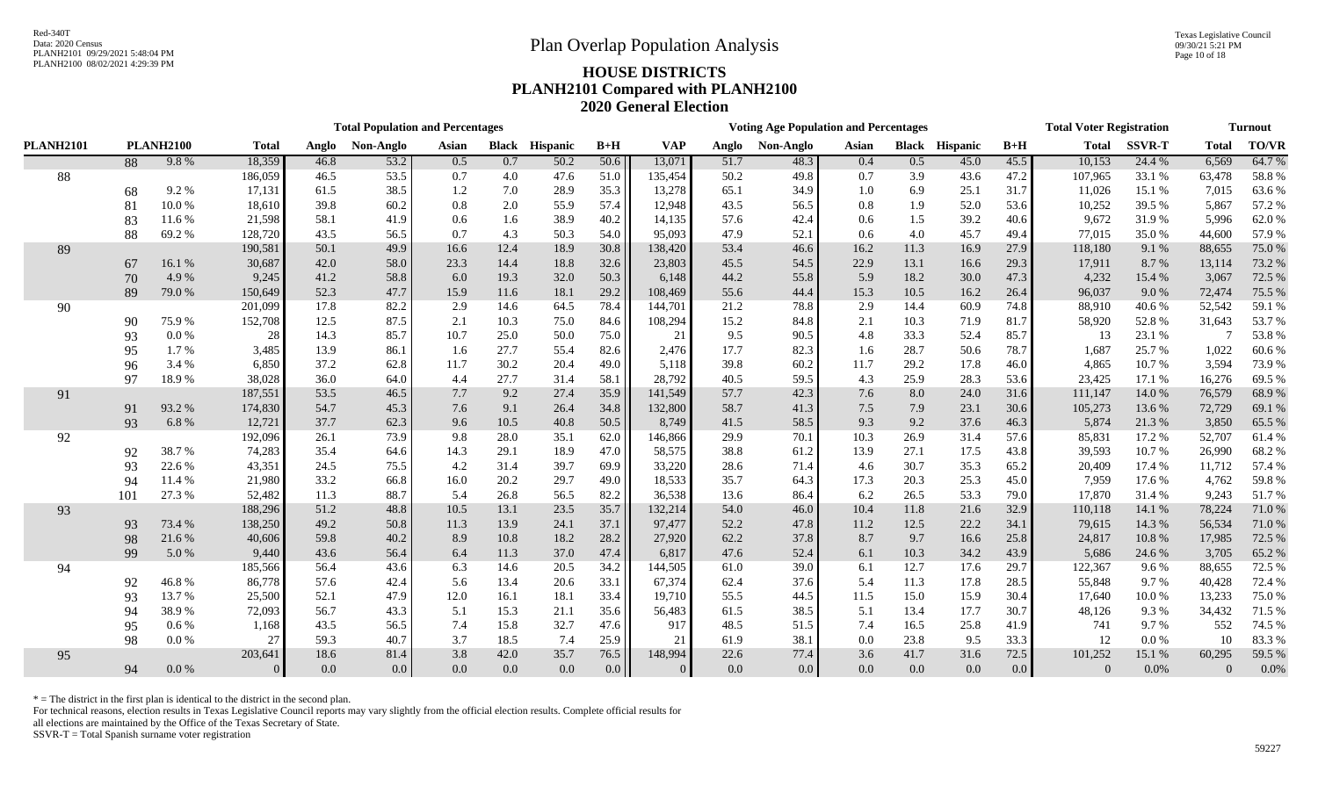Texas Legislative Council 09/30/21 5:21 PM Page 10 of 18

# PLANH2100 08/02/2021 4:29:39 PM **HOUSE DISTRICTS PLANH2101 Compared with PLANH2100 2020 General Election**

|                  |     |                  |                |       | <b>Total Population and Percentages</b> |       |       |                 |       |                |       | <b>Voting Age Population and Percentages</b> |       |      |                       |                  | <b>Total Voter Registration</b> |               |              | <b>Turnout</b> |
|------------------|-----|------------------|----------------|-------|-----------------------------------------|-------|-------|-----------------|-------|----------------|-------|----------------------------------------------|-------|------|-----------------------|------------------|---------------------------------|---------------|--------------|----------------|
| <b>PLANH2101</b> |     | <b>PLANH2100</b> | <b>Total</b>   | Anglo | Non-Anglo                               | Asian | Black | <b>Hispanic</b> | $B+H$ | <b>VAP</b>     | Anglo | Non-Anglo                                    | Asian |      | <b>Black Hispanic</b> | $B+H$            | <b>Total</b>                    | <b>SSVR-T</b> | <b>Total</b> | <b>TO/VR</b>   |
|                  | 88  | 9.8%             | 18,359         | 46.8  | 53.2                                    | 0.5   | 0.7   | 50.2            | 50.6  | 13,071         | 51.7  | 48.3                                         | 0.4   | 0.5  | 45.0                  | 45.5             | 10,153                          | 24.4 %        | 6,569        | 64.7%          |
| 88               |     |                  | 186,059        | 46.5  | 53.5                                    | 0.7   | 4.0   | 47.6            | 51.0  | 135,454        | 50.2  | 49.8                                         | 0.7   | 3.9  | 43.6                  | 47.2             | 107,965                         | 33.1 %        | 63,478       | 58.8%          |
|                  | 68  | 9.2%             | 17,131         | 61.5  | 38.5                                    | 1.2   | 7.0   | 28.9            | 35.3  | 13,278         | 65.1  | 34.9                                         | 1.0   | 6.9  | 25.1                  | 31.7             | 11,026                          | 15.1 %        | 7,015        | 63.6%          |
|                  | 81  | $10.0\ \%$       | 18,610         | 39.8  | 60.2                                    | 0.8   | 2.0   | 55.9            | 57.4  | 12,948         | 43.5  | 56.5                                         | 0.8   | 1.9  | 52.0                  | 53.6             | 10,252                          | 39.5 %        | 5,867        | 57.2 %         |
|                  | 83  | 11.6%            | 21,598         | 58.1  | 41.9                                    | 0.6   | 1.6   | 38.9            | 40.2  | 14,135         | 57.6  | 42.4                                         | 0.6   | 1.5  | 39.2                  | 40.6             | 9,672                           | 31.9%         | 5,996        | 62.0%          |
|                  | 88  | 69.2%            | 128,720        | 43.5  | 56.5                                    | 0.7   | 4.3   | 50.3            | 54.0  | 95,093         | 47.9  | 52.1                                         | 0.6   | 4.0  | 45.7                  | 49.4             | 77,015                          | 35.0%         | 44,600       | 57.9%          |
| 89               |     |                  | 190,581        | 50.1  | 49.9                                    | 16.6  | 12.4  | 18.9            | 30.8  | 138,420        | 53.4  | 46.6                                         | 16.2  | 11.3 | 16.9                  | 27.9             | 118,180                         | 9.1 %         | 88,655       | 75.0%          |
|                  | 67  | 16.1 %           | 30,687         | 42.0  | 58.0                                    | 23.3  | 14.4  | 18.8            | 32.6  | 23,803         | 45.5  | 54.5                                         | 22.9  | 13.1 | 16.6                  | 29.3             | 17,911                          | 8.7%          | 13,114       | 73.2 %         |
|                  | 70  | 4.9%             | 9,245          | 41.2  | 58.8                                    | 6.0   | 19.3  | 32.0            | 50.3  | 6,148          | 44.2  | 55.8                                         | 5.9   | 18.2 | 30.0                  | 47.3             | 4,232                           | 15.4 %        | 3,067        | 72.5 %         |
|                  | 89  | 79.0%            | 150,649        | 52.3  | 47.7                                    | 15.9  | 11.6  | 18.1            | 29.2  | 108,469        | 55.6  | 44.4                                         | 15.3  | 10.5 | 16.2                  | 26.4             | 96,037                          | 9.0 %         | 72,474       | 75.5 %         |
| 90               |     |                  | 201,099        | 17.8  | 82.2                                    | 2.9   | 14.6  | 64.5            | 78.4  | 144,701        | 21.2  | 78.8                                         | 2.9   | 14.4 | 60.9                  | 74.8             | 88,910                          | 40.6%         | 52,542       | 59.1 %         |
|                  | 90  | 75.9%            | 152,708        | 12.5  | 87.5                                    | 2.1   | 10.3  | 75.0            | 84.6  | 108,294        | 15.2  | 84.8                                         | 2.1   | 10.3 | 71.9                  | 81.7             | 58,920                          | 52.8%         | 31,643       | 53.7%          |
|                  | 93  | 0.0 %            | 28             | 14.3  | 85.7                                    | 10.7  | 25.0  | 50.0            | 75.0  | 21             | 9.5   | 90.5                                         | 4.8   | 33.3 | 52.4                  | 85.7             | 13                              | 23.1 %        | -7           | 53.8%          |
|                  | 95  | 1.7%             | 3,485          | 13.9  | 86.1                                    | 1.6   | 27.7  | 55.4            | 82.6  | 2,476          | 17.7  | 82.3                                         | 1.6   | 28.7 | 50.6                  | 78.7             | 1,687                           | 25.7%         | 1,022        | 60.6%          |
|                  | 96  | 3.4 %            | 6,850          | 37.2  | 62.8                                    | 11.7  | 30.2  | 20.4            | 49.0  | 5,118          | 39.8  | 60.2                                         | 11.7  | 29.2 | 17.8                  | 46.0             | 4,865                           | 10.7%         | 3,594        | 73.9%          |
|                  | 97  | 18.9%            | 38,028         | 36.0  | 64.0                                    | 4.4   | 27.7  | 31.4            | 58.1  | 28,792         | 40.5  | 59.5                                         | 4.3   | 25.9 | 28.3                  | 53.6             | 23,425                          | 17.1 %        | 16,276       | 69.5 %         |
| 91               |     |                  | 187,551        | 53.5  | 46.5                                    | 7.7   | 9.2   | 27.4            | 35.9  | 141,549        | 57.7  | 42.3                                         | 7.6   | 8.0  | 24.0                  | 31.6             | 111,147                         | 14.0%         | 76,579       | 68.9%          |
|                  | 91  | 93.2%            | 174,830        | 54.7  | 45.3                                    | 7.6   | 9.1   | 26.4            | 34.8  | 132,800        | 58.7  | 41.3                                         | 7.5   | 7.9  | 23.1                  | 30.6             | 105,273                         | 13.6 %        | 72,729       | 69.1 %         |
|                  | 93  | 6.8%             | 12,721         | 37.7  | 62.3                                    | 9.6   | 10.5  | 40.8            | 50.5  | 8,749          | 41.5  | 58.5                                         | 9.3   | 9.2  | 37.6                  | 46.3             | 5,874                           | 21.3%         | 3,850        | 65.5 %         |
| 92               |     |                  | 192,096        | 26.1  | 73.9                                    | 9.8   | 28.0  | 35.1            | 62.0  | 146,866        | 29.9  | 70.1                                         | 10.3  | 26.9 | 31.4                  | 57.6             | 85,831                          | 17.2 %        | 52,707       | 61.4%          |
|                  | 92  | 38.7%            | 74,283         | 35.4  | 64.6                                    | 14.3  | 29.1  | 18.9            | 47.0  | 58,575         | 38.8  | 61.2                                         | 13.9  | 27.1 | 17.5                  | 43.8             | 39,593                          | 10.7%         | 26,990       | 68.2%          |
|                  | 93  | 22.6 %           | 43,351         | 24.5  | 75.5                                    | 4.2   | 31.4  | 39.7            | 69.9  | 33,220         | 28.6  | 71.4                                         | 4.6   | 30.7 | 35.3                  | 65.2             | 20,409                          | 17.4 %        | 11,712       | 57.4 %         |
|                  | 94  | 11.4 %           | 21,980         | 33.2  | 66.8                                    | 16.0  | 20.2  | 29.7            | 49.0  | 18,533         | 35.7  | 64.3                                         | 17.3  | 20.3 | 25.3                  | 45.0             | 7,959                           | 17.6%         | 4,762        | 59.8%          |
|                  | 101 | 27.3 %           | 52,482         | 11.3  | 88.7                                    | 5.4   | 26.8  | 56.5            | 82.2  | 36,538         | 13.6  | 86.4                                         | 6.2   | 26.5 | 53.3                  | 79.0             | 17,870                          | 31.4%         | 9,243        | 51.7%          |
| 93               |     |                  | 188,296        | 51.2  | 48.8                                    | 10.5  | 13.1  | 23.5            | 35.7  | 132,214        | 54.0  | 46.0                                         | 10.4  | 11.8 | 21.6                  | 32.9             | 110,118                         | 14.1 %        | 78,224       | 71.0%          |
|                  | 93  | 73.4 %           | 138,250        | 49.2  | 50.8                                    | 11.3  | 13.9  | 24.1            | 37.1  | 97,477         | 52.2  | 47.8                                         | 11.2  | 12.5 | 22.2                  | 34.1             | 79,615                          | 14.3 %        | 56,534       | 71.0 %         |
|                  | 98  | 21.6 %           | 40,606         | 59.8  | 40.2                                    | 8.9   | 10.8  | 18.2            | 28.2  | 27,920         | 62.2  | 37.8                                         | 8.7   | 9.7  | 16.6                  | 25.8             | 24,817                          | 10.8%         | 17,985       | 72.5 %         |
|                  | 99  | 5.0%             | 9,440          | 43.6  | 56.4                                    | 6.4   | 11.3  | 37.0            | 47.4  | 6,817          | 47.6  | 52.4                                         | 6.1   | 10.3 | 34.2                  | 43.9             | 5,686                           | 24.6 %        | 3,705        | 65.2 %         |
| 94               |     |                  | 185,566        | 56.4  | 43.6                                    | 6.3   | 14.6  | 20.5            | 34.2  | 144,505        | 61.0  | 39.0                                         | 6.1   | 12.7 | 17.6                  | 29.7             | 122,367                         | 9.6%          | 88,655       | 72.5 %         |
|                  | 92  | 46.8%            | 86,778         | 57.6  | 42.4                                    | 5.6   | 13.4  | 20.6            | 33.1  | 67,374         | 62.4  | 37.6                                         | 5.4   | 11.3 | 17.8                  | 28.5             | 55,848                          | 9.7 %         | 40,428       | 72.4 %         |
|                  | 93  | 13.7%            | 25,500         | 52.1  | 47.9                                    | 12.0  | 16.1  | 18.1            | 33.4  | 19,710         | 55.5  | 44.5                                         | 11.5  | 15.0 | 15.9                  | 30.4             | 17,640                          | 10.0%         | 13,233       | 75.0%          |
|                  | 94  | 38.9%            | 72,093         | 56.7  | 43.3                                    | 5.1   | 15.3  | 21.1            | 35.6  | 56,483         | 61.5  | 38.5                                         | 5.1   | 13.4 | 17.7                  | 30.7             | 48,126                          | 9.3%          | 34,432       | 71.5 %         |
|                  | 95  | 0.6 %            | 1,168          | 43.5  | 56.5                                    | 7.4   | 15.8  | 32.7            | 47.6  | 917            | 48.5  | 51.5                                         | 7.4   | 16.5 | 25.8                  | 41.9             | 741                             | 9.7%          | 552          | 74.5 %         |
|                  | 98  | 0.0 %            | 27             | 59.3  | 40.7                                    | 3.7   | 18.5  | 7.4             | 25.9  | 21             | 61.9  | 38.1                                         | 0.0   | 23.8 | 9.5                   | 33.3             | 12                              | $0.0\%$       | 10           | 83.3%          |
| 95               |     |                  | 203,641        | 18.6  | 81.4                                    | 3.8   | 42.0  | 35.7            | 76.5  | 148,994        | 22.6  | 77.4                                         | 3.6   | 41.7 | 31.6                  | 72.5             | 101,252                         | 15.1 %        | 60,295       | 59.5 %         |
|                  | 94  | 0.0 %            | $\overline{0}$ | 0.0   | 0.0                                     | 0.0   | 0.0   | 0.0             | $0.0$ | $\overline{0}$ | 0.0   | $0.0\,$                                      | 0.0   | 0.0  | 0.0                   | 0.0 <sub>1</sub> | $\Omega$                        | 0.0%          | $\Omega$     | 0.0%           |

 $*$  = The district in the first plan is identical to the district in the second plan.

For technical reasons, election results in Texas Legislative Council reports may vary slightly from the official election results. Complete official results for

all elections are maintained by the Office of the Texas Secretary of State.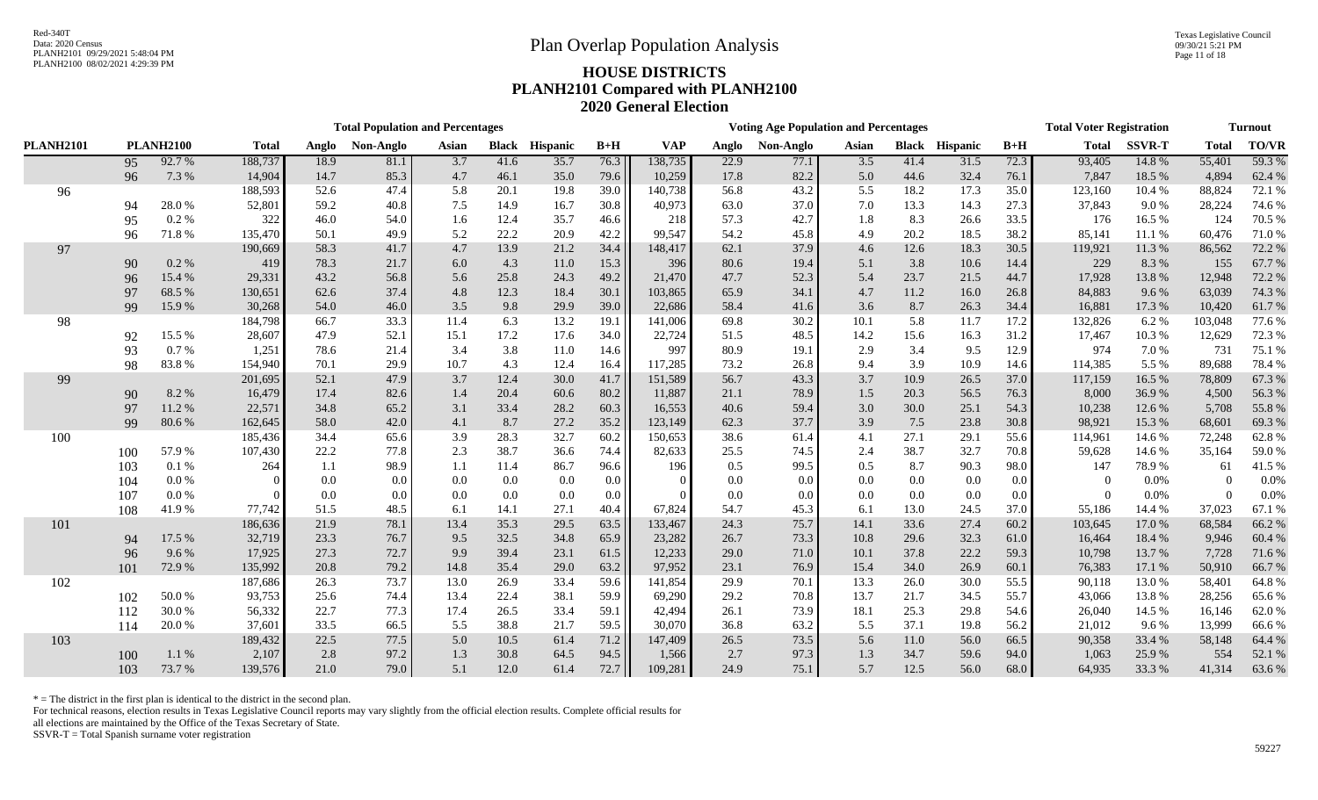Texas Legislative Council 09/30/21 5:21 PM Page 11 of 18

# PLANH2100 08/02/2021 4:29:39 PM **HOUSE DISTRICTS PLANH2101 Compared with PLANH2100 2020 General Election**

|                  |     |                  |              |       | <b>Total Population and Percentages</b> |       |              |                 |         |            |       | <b>Voting Age Population and Percentages</b> |                  |      |                       |       | <b>Total Voter Registration</b> |               |              | <b>Turnout</b> |
|------------------|-----|------------------|--------------|-------|-----------------------------------------|-------|--------------|-----------------|---------|------------|-------|----------------------------------------------|------------------|------|-----------------------|-------|---------------------------------|---------------|--------------|----------------|
| <b>PLANH2101</b> |     | <b>PLANH2100</b> | <b>Total</b> | Anglo | Non-Anglo                               | Asian | <b>Black</b> | <b>Hispanic</b> | $B+H$   | <b>VAP</b> | Anglo | Non-Anglo                                    | Asian            |      | <b>Black Hispanic</b> | $B+H$ | <b>Total</b>                    | <b>SSVR-T</b> | <b>Total</b> | <b>TO/VR</b>   |
|                  | 95  | 92.7%            | 188,737      | 18.9  | 81.1                                    | 3.7   | 41.6         | 35.7            | 76.3    | 138,735    | 22.9  | 77.1                                         | $\overline{3.5}$ | 41.4 | 31.5                  | 72.3  | 93,405                          | 14.8%         | 55,401       | 59.3%          |
|                  | 96  | 7.3 %            | 14,904       | 14.7  | 85.3                                    | 4.7   | 46.1         | 35.0            | 79.6    | 10,259     | 17.8  | 82.2                                         | 5.0              | 44.6 | 32.4                  | 76.1  | 7,847                           | 18.5 %        | 4,894        | 62.4%          |
| 96               |     |                  | 188,593      | 52.6  | 47.4                                    | 5.8   | 20.1         | 19.8            | 39.0    | 140,738    | 56.8  | 43.2                                         | 5.5              | 18.2 | 17.3                  | 35.0  | 123,160                         | 10.4 %        | 88,824       | 72.1 %         |
|                  | 94  | 28.0%            | 52,801       | 59.2  | 40.8                                    | 7.5   | 14.9         | 16.7            | 30.8    | 40,973     | 63.0  | 37.0                                         | 7.0              | 13.3 | 14.3                  | 27.3  | 37,843                          | 9.0%          | 28,224       | 74.6 %         |
|                  | 95  | 0.2 %            | 322          | 46.0  | 54.0                                    | 1.6   | 12.4         | 35.7            | 46.6    | 218        | 57.3  | 42.7                                         | 1.8              | 8.3  | 26.6                  | 33.5  | 176                             | 16.5 %        | 124          | 70.5 %         |
|                  | 96  | 71.8%            | 135,470      | 50.1  | 49.9                                    | 5.2   | 22.2         | 20.9            | 42.2    | 99,547     | 54.2  | 45.8                                         | 4.9              | 20.2 | 18.5                  | 38.2  | 85,141                          | 11.1 %        | 60,476       | 71.0%          |
| 97               |     |                  | 190,669      | 58.3  | 41.7                                    | 4.7   | 13.9         | 21.2            | 34.4    | 148,417    | 62.1  | 37.9                                         | 4.6              | 12.6 | 18.3                  | 30.5  | 119,921                         | 11.3%         | 86,562       | 72.2 %         |
|                  | 90  | 0.2 %            | 419          | 78.3  | 21.7                                    | 6.0   | 4.3          | 11.0            | 15.3    | 396        | 80.6  | 19.4                                         | 5.1              | 3.8  | 10.6                  | 14.4  | 229                             | 8.3%          | 155          | 67.7%          |
|                  | 96  | 15.4 %           | 29,331       | 43.2  | 56.8                                    | 5.6   | 25.8         | 24.3            | 49.2    | 21,470     | 47.7  | 52.3                                         | 5.4              | 23.7 | 21.5                  | 44.7  | 17,928                          | 13.8%         | 12,948       | 72.2 %         |
|                  | 97  | 68.5%            | 130,651      | 62.6  | 37.4                                    | 4.8   | 12.3         | 18.4            | 30.1    | 103,865    | 65.9  | 34.1                                         | 4.7              | 11.2 | 16.0                  | 26.8  | 84,883                          | 9.6%          | 63,039       | 74.3 %         |
|                  | 99  | 15.9%            | 30,268       | 54.0  | 46.0                                    | 3.5   | 9.8          | 29.9            | 39.0    | 22,686     | 58.4  | 41.6                                         | 3.6              | 8.7  | 26.3                  | 34.4  | 16,881                          | 17.3 %        | 10,420       | 61.7%          |
| 98               |     |                  | 184,798      | 66.7  | 33.3                                    | 11.4  | 6.3          | 13.2            | 19.1    | 141,006    | 69.8  | 30.2                                         | 10.1             | 5.8  | 11.7                  | 17.2  | 132,826                         | 6.2%          | 103,048      | 77.6%          |
|                  | 92  | 15.5 %           | 28,607       | 47.9  | 52.1                                    | 15.1  | 17.2         | 17.6            | 34.0    | 22,724     | 51.5  | 48.5                                         | 14.2             | 15.6 | 16.3                  | 31.2  | 17,467                          | 10.3 %        | 12,629       | 72.3 %         |
|                  | 93  | 0.7%             | 1,251        | 78.6  | 21.4                                    | 3.4   | 3.8          | 11.0            | 14.6    | 997        | 80.9  | 19.1                                         | 2.9              | 3.4  | 9.5                   | 12.9  | 974                             | 7.0%          | 731          | 75.1 %         |
|                  | 98  | 83.8%            | 154,940      | 70.1  | 29.9                                    | 10.7  | 4.3          | 12.4            | 16.4    | 117,285    | 73.2  | 26.8                                         | 9.4              | 3.9  | 10.9                  | 14.6  | 114,385                         | 5.5 %         | 89,688       | 78.4%          |
| 99               |     |                  | 201,695      | 52.1  | 47.9                                    | 3.7   | 12.4         | 30.0            | 41.7    | 151,589    | 56.7  | 43.3                                         | 3.7              | 10.9 | 26.5                  | 37.0  | 117,159                         | 16.5 %        | 78,809       | 67.3 %         |
|                  | 90  | 8.2%             | 16,479       | 17.4  | 82.6                                    | 1.4   | 20.4         | 60.6            | 80.2    | 11,887     | 21.1  | 78.9                                         | 1.5              | 20.3 | 56.5                  | 76.3  | 8,000                           | 36.9%         | 4,500        | 56.3%          |
|                  | 97  | 11.2 %           | 22,571       | 34.8  | 65.2                                    | 3.1   | 33.4         | 28.2            | 60.3    | 16,553     | 40.6  | 59.4                                         | 3.0              | 30.0 | 25.1                  | 54.3  | 10,238                          | 12.6 %        | 5,708        | 55.8%          |
|                  | 99  | 80.6 %           | 162,645      | 58.0  | 42.0                                    | 4.1   | 8.7          | 27.2            | 35.2    | 123,149    | 62.3  | 37.7                                         | 3.9              | 7.5  | 23.8                  | 30.8  | 98,921                          | 15.3%         | 68,601       | 69.3%          |
| 100              |     |                  | 185,436      | 34.4  | 65.6                                    | 3.9   | 28.3         | 32.7            | 60.2    | 150,653    | 38.6  | 61.4                                         | 4.1              | 27.1 | 29.1                  | 55.6  | 114,961                         | 14.6 %        | 72,248       | 62.8%          |
|                  | 100 | 57.9%            | 107,430      | 22.2  | 77.8                                    | 2.3   | 38.7         | 36.6            | 74.4    | 82,633     | 25.5  | 74.5                                         | 2.4              | 38.7 | 32.7                  | 70.8  | 59,628                          | 14.6 %        | 35,164       | 59.0%          |
|                  | 103 | 0.1%             | 264          | 1.1   | 98.9                                    | 1.1   | 11.4         | 86.7            | 96.6    | 196        | 0.5   | 99.5                                         | 0.5              | 8.7  | 90.3                  | 98.0  | 147                             | 78.9%         | 61           | 41.5%          |
|                  | 104 | 0.0 %            |              | 0.0   | 0.0                                     | 0.0   | $0.0\,$      | 0.0             | $0.0\,$ | $\Omega$   | 0.0   | 0.0                                          | 0.0              | 0.0  | 0.0                   | 0.0   |                                 | 0.0%          | $\Omega$     | 0.0%           |
|                  | 107 | 0.0 %            |              | 0.0   | 0.0                                     | 0.0   | $0.0\,$      | 0.0             | $0.0\,$ | $\Omega$   | 0.0   | 0.0                                          | 0.0              | 0.0  | 0.0                   | 0.0   | $\Omega$                        | 0.0%          | $\theta$     | 0.0%           |
|                  | 108 | 41.9%            | 77,742       | 51.5  | 48.5                                    | 6.1   | 14.1         | 27.1            | 40.4    | 67,824     | 54.7  | 45.3                                         | 6.1              | 13.0 | 24.5                  | 37.0  | 55,186                          | 14.4 %        | 37,023       | 67.1 %         |
| 101              |     |                  | 186,636      | 21.9  | 78.1                                    | 13.4  | 35.3         | 29.5            | 63.5    | 133,467    | 24.3  | 75.7                                         | 14.1             | 33.6 | 27.4                  | 60.2  | 103,645                         | 17.0%         | 68,584       | 66.2 %         |
|                  | 94  | 17.5 %           | 32,719       | 23.3  | 76.7                                    | 9.5   | 32.5         | 34.8            | 65.9    | 23,282     | 26.7  | 73.3                                         | 10.8             | 29.6 | 32.3                  | 61.0  | 16,464                          | 18.4%         | 9,946        | 60.4 %         |
|                  | 96  | 9.6%             | 17,925       | 27.3  | 72.7                                    | 9.9   | 39.4         | 23.1            | 61.5    | 12,233     | 29.0  | 71.0                                         | 10.1             | 37.8 | 22.2                  | 59.3  | 10,798                          | 13.7%         | 7,728        | 71.6%          |
|                  | 101 | 72.9%            | 135,992      | 20.8  | 79.2                                    | 14.8  | 35.4         | 29.0            | 63.2    | 97,952     | 23.1  | 76.9                                         | 15.4             | 34.0 | 26.9                  | 60.1  | 76,383                          | 17.1 %        | 50,910       | 66.7%          |
| 102              |     |                  | 187,686      | 26.3  | 73.7                                    | 13.0  | 26.9         | 33.4            | 59.6    | 141,854    | 29.9  | 70.1                                         | 13.3             | 26.0 | 30.0                  | 55.5  | 90,118                          | 13.0%         | 58,401       | 64.8%          |
|                  | 102 | $50.0\,\%$       | 93,753       | 25.6  | 74.4                                    | 13.4  | 22.4         | 38.1            | 59.9    | 69,290     | 29.2  | 70.8                                         | 13.7             | 21.7 | 34.5                  | 55.7  | 43,066                          | 13.8%         | 28,256       | 65.6%          |
|                  | 112 | 30.0%            | 56,332       | 22.7  | 77.3                                    | 17.4  | 26.5         | 33.4            | 59.1    | 42,494     | 26.1  | 73.9                                         | 18.1             | 25.3 | 29.8                  | 54.6  | 26,040                          | 14.5 %        | 16,146       | 62.0%          |
|                  | 114 | $20.0\;\%$       | 37,601       | 33.5  | 66.5                                    | 5.5   | 38.8         | 21.7            | 59.5    | 30,070     | 36.8  | 63.2                                         | 5.5              | 37.1 | 19.8                  | 56.2  | 21,012                          | 9.6 %         | 13,999       | 66.6%          |
| 103              |     |                  | 189,432      | 22.5  | 77.5                                    | 5.0   | 10.5         | 61.4            | 71.2    | 147,409    | 26.5  | 73.5                                         | 5.6              | 11.0 | 56.0                  | 66.5  | 90,358                          | 33.4 %        | 58,148       | 64.4 %         |
|                  | 100 | 1.1 %            | 2,107        | 2.8   | 97.2                                    | 1.3   | 30.8         | 64.5            | 94.5    | 1,566      | 2.7   | 97.3                                         | 1.3              | 34.7 | 59.6                  | 94.0  | 1,063                           | 25.9%         | 554          | 52.1 %         |
|                  | 103 | 73.7%            | 139,576      | 21.0  | 79.0                                    | 5.1   | 12.0         | 61.4            | $72.7$  | 109,281    | 24.9  | 75.1                                         | 5.7              | 12.5 | 56.0                  | 68.0  | 64,935                          | 33.3%         | 41,314       | 63.6%          |

 $*$  = The district in the first plan is identical to the district in the second plan.

For technical reasons, election results in Texas Legislative Council reports may vary slightly from the official election results. Complete official results for

all elections are maintained by the Office of the Texas Secretary of State.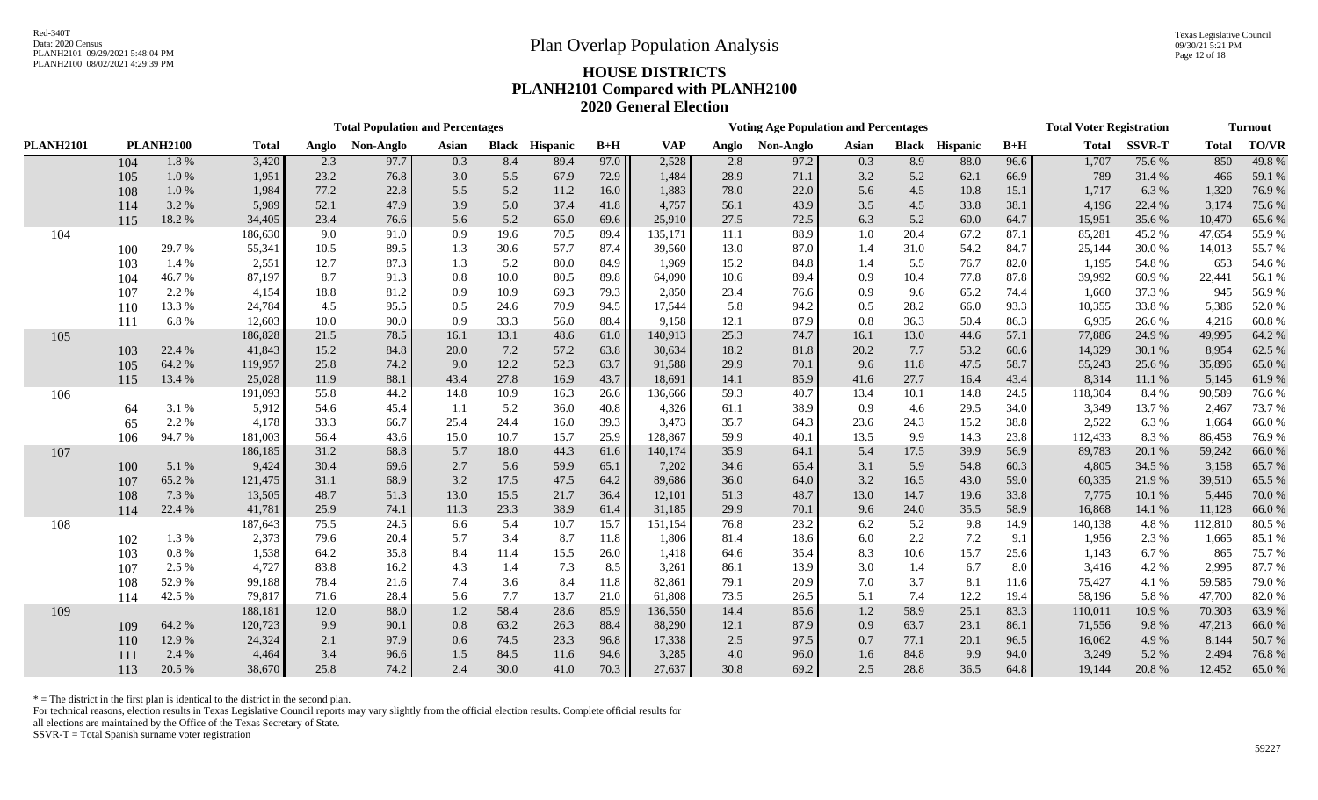Texas Legislative Council 09/30/21 5:21 PM Page 12 of 18

# PLANH2100 08/02/2021 4:29:39 PM **HOUSE DISTRICTS PLANH2101 Compared with PLANH2100 2020 General Election**

|                  |     |                  |              |       | <b>Total Population and Percentages</b> |       |      |                       |       |            |       | <b>Voting Age Population and Percentages</b> |       |      |                       |       | <b>Total Voter Registration</b> |               |              | <b>Turnout</b> |
|------------------|-----|------------------|--------------|-------|-----------------------------------------|-------|------|-----------------------|-------|------------|-------|----------------------------------------------|-------|------|-----------------------|-------|---------------------------------|---------------|--------------|----------------|
| <b>PLANH2101</b> |     | <b>PLANH2100</b> | <b>Total</b> | Anglo | Non-Anglo                               | Asian |      | <b>Black Hispanic</b> | $B+H$ | <b>VAP</b> | Anglo | Non-Anglo                                    | Asian |      | <b>Black Hispanic</b> | $B+H$ | <b>Total</b>                    | <b>SSVR-T</b> | <b>Total</b> | <b>TO/VR</b>   |
|                  | 104 | 1.8%             | 3,420        | 2.3   | 97.7                                    | 0.3   | 8.4  | 89.4                  | 97.0  | 2,528      | 2.8   | 97.2                                         | 0.3   | 8.9  | 88.0                  | 96.6  | 1,707                           | 75.6%         | 850          | 49.8%          |
|                  | 105 | 1.0%             | 1,951        | 23.2  | 76.8                                    | 3.0   | 5.5  | 67.9                  | 72.9  | 1,484      | 28.9  | 71.1                                         | 3.2   | 5.2  | 62.1                  | 66.9  | 789                             | 31.4%         | 466          | 59.1 %         |
|                  | 108 | $1.0\%$          | 1,984        | 77.2  | 22.8                                    | 5.5   | 5.2  | 11.2                  | 16.0  | 1,883      | 78.0  | 22.0                                         | 5.6   | 4.5  | 10.8                  | 15.1  | 1,717                           | 6.3 %         | 1,320        | 76.9%          |
|                  | 114 | 3.2 %            | 5,989        | 52.1  | 47.9                                    | 3.9   | 5.0  | 37.4                  | 41.8  | 4,757      | 56.1  | 43.9                                         | 3.5   | 4.5  | 33.8                  | 38.1  | 4,196                           | 22.4 %        | 3,174        | 75.6%          |
|                  | 115 | 18.2%            | 34,405       | 23.4  | 76.6                                    | 5.6   | 5.2  | 65.0                  | 69.6  | 25,910     | 27.5  | 72.5                                         | 6.3   | 5.2  | 60.0                  | 64.7  | 15,951                          | 35.6 %        | 10,470       | 65.6%          |
| 104              |     |                  | 186,630      | 9.0   | 91.0                                    | 0.9   | 19.6 | 70.5                  | 89.4  | 135,171    | 11.1  | 88.9                                         | 1.0   | 20.4 | 67.2                  | 87.1  | 85,281                          | 45.2%         | 47,654       | 55.9%          |
|                  | 100 | 29.7 %           | 55,341       | 10.5  | 89.5                                    | 1.3   | 30.6 | 57.7                  | 87.4  | 39,560     | 13.0  | 87.0                                         | 1.4   | 31.0 | 54.2                  | 84.7  | 25,144                          | 30.0%         | 14,013       | 55.7%          |
|                  | 103 | 1.4 %            | 2,551        | 12.7  | 87.3                                    | 1.3   | 5.2  | 80.0                  | 84.9  | 1,969      | 15.2  | 84.8                                         | 1.4   | 5.5  | 76.7                  | 82.0  | 1,195                           | 54.8%         | 653          | 54.6%          |
|                  | 104 | 46.7%            | 87,197       | 8.7   | 91.3                                    | 0.8   | 10.0 | 80.5                  | 89.8  | 64,090     | 10.6  | 89.4                                         | 0.9   | 10.4 | 77.8                  | 87.8  | 39,992                          | 60.9%         | 22,441       | 56.1 %         |
|                  | 107 | 2.2 %            | 4,154        | 18.8  | 81.2                                    | 0.9   | 10.9 | 69.3                  | 79.3  | 2,850      | 23.4  | 76.6                                         | 0.9   | 9.6  | 65.2                  | 74.4  | 1,660                           | 37.3 %        | 945          | 56.9%          |
|                  | 110 | 13.3%            | 24,784       | 4.5   | 95.5                                    | 0.5   | 24.6 | 70.9                  | 94.5  | 17,544     | 5.8   | 94.2                                         | 0.5   | 28.2 | 66.0                  | 93.3  | 10,355                          | 33.8%         | 5,386        | 52.0%          |
|                  | 111 | 6.8%             | 12,603       | 10.0  | 90.0                                    | 0.9   | 33.3 | 56.0                  | 88.4  | 9,158      | 12.1  | 87.9                                         | 0.8   | 36.3 | 50.4                  | 86.3  | 6,935                           | 26.6%         | 4,216        | 60.8%          |
| 105              |     |                  | 186,828      | 21.5  | 78.5                                    | 16.1  | 13.1 | 48.6                  | 61.0  | 140,913    | 25.3  | 74.7                                         | 16.1  | 13.0 | 44.6                  | 57.1  | 77,886                          | 24.9%         | 49,995       | 64.2 %         |
|                  | 103 | 22.4 %           | 41,843       | 15.2  | 84.8                                    | 20.0  | 7.2  | 57.2                  | 63.8  | 30,634     | 18.2  | 81.8                                         | 20.2  | 7.7  | 53.2                  | 60.6  | 14,329                          | 30.1 %        | 8,954        | 62.5 %         |
|                  | 105 | 64.2%            | 119,957      | 25.8  | 74.2                                    | 9.0   | 12.2 | 52.3                  | 63.7  | 91,588     | 29.9  | 70.1                                         | 9.6   | 11.8 | 47.5                  | 58.7  | 55,243                          | 25.6%         | 35,896       | 65.0%          |
|                  | 115 | 13.4 %           | 25,028       | 11.9  | 88.1                                    | 43.4  | 27.8 | 16.9                  | 43.7  | 18,691     | 14.1  | 85.9                                         | 41.6  | 27.7 | 16.4                  | 43.4  | 8,314                           | 11.1 %        | 5,145        | 61.9%          |
| 106              |     |                  | 191,093      | 55.8  | 44.2                                    | 14.8  | 10.9 | 16.3                  | 26.6  | 136,666    | 59.3  | 40.7                                         | 13.4  | 10.1 | 14.8                  | 24.5  | 118,304                         | 8.4 %         | 90,589       | 76.6%          |
|                  | 64  | 3.1 %            | 5,912        | 54.6  | 45.4                                    | -1.1  | 5.2  | 36.0                  | 40.8  | 4,326      | 61.1  | 38.9                                         | 0.9   | 4.6  | 29.5                  | 34.0  | 3,349                           | 13.7%         | 2,467        | 73.7%          |
|                  | 65  | 2.2 %            | 4,178        | 33.3  | 66.7                                    | 25.4  | 24.4 | 16.0                  | 39.3  | 3,473      | 35.7  | 64.3                                         | 23.6  | 24.3 | 15.2                  | 38.8  | 2,522                           | 6.3%          | 1,664        | 66.0%          |
|                  | 106 | 94.7%            | 181,003      | 56.4  | 43.6                                    | 15.0  | 10.7 | 15.7                  | 25.9  | 128,867    | 59.9  | 40.1                                         | 13.5  | 9.9  | 14.3                  | 23.8  | 112,433                         | 8.3%          | 86,458       | 76.9%          |
| 107              |     |                  | 186,185      | 31.2  | 68.8                                    | 5.7   | 18.0 | 44.3                  | 61.6  | 140,174    | 35.9  | 64.1                                         | 5.4   | 17.5 | 39.9                  | 56.9  | 89,783                          | 20.1 %        | 59,242       | 66.0%          |
|                  | 100 | 5.1 %            | 9,424        | 30.4  | 69.6                                    | 2.7   | 5.6  | 59.9                  | 65.1  | 7,202      | 34.6  | 65.4                                         | 3.1   | 5.9  | 54.8                  | 60.3  | 4,805                           | 34.5 %        | 3,158        | 65.7%          |
|                  | 107 | 65.2%            | 121,475      | 31.1  | 68.9                                    | 3.2   | 17.5 | 47.5                  | 64.2  | 89,686     | 36.0  | 64.0                                         | 3.2   | 16.5 | 43.0                  | 59.0  | 60,335                          | 21.9%         | 39,510       | 65.5 %         |
|                  | 108 | 7.3 %            | 13,505       | 48.7  | 51.3                                    | 13.0  | 15.5 | 21.7                  | 36.4  | 12,101     | 51.3  | 48.7                                         | 13.0  | 14.7 | 19.6                  | 33.8  | 7,775                           | 10.1 %        | 5,446        | 70.0%          |
|                  | 114 | 22.4 %           | 41,781       | 25.9  | 74.1                                    | 11.3  | 23.3 | 38.9                  | 61.4  | 31,185     | 29.9  | 70.1                                         | 9.6   | 24.0 | 35.5                  | 58.9  | 16,868                          | 14.1 %        | 11,128       | 66.0%          |
| 108              |     |                  | 187,643      | 75.5  | 24.5                                    | 6.6   | 5.4  | 10.7                  | 15.7  | 151,154    | 76.8  | 23.2                                         | 6.2   | 5.2  | 9.8                   | 14.9  | 140,138                         | 4.8%          | 112,810      | 80.5 %         |
|                  | 102 | 1.3%             | 2,373        | 79.6  | 20.4                                    | 5.7   | 3.4  | 8.7                   | 11.8  | 1,806      | 81.4  | 18.6                                         | 6.0   | 2.2  | $7.2\,$               | 9.1   | 1,956                           | 2.3 %         | 1,665        | 85.1 %         |
|                  | 103 | $0.8~\%$         | 1,538        | 64.2  | 35.8                                    | 8.4   | 11.4 | 15.5                  | 26.0  | 1,418      | 64.6  | 35.4                                         | 8.3   | 10.6 | 15.7                  | 25.6  | 1,143                           | 6.7%          | 865          | 75.7 %         |
|                  | 107 | 2.5 %            | 4,727        | 83.8  | 16.2                                    | 4.3   | 1.4  | 7.3                   | 8.5   | 3,261      | 86.1  | 13.9                                         | 3.0   | 1.4  | 6.7                   | 8.0   | 3,416                           | 4.2 %         | 2,995        | 87.7 %         |
|                  | 108 | 52.9%            | 99,188       | 78.4  | 21.6                                    | 7.4   | 3.6  | 8.4                   | 11.8  | 82,861     | 79.1  | 20.9                                         | 7.0   | 3.7  | 8.1                   | 11.6  | 75,427                          | 4.1 %         | 59,585       | 79.0%          |
|                  | 114 | 42.5 %           | 79,817       | 71.6  | 28.4                                    | 5.6   | 7.7  | 13.7                  | 21.0  | 61,808     | 73.5  | 26.5                                         | 5.1   | 7.4  | 12.2                  | 19.4  | 58,196                          | 5.8%          | 47,700       | 82.0%          |
| 109              |     |                  | 188,181      | 12.0  | 88.0                                    | 1.2   | 58.4 | 28.6                  | 85.9  | 136,550    | 14.4  | 85.6                                         | 1.2   | 58.9 | 25.1                  | 83.3  | 110,011                         | 10.9%         | 70,303       | 63.9%          |
|                  | 109 | 64.2%            | 120,723      | 9.9   | 90.1                                    | 0.8   | 63.2 | 26.3                  | 88.4  | 88,290     | 12.1  | 87.9                                         | 0.9   | 63.7 | 23.1                  | 86.1  | 71,556                          | 9.8%          | 47,213       | 66.0%          |
|                  | 110 | 12.9 %           | 24,324       | 2.1   | 97.9                                    | 0.6   | 74.5 | 23.3                  | 96.8  | 17,338     | 2.5   | 97.5                                         | 0.7   | 77.1 | 20.1                  | 96.5  | 16,062                          | 4.9%          | 8,144        | 50.7 %         |
|                  | 111 | 2.4 %            | 4,464        | 3.4   | 96.6                                    | 1.5   | 84.5 | 11.6                  | 94.6  | 3,285      | 4.0   | 96.0                                         | 1.6   | 84.8 | 9.9                   | 94.0  | 3,249                           | 5.2 %         | 2,494        | 76.8%          |
|                  | 113 | 20.5 %           | 38,670       | 25.8  | 74.2                                    | 2.4   | 30.0 | 41.0                  | 70.3  | 27,637     | 30.8  | 69.2                                         | 2.5   | 28.8 | 36.5                  | 64.8  | 19,144                          | 20.8%         | 12,452       | 65.0%          |

 $*$  = The district in the first plan is identical to the district in the second plan.

For technical reasons, election results in Texas Legislative Council reports may vary slightly from the official election results. Complete official results for

all elections are maintained by the Office of the Texas Secretary of State.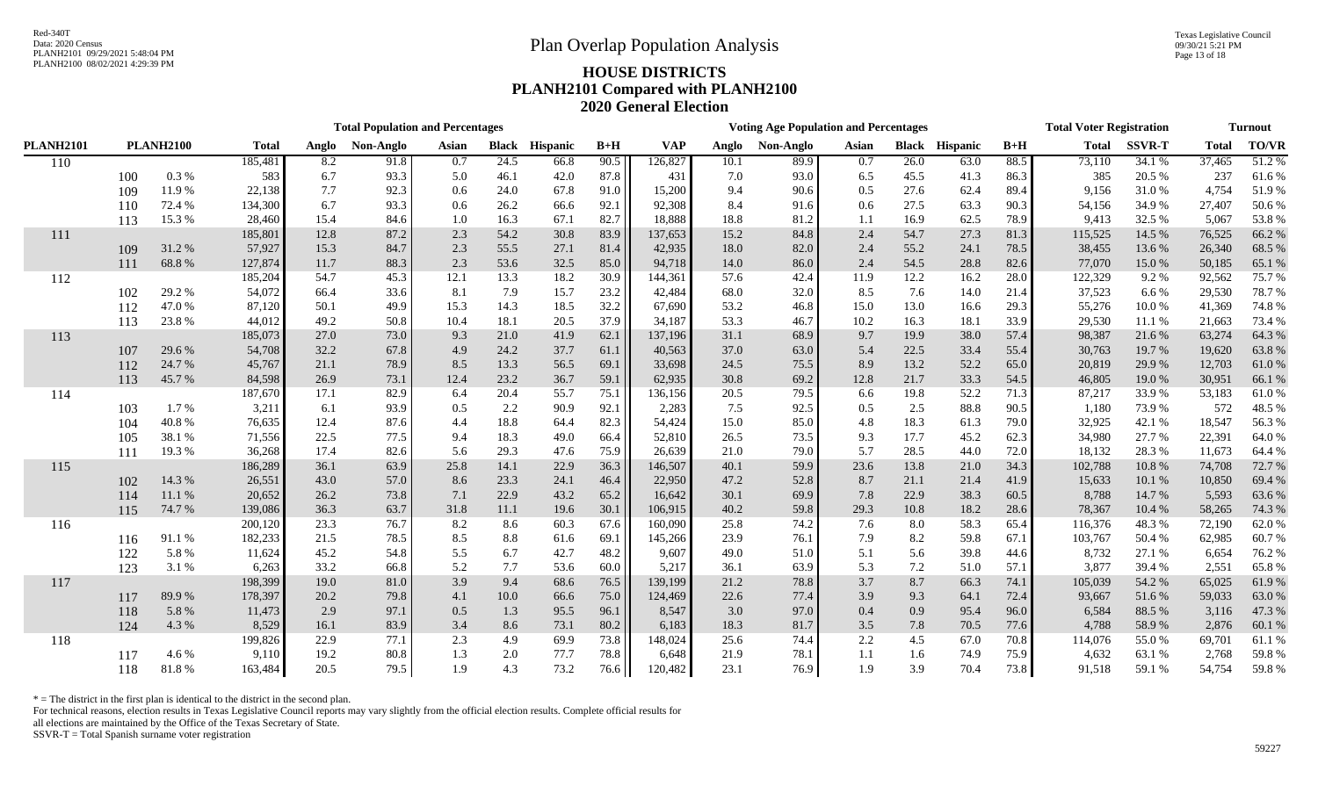|                  |     |                  |              |       | <b>Total Population and Percentages</b> |                  |              |          |       | <b>Voting Age Population and Percentages</b> |       |           |       |      |                       |       | <b>Total Voter Registration</b> | <b>Turnout</b> |              |        |
|------------------|-----|------------------|--------------|-------|-----------------------------------------|------------------|--------------|----------|-------|----------------------------------------------|-------|-----------|-------|------|-----------------------|-------|---------------------------------|----------------|--------------|--------|
| <b>PLANH2101</b> |     | <b>PLANH2100</b> | <b>Total</b> | Anglo | Non-Anglo                               | Asian            | <b>Black</b> | Hispanic | $B+H$ | <b>VAP</b>                                   | Anglo | Non-Anglo | Asian |      | <b>Black Hispanic</b> | $B+H$ | <b>Total</b>                    | <b>SSVR-T</b>  | <b>Total</b> | TO/VR  |
| 110              |     |                  | 185,481      | 8.2   | 91.8                                    | $\overline{0.7}$ | 24.5         | 66.8     | 90.5  | 126,827                                      | 10.1  | 89.9      | 0.7   | 26.0 | 63.0                  | 88.5  | 73,110                          | 34.1 %         | 37,465       | 51.2%  |
|                  | 100 | 0.3%             | 583          | 6.7   | 93.3                                    | 5.0              | 46.1         | 42.0     | 87.8  | 431                                          | 7.0   | 93.0      | 6.5   | 45.5 | 41.3                  | 86.3  | 385                             | 20.5 %         | 237          | 61.6%  |
|                  | 109 | 11.9%            | 22,138       | 7.7   | 92.3                                    | 0.6              | 24.0         | 67.8     | 91.0  | 15,200                                       | 9.4   | 90.6      | 0.5   | 27.6 | 62.4                  | 89.4  | 9,156                           | 31.0%          | 4,754        | 51.9%  |
|                  | 110 | 72.4 %           | 134,300      | 6.7   | 93.3                                    | 0.6              | 26.2         | 66.6     | 92.1  | 92,308                                       | 8.4   | 91.6      | 0.6   | 27.5 | 63.3                  | 90.3  | 54,156                          | 34.9%          | 27,407       | 50.6%  |
|                  | 113 | 15.3 %           | 28,460       | 15.4  | 84.6                                    | 1.0              | 16.3         | 67.1     | 82.7  | 18,888                                       | 18.8  | 81.2      | 1.1   | 16.9 | 62.5                  | 78.9  | 9,413                           | 32.5 %         | 5,067        | 53.8%  |
| 111              |     |                  | 185,801      | 12.8  | 87.2                                    | 2.3              | 54.2         | 30.8     | 83.9  | 137,653                                      | 15.2  | 84.8      | 2.4   | 54.7 | 27.3                  | 81.3  | 115,525                         | 14.5 %         | 76,525       | 66.2%  |
|                  | 109 | 31.2%            | 57,927       | 15.3  | 84.7                                    | 2.3              | 55.5         | 27.1     | 81.4  | 42,935                                       | 18.0  | 82.0      | 2.4   | 55.2 | 24.1                  | 78.5  | 38,455                          | 13.6 %         | 26,340       | 68.5%  |
|                  | 111 | 68.8%            | 127,874      | 11.7  | 88.3                                    | 2.3              | 53.6         | 32.5     | 85.0  | 94,718                                       | 14.0  | 86.0      | 2.4   | 54.5 | 28.8                  | 82.6  | 77,070                          | 15.0%          | 50,185       | 65.1 % |
| 112              |     |                  | 185,204      | 54.7  | 45.3                                    | 12.1             | 13.3         | 18.2     | 30.9  | 144,361                                      | 57.6  | 42.4      | 11.9  | 12.2 | 16.2                  | 28.0  | 122,329                         | 9.2%           | 92,562       | 75.7%  |
|                  | 102 | 29.2 %           | 54,072       | 66.4  | 33.6                                    | 8.1              | 7.9          | 15.7     | 23.2  | 42,484                                       | 68.0  | 32.0      | 8.5   | 7.6  | 14.0                  | 21.4  | 37,523                          | 6.6%           | 29,530       | 78.7%  |
|                  | 112 | 47.0%            | 87,120       | 50.1  | 49.9                                    | 15.3             | 14.3         | 18.5     | 32.2  | 67,690                                       | 53.2  | 46.8      | 15.0  | 13.0 | 16.6                  | 29.3  | 55,276                          | 10.0%          | 41,369       | 74.8%  |
|                  | 113 | 23.8%            | 44,012       | 49.2  | 50.8                                    | 10.4             | 18.1         | 20.5     | 37.9  | 34,187                                       | 53.3  | 46.7      | 10.2  | 16.3 | 18.1                  | 33.9  | 29,530                          | 11.1 %         | 21,663       | 73.4 % |
| 113              |     |                  | 185,073      | 27.0  | 73.0                                    | 9.3              | 21.0         | 41.9     | 62.1  | 137,196                                      | 31.1  | 68.9      | 9.7   | 19.9 | 38.0                  | 57.4  | 98,387                          | 21.6 %         | 63,274       | 64.3%  |
|                  | 107 | 29.6%            | 54,708       | 32.2  | 67.8                                    | 4.9              | 24.2         | 37.7     | 61.1  | 40,563                                       | 37.0  | 63.0      | 5.4   | 22.5 | 33.4                  | 55.4  | 30,763                          | 19.7%          | 19,620       | 63.8%  |
|                  | 112 | 24.7 %           | 45,767       | 21.1  | 78.9                                    | 8.5              | 13.3         | 56.5     | 69.1  | 33,698                                       | 24.5  | 75.5      | 8.9   | 13.2 | 52.2                  | 65.0  | 20,819                          | 29.9%          | 12,703       | 61.0%  |
|                  | 113 | 45.7%            | 84,598       | 26.9  | 73.1                                    | 12.4             | 23.2         | 36.7     | 59.1  | 62,935                                       | 30.8  | 69.2      | 12.8  | 21.7 | 33.3                  | 54.5  | 46,805                          | 19.0%          | 30,951       | 66.1%  |
| 114              |     |                  | 187,670      | 17.1  | 82.9                                    | 6.4              | 20.4         | 55.7     | 75.1  | 136,156                                      | 20.5  | 79.5      | 6.6   | 19.8 | 52.2                  | 71.3  | 87,217                          | 33.9%          | 53,183       | 61.0%  |
|                  | 103 | 1.7%             | 3,211        | 6.1   | 93.9                                    | 0.5              | 2.2          | 90.9     | 92.1  | 2,283                                        | 7.5   | 92.5      | 0.5   | 2.5  | 88.8                  | 90.5  | 1,180                           | 73.9%          | 572          | 48.5 % |
|                  | 104 | 40.8%            | 76,635       | 12.4  | 87.6                                    | 4.4              | 18.8         | 64.4     | 82.3  | 54,424                                       | 15.0  | 85.0      | 4.8   | 18.3 | 61.3                  | 79.0  | 32,925                          | 42.1 %         | 18,547       | 56.3%  |
|                  | 105 | 38.1%            | 71,556       | 22.5  | 77.5                                    | 9.4              | 18.3         | 49.0     | 66.4  | 52,810                                       | 26.5  | 73.5      | 9.3   | 17.7 | 45.2                  | 62.3  | 34,980                          | 27.7 %         | 22,391       | 64.0%  |
|                  | 111 | 19.3%            | 36,268       | 17.4  | 82.6                                    | 5.6              | 29.3         | 47.6     | 75.9  | 26,639                                       | 21.0  | 79.0      | 5.7   | 28.5 | 44.0                  | 72.0  | 18,132                          | 28.3%          | 11,673       | 64.4 % |
| 115              |     |                  | 186,289      | 36.1  | 63.9                                    | 25.8             | 14.1         | 22.9     | 36.3  | 146,507                                      | 40.1  | 59.9      | 23.6  | 13.8 | 21.0                  | 34.3  | 102,788                         | 10.8%          | 74,708       | 72.7 % |
|                  | 102 | 14.3 %           | 26,551       | 43.0  | 57.0                                    | 8.6              | 23.3         | 24.1     | 46.4  | 22,950                                       | 47.2  | 52.8      | 8.7   | 21.1 | 21.4                  | 41.9  | 15,633                          | 10.1 %         | 10,850       | 69.4 % |
|                  | 114 | 11.1 %           | 20,652       | 26.2  | 73.8                                    | 7.1              | 22.9         | 43.2     | 65.2  | 16,642                                       | 30.1  | 69.9      | 7.8   | 22.9 | 38.3                  | 60.5  | 8,788                           | 14.7%          | 5,593        | 63.6%  |
|                  | 115 | 74.7%            | 139,086      | 36.3  | 63.7                                    | 31.8             | 11.1         | 19.6     | 30.1  | 106,915                                      | 40.2  | 59.8      | 29.3  | 10.8 | 18.2                  | 28.6  | 78,367                          | 10.4%          | 58,265       | 74.3 % |
| 116              |     |                  | 200,120      | 23.3  | 76.7                                    | 8.2              | 8.6          | 60.3     | 67.6  | 160,090                                      | 25.8  | 74.2      | 7.6   | 8.0  | 58.3                  | 65.4  | 116,376                         | 48.3%          | 72,190       | 62.0%  |
|                  | 116 | 91.1%            | 182,233      | 21.5  | 78.5                                    | 8.5              | 8.8          | 61.6     | 69.1  | 145,266                                      | 23.9  | 76.1      | 7.9   | 8.2  | 59.8                  | 67.1  | 103,767                         | 50.4%          | 62,985       | 60.7%  |
|                  | 122 | 5.8%             | 11,624       | 45.2  | 54.8                                    | 5.5              | 6.7          | 42.7     | 48.2  | 9,607                                        | 49.0  | 51.0      | 5.1   | 5.6  | 39.8                  | 44.6  | 8,732                           | 27.1 %         | 6,654        | 76.2%  |
|                  | 123 | 3.1 %            | 6,263        | 33.2  | 66.8                                    | 5.2              | 7.7          | 53.6     | 60.0  | 5,217                                        | 36.1  | 63.9      | 5.3   | 7.2  | 51.0                  | 57.1  | 3,877                           | 39.4 %         | 2,551        | 65.8%  |
| 117              |     |                  | 198,399      | 19.0  | 81.0                                    | 3.9              | 9.4          | 68.6     | 76.5  | 139,199                                      | 21.2  | 78.8      | 3.7   | 8.7  | 66.3                  | 74.1  | 105,039                         | 54.2 %         | 65,025       | 61.9%  |
|                  | 117 | 89.9%            | 178,397      | 20.2  | 79.8                                    | 4.1              | $10.0\,$     | 66.6     | 75.0  | 124,469                                      | 22.6  | 77.4      | 3.9   | 9.3  | 64.1                  | 72.4  | 93,667                          | 51.6%          | 59,033       | 63.0%  |
|                  | 118 | 5.8%             | 11,473       | 2.9   | 97.1                                    | 0.5              | 1.3          | 95.5     | 96.1  | 8,547                                        | 3.0   | 97.0      | 0.4   | 0.9  | 95.4                  | 96.0  | 6,584                           | 88.5%          | 3,116        | 47.3 % |
|                  | 124 | 4.3 %            | 8,529        | 16.1  | 83.9                                    | 3.4              | 8.6          | 73.1     | 80.2  | 6,183                                        | 18.3  | 81.7      | $3.5$ | 7.8  | 70.5                  | 77.6  | 4,788                           | 58.9%          | 2,876        | 60.1 % |
| 118              |     |                  | 199,826      | 22.9  | 77.1                                    | 2.3              | 4.9          | 69.9     | 73.8  | 148,024                                      | 25.6  | 74.4      | 2.2   | 4.5  | 67.0                  | 70.8  | 114,076                         | 55.0%          | 69,701       | 61.1%  |
|                  | 117 | 4.6 %            | 9,110        | 19.2  | 80.8                                    | 1.3              | 2.0          | 77.7     | 78.8  | 6,648                                        | 21.9  | 78.1      | 1.1   | 1.6  | 74.9                  | 75.9  | 4,632                           | 63.1 %         | 2,768        | 59.8%  |
|                  | 118 | 81.8%            | 163,484      | 20.5  | 79.5                                    | 1.9              | 4.3          | 73.2     | 76.6  | 120,482                                      | 23.1  | 76.9      | 1.9   | 3.9  | 70.4                  | 73.8  | 91,518                          | 59.1 %         | 54,754       | 59.8%  |

 $*$  = The district in the first plan is identical to the district in the second plan.

For technical reasons, election results in Texas Legislative Council reports may vary slightly from the official election results. Complete official results for

all elections are maintained by the Office of the Texas Secretary of State.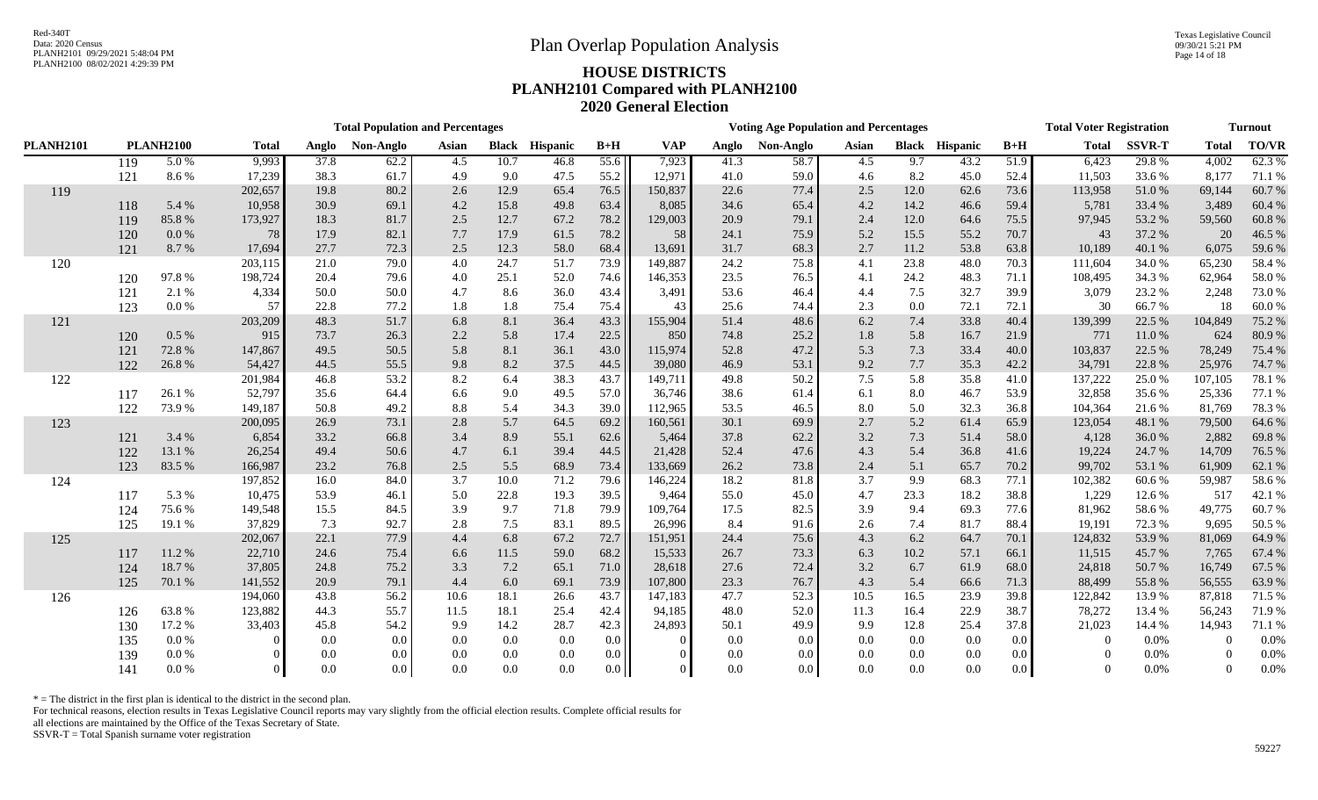Texas Legislative Council 09/30/21 5:21 PM Page 14 of 18

# PLANH2100 08/02/2021 4:29:39 PM **HOUSE DISTRICTS PLANH2101 Compared with PLANH2100 2020 General Election**

|                  | <b>Total Population and Percentages</b> |                  |              |       |           |       |              |                 |         |            |       | <b>Voting Age Population and Percentages</b> |       |         | <b>Total Voter Registration</b> | <b>Turnout</b> |              |               |                |              |
|------------------|-----------------------------------------|------------------|--------------|-------|-----------|-------|--------------|-----------------|---------|------------|-------|----------------------------------------------|-------|---------|---------------------------------|----------------|--------------|---------------|----------------|--------------|
| <b>PLANH2101</b> |                                         | <b>PLANH2100</b> | <b>Total</b> | Anglo | Non-Anglo | Asian | <b>Black</b> | <b>Hispanic</b> | $B+H$   | <b>VAP</b> | Anglo | Non-Anglo                                    | Asian |         | <b>Black Hispanic</b>           | $B+H$          | <b>Total</b> | <b>SSVR-T</b> | <b>Total</b>   | <b>TO/VR</b> |
|                  | 119                                     | 5.0%             | 9,993        | 37.8  | 62.2      | 4.5   | 10.7         | 46.8            | 55.6    | 7,923      | 41.3  | 58.7                                         | 4.5   | 9.7     | 43.2                            | 51.9           | 6,423        | 29.8%         | 4,002          | 62.3%        |
|                  | 121                                     | 8.6%             | 17,239       | 38.3  | 61.7      | 4.9   | 9.0          | 47.5            | 55.2    | 12,971     | 41.0  | 59.0                                         | 4.6   | 8.2     | 45.0                            | 52.4           | 11,503       | 33.6%         | 8,177          | 71.1 %       |
| 119              |                                         |                  | 202,657      | 19.8  | 80.2      | 2.6   | 12.9         | 65.4            | 76.5    | 150,837    | 22.6  | 77.4                                         | 2.5   | 12.0    | 62.6                            | 73.6           | 113,958      | 51.0%         | 69,144         | 60.7%        |
|                  | 118                                     | 5.4 %            | 10,958       | 30.9  | 69.1      | 4.2   | 15.8         | 49.8            | 63.4    | 8,085      | 34.6  | 65.4                                         | 4.2   | 14.2    | 46.6                            | 59.4           | 5,781        | 33.4 %        | 3,489          | 60.4%        |
|                  | 119                                     | 85.8%            | 173,927      | 18.3  | 81.7      | 2.5   | 12.7         | 67.2            | 78.2    | 129,003    | 20.9  | 79.1                                         | 2.4   | 12.0    | 64.6                            | 75.5           | 97,945       | 53.2 %        | 59,560         | 60.8%        |
|                  | 120                                     | $0.0\,\%$        | 78           | 17.9  | 82.1      | 7.7   | 17.9         | 61.5            | 78.2    | 58         | 24.1  | 75.9                                         | 5.2   | 15.5    | 55.2                            | 70.7           | 43           | 37.2 %        | 20             | 46.5 %       |
|                  | 121                                     | 8.7 %            | 17,694       | 27.7  | 72.3      | 2.5   | 12.3         | 58.0            | 68.4    | 13,691     | 31.7  | 68.3                                         | 2.7   | 11.2    | 53.8                            | 63.8           | 10,189       | 40.1%         | 6,075          | 59.6 %       |
| 120              |                                         |                  | 203,115      | 21.0  | 79.0      | 4.0   | 24.7         | 51.7            | 73.9    | 149,887    | 24.2  | 75.8                                         | 4.1   | 23.8    | 48.0                            | 70.3           | 111,604      | 34.0 %        | 65,230         | 58.4%        |
|                  | 120                                     | 97.8%            | 198,724      | 20.4  | 79.6      | 4.0   | 25.1         | 52.0            | 74.6    | 146,353    | 23.5  | 76.5                                         | 4.1   | 24.2    | 48.3                            | 71.1           | 108,495      | 34.3 %        | 62,964         | 58.0%        |
|                  | 121                                     | 2.1 %            | 4,334        | 50.0  | 50.0      | 4.7   | 8.6          | 36.0            | 43.4    | 3,491      | 53.6  | 46.4                                         | 4.4   | 7.5     | 32.7                            | 39.9           | 3,079        | 23.2 %        | 2,248          | 73.0%        |
|                  | 123                                     | 0.0 %            | 57           | 22.8  | 77.2      | 1.8   | 1.8          | 75.4            | 75.4    | 43         | 25.6  | 74.4                                         | 2.3   | $0.0\,$ | 72.1                            | 72.1           | 30           | 66.7%         | 18             | 60.0%        |
| 121              |                                         |                  | 203,209      | 48.3  | 51.7      | 6.8   | 8.1          | 36.4            | 43.3    | 155,904    | 51.4  | 48.6                                         | 6.2   | 7.4     | 33.8                            | 40.4           | 139,399      | 22.5 %        | 104,849        | 75.2 %       |
|                  | 120                                     | 0.5%             | 915          | 73.7  | 26.3      | 2.2   | 5.8          | 17.4            | 22.5    | 850        | 74.8  | 25.2                                         | 1.8   | 5.8     | 16.7                            | 21.9           | 771          | 11.0%         | 624            | 80.9%        |
|                  | 121                                     | 72.8 %           | 147,867      | 49.5  | 50.5      | 5.8   | 8.1          | 36.1            | 43.0    | 115,974    | 52.8  | 47.2                                         | 5.3   | 7.3     | 33.4                            | 40.0           | 103,837      | 22.5 %        | 78,249         | 75.4 %       |
|                  | 122                                     | 26.8%            | 54,427       | 44.5  | 55.5      | 9.8   | 8.2          | 37.5            | 44.5    | 39,080     | 46.9  | 53.1                                         | 9.2   | 7.7     | 35.3                            | 42.2           | 34,791       | 22.8%         | 25,976         | 74.7 %       |
| 122              |                                         |                  | 201,984      | 46.8  | 53.2      | 8.2   | 6.4          | 38.3            | 43.7    | 149,711    | 49.8  | 50.2                                         | 7.5   | 5.8     | 35.8                            | 41.0           | 137,222      | 25.0%         | 107,105        | 78.1 %       |
|                  | 117                                     | 26.1%            | 52,797       | 35.6  | 64.4      | 6.6   | 9.0          | 49.5            | 57.0    | 36,746     | 38.6  | 61.4                                         | 6.1   | 8.0     | 46.7                            | 53.9           | 32,858       | 35.6%         | 25,336         | 77.1 %       |
|                  | 122                                     | 73.9%            | 149,187      | 50.8  | 49.2      | 8.8   | 5.4          | 34.3            | 39.0    | 112,965    | 53.5  | 46.5                                         | 8.0   | 5.0     | 32.3                            | 36.8           | 104,364      | 21.6%         | 81,769         | 78.3 %       |
| 123              |                                         |                  | 200,095      | 26.9  | 73.1      | 2.8   | 5.7          | 64.5            | 69.2    | 160,561    | 30.1  | 69.9                                         | 2.7   | 5.2     | 61.4                            | 65.9           | 123,054      | 48.1 %        | 79,500         | 64.6%        |
|                  | 121                                     | 3.4 %            | 6,854        | 33.2  | 66.8      | 3.4   | 8.9          | 55.1            | 62.6    | 5,464      | 37.8  | 62.2                                         | 3.2   | 7.3     | 51.4                            | 58.0           | 4,128        | 36.0%         | 2,882          | 69.8%        |
|                  | 122                                     | 13.1 %           | 26,254       | 49.4  | 50.6      | 4.7   | 6.1          | 39.4            | 44.5    | 21,428     | 52.4  | 47.6                                         | 4.3   | 5.4     | 36.8                            | 41.6           | 19,224       | 24.7 %        | 14,709         | 76.5 %       |
|                  | 123                                     | 83.5 %           | 166,987      | 23.2  | 76.8      | 2.5   | 5.5          | 68.9            | 73.4    | 133,669    | 26.2  | 73.8                                         | 2.4   | 5.1     | 65.7                            | 70.2           | 99,702       | 53.1 %        | 61,909         | 62.1 %       |
| 124              |                                         |                  | 197,852      | 16.0  | 84.0      | 3.7   | 10.0         | 71.2            | 79.6    | 146,224    | 18.2  | 81.8                                         | 3.7   | 9.9     | 68.3                            | 77.1           | 102,382      | 60.6%         | 59,987         | 58.6%        |
|                  | 117                                     | 5.3 %            | 10,475       | 53.9  | 46.1      | 5.0   | 22.8         | 19.3            | 39.5    | 9,464      | 55.0  | 45.0                                         | 4.7   | 23.3    | 18.2                            | 38.8           | 1,229        | 12.6%         | 517            | 42.1 %       |
|                  | 124                                     | 75.6 %           | 149,548      | 15.5  | 84.5      | 3.9   | 9.7          | 71.8            | 79.9    | 109,764    | 17.5  | 82.5                                         | 3.9   | 9.4     | 69.3                            | 77.6           | 81,962       | 58.6%         | 49,775         | 60.7%        |
|                  | 125                                     | 19.1 %           | 37,829       | 7.3   | 92.7      | 2.8   | 7.5          | 83.1            | 89.5    | 26,996     | 8.4   | 91.6                                         | 2.6   | 7.4     | 81.7                            | 88.4           | 19,191       | 72.3 %        | 9,695          | 50.5 %       |
| 125              |                                         |                  | 202,067      | 22.1  | 77.9      | 4.4   | 6.8          | 67.2            | 72.7    | 151,951    | 24.4  | 75.6                                         | 4.3   | 6.2     | 64.7                            | 70.1           | 124,832      | 53.9%         | 81,069         | 64.9 %       |
|                  | 117                                     | 11.2%            | 22,710       | 24.6  | 75.4      | 6.6   | 11.5         | 59.0            | 68.2    | 15,533     | 26.7  | 73.3                                         | 6.3   | 10.2    | 57.1                            | 66.1           | 11,515       | 45.7%         | 7,765          | 67.4 %       |
|                  | 124                                     | 18.7%            | 37,805       | 24.8  | 75.2      | 3.3   | 7.2          | 65.1            | 71.0    | 28,618     | 27.6  | 72.4                                         | 3.2   | 6.7     | 61.9                            | 68.0           | 24,818       | 50.7%         | 16,749         | 67.5 %       |
|                  | 125                                     | 70.1 %           | 141,552      | 20.9  | 79.1      | 4.4   | 6.0          | 69.1            | 73.9    | 107,800    | 23.3  | 76.7                                         | 4.3   | 5.4     | 66.6                            | 71.3           | 88,499       | 55.8%         | 56,555         | 63.9 %       |
| 126              |                                         |                  | 194,060      | 43.8  | 56.2      | 10.6  | 18.1         | 26.6            | 43.7    | 147,183    | 47.7  | 52.3                                         | 10.5  | 16.5    | 23.9                            | 39.8           | 122,842      | 13.9%         | 87,818         | 71.5 %       |
|                  | 126                                     | 63.8%            | 123,882      | 44.3  | 55.7      | 11.5  | 18.1         | 25.4            | 42.4    | 94,185     | 48.0  | 52.0                                         | 11.3  | 16.4    | 22.9                            | 38.7           | 78,272       | 13.4 %        | 56,243         | 71.9%        |
|                  | 130                                     | 17.2 %           | 33,403       | 45.8  | 54.2      | 9.9   | 14.2         | 28.7            | 42.3    | 24,893     | 50.1  | 49.9                                         | 9.9   | 12.8    | 25.4                            | 37.8           | 21,023       | 14.4 %        | 14,943         | 71.1 %       |
|                  | 135                                     | 0.0 %            |              | 0.0   | $0.0\,$   | 0.0   | $0.0\,$      | 0.0             | 0.0     |            | 0.0   | 0.0                                          | 0.0   | $0.0\,$ | 0.0                             | $0.0\,$        | $\Omega$     | 0.0%          | $\overline{0}$ | 0.0%         |
|                  | 139                                     | 0.0 %            |              | 0.0   | 0.0       | 0.0   | 0.0          | 0.0             | 0.0     |            | 0.0   | 0.0                                          | 0.0   | 0.0     | 0.0                             | $0.0\,$        | $\Omega$     | 0.0%          | $\Omega$       | 0.0%         |
|                  | 141                                     | 0.0 %            |              | 0.0   | 0.0       | 0.0   | 0.0          | 0.0             | $0.0$ I | $\Omega$   | 0.0   | 0.0                                          | 0.0   | 0.0     | 0.0                             | 0.0            | $\Omega$     | 0.0%          | $\Omega$       | 0.0%         |

 $*$  = The district in the first plan is identical to the district in the second plan.

For technical reasons, election results in Texas Legislative Council reports may vary slightly from the official election results. Complete official results for

all elections are maintained by the Office of the Texas Secretary of State.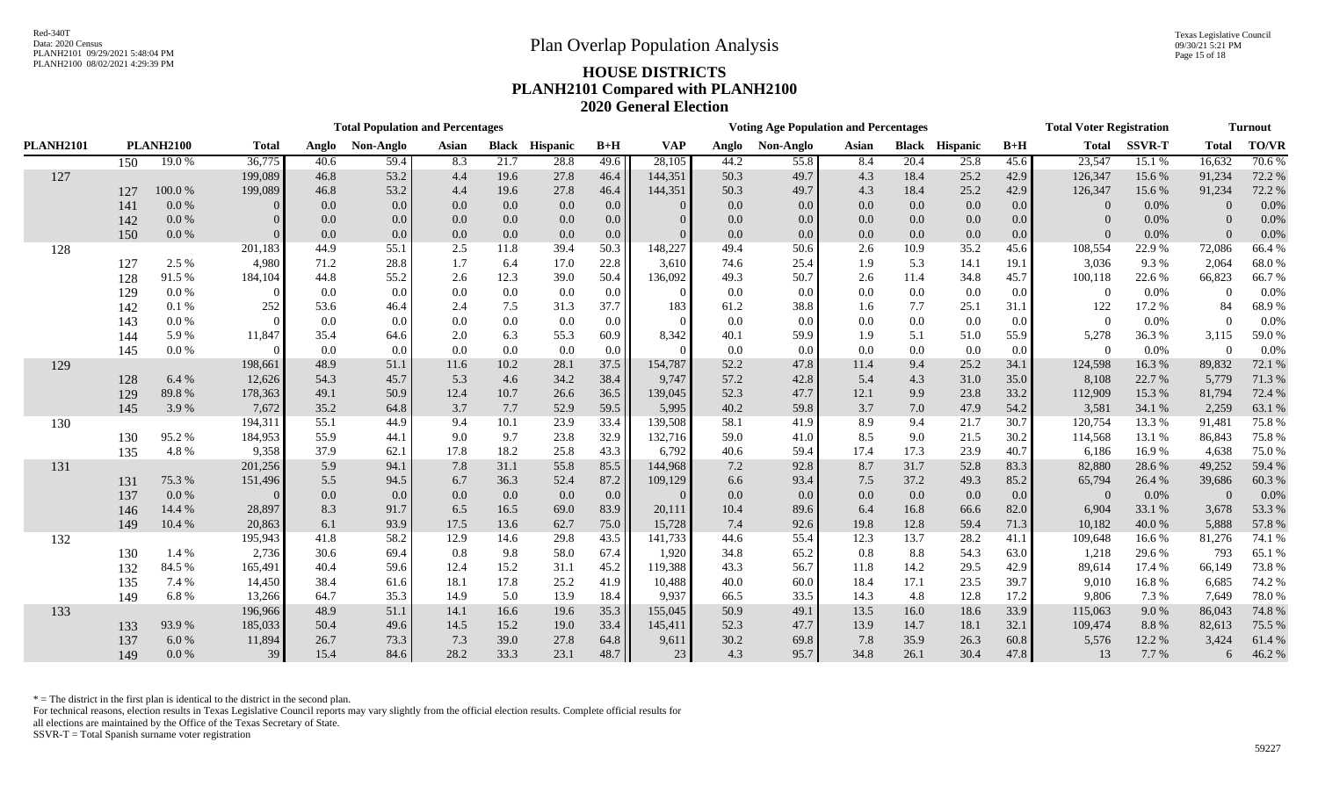Texas Legislative Council 09/30/21 5:21 PM Page 15 of 18

# PLANH2100 08/02/2021 4:29:39 PM **HOUSE DISTRICTS PLANH2101 Compared with PLANH2100 2020 General Election**

|                  | <b>Total Population and Percentages</b> |                  |                    |              |              |             |             |                       |              |                    |              | <b>Voting Age Population and Percentages</b> |             |             | <b>Total Voter Registration</b> | <b>Turnout</b>   |                  |                 |                  |                |
|------------------|-----------------------------------------|------------------|--------------------|--------------|--------------|-------------|-------------|-----------------------|--------------|--------------------|--------------|----------------------------------------------|-------------|-------------|---------------------------------|------------------|------------------|-----------------|------------------|----------------|
| <b>PLANH2101</b> |                                         | <b>PLANH2100</b> | <b>Total</b>       | Anglo        | Non-Anglo    | Asian       |             | <b>Black Hispanic</b> | $B+H$        | <b>VAP</b>         | Anglo        | Non-Anglo                                    | Asian       |             | <b>Black Hispanic</b>           | $B+H$            | <b>Total</b>     | <b>SSVR-T</b>   | <b>Total</b>     | <b>TO/VR</b>   |
|                  | 150                                     | 19.0%            | 36,775             | 40.6         | 59.4         | 8.3         | 21.7        | 28.8                  | 49.6         | 28,105             | 44.2         | 55.8                                         | 8.4         | 20.4        | 25.8                            | 45.6             | 23,547           | 15.1 %          | 16,632           | 70.6%          |
| 127              |                                         |                  | 199,089            | 46.8         | 53.2         | 4.4         | 19.6        | 27.8                  | 46.4         | 144,351            | 50.3         | 49.7                                         | 4.3         | 18.4        | 25.2                            | 42.9             | 126,347          | 15.6 %          | 91,234           | 72.2 %         |
|                  | 127                                     | $100.0~\%$       | 199,089            | 46.8         | 53.2         | 4.4         | 19.6        | 27.8                  | 46.4         | 144,351            | 50.3         | 49.7                                         | 4.3         | 18.4        | 25.2                            | 42.9             | 126,347          | 15.6%           | 91,234           | 72.2 %         |
|                  | 141                                     | 0.0 %            |                    | 0.0          | 0.0          | 0.0         | $0.0\,$     | 0.0                   | 0.0          |                    | 0.0          | 0.0                                          | 0.0         | 0.0         | 0.0                             | 0.0              | $\Omega$         | 0.0%            | $\Omega$         | 0.0%           |
|                  | 142                                     | 0.0 %            |                    | 0.0          | 0.0          | 0.0         | 0.0         | 0.0                   | $0.0\,$      | $\Omega$           | 0.0          | 0.0                                          | 0.0         | 0.0         | 0.0                             | 0.0              | $\Omega$         | 0.0%            | $\Omega$         | 0.0%           |
|                  | 150                                     | 0.0 %            |                    | 0.0          | 0.0          | 0.0         | $0.0\,$     | 0.0                   | 0.0          | $\Omega$           | 0.0          | 0.0                                          | 0.0         | 0.0         | 0.0                             | 0.0 <sub>1</sub> | $\Omega$         | 0.0%            | $\Omega$         | 0.0%           |
| 128              |                                         |                  | 201,183            | 44.9         | 55.1         | 2.5         | 11.8        | 39.4                  | 50.3         | 148,227            | 49.4         | 50.6                                         | 2.6         | 10.9        | 35.2                            | 45.6             | 108,554          | 22.9 %          | 72,086           | 66.4%          |
|                  | 127                                     | 2.5 %            | 4,980              | 71.2         | 28.8         | 1.7         | 6.4         | 17.0                  | 22.8         | 3,610              | 74.6         | 25.4                                         | 1.9         | 5.3         | 14.1                            | 19.1             | 3,036            | 9.3 %           | 2,064            | 68.0%          |
|                  | 128                                     | 91.5%            | 184,104            | 44.8         | 55.2         | 2.6         | 12.3        | 39.0                  | 50.4         | 136,092            | 49.3         | 50.7                                         | 2.6         | 11.4        | 34.8                            | 45.7             | 100,118          | 22.6 %          | 66,823           | 66.7%          |
|                  | 129                                     | 0.0 %            |                    | 0.0          | 0.0          | 0.0         | $0.0\,$     | 0.0                   | 0.0          |                    | 0.0          | 0.0                                          | 0.0         | $0.0\,$     | 0.0                             | $0.0\,$          | $\Omega$         | $0.0\%$         | $\Omega$         | 0.0%           |
|                  | 142                                     | 0.1%             | 252                | 53.6         | 46.4         | 2.4         | 7.5         | 31.3                  | 37.7         | 183                | 61.2         | 38.8                                         | 1.6         | 7.7         | 25.1                            | 31.1             | 122              | 17.2 %          | 84               | 68.9%          |
|                  | 143                                     | 0.0 %            |                    | 0.0          | 0.0          | 0.0         | $0.0\,$     | 0.0                   | 0.0          |                    | 0.0          | 0.0                                          | 0.0         | 0.0         | 0.0                             | $0.0\,$          | $\Omega$         | 0.0%            | $\Omega$         | 0.0%           |
|                  | 144                                     | 5.9%             | 11,847             | 35.4         | 64.6         | 2.0         | 6.3         | 55.3                  | 60.9         | 8,342              | 40.1         | 59.9                                         | 1.9         | 5.1         | 51.0                            | 55.9             | 5,278            | 36.3%           | 3,115            | 59.0%          |
|                  | 145                                     | $0.0\ \%$        |                    | 0.0          | 0.0          | 0.0         | $0.0\,$     | 0.0                   | $0.0\,$      |                    | 0.0          | 0.0                                          | 0.0         | 0.0         | 0.0                             | $0.0\,$          | $\Omega$         | 0.0%            | $\Omega$         | 0.0%           |
| 129              |                                         |                  | 198,661            | 48.9         | 51.1         | 11.6        | 10.2        | 28.1                  | 37.5         | 154,787            | 52.2         | 47.8                                         | 11.4        | 9.4         | 25.2                            | 34.1             | 124,598          | 16.3%           | 89,832           | 72.1 %         |
|                  | 128                                     | 6.4 %            | 12,626             | 54.3         | 45.7         | 5.3         | 4.6         | 34.2                  | 38.4         | 9,747              | 57.2         | 42.8                                         | 5.4         | 4.3         | 31.0                            | 35.0             | 8,108            | 22.7 %          | 5,779            | 71.3%          |
|                  | 129                                     | 89.8%            | 178,363            | 49.1         | 50.9         | 12.4        | 10.7        | 26.6                  | 36.5         | 139,045            | 52.3         | 47.7                                         | 12.1        | 9.9         | 23.8                            | 33.2             | 112,909          | 15.3 %          | 81,794           | 72.4 %         |
|                  | 145                                     | 3.9%             | 7,672              | 35.2         | 64.8         | 3.7         | 7.7         | 52.9                  | 59.5         | 5,995              | 40.2         | 59.8                                         | 3.7         | 7.0         | 47.9                            | 54.2             | 3,581            | 34.1 %          | 2,259            | 63.1 %         |
| 130              |                                         |                  | 194,311            | 55.1         | 44.9         | 9.4         | 10.1        | 23.9                  | 33.4         | 139,508            | 58.1         | 41.9                                         | 8.9         | 9.4         | 21.7                            | 30.7             | 120,754          | 13.3 %          | 91,481           | 75.8%          |
|                  | 130                                     | 95.2%<br>4.8%    | 184,953<br>9,358   | 55.9<br>37.9 | 44.1<br>62.1 | 9.0<br>17.8 | 9.7<br>18.2 | 23.8<br>25.8          | 32.9<br>43.3 | 132,716<br>6,792   | 59.0<br>40.6 | 41.0<br>59.4                                 | 8.5<br>17.4 | 9.0<br>17.3 | 21.5<br>23.9                    | 30.2             | 114,568<br>6,186 | 13.1 %<br>16.9% | 86,843<br>4,638  | 75.8%<br>75.0% |
|                  | 135                                     |                  |                    | 5.9          | 94.1         |             | 31.1        |                       |              |                    | 7.2          | 92.8                                         | 8.7         | 31.7        | 52.8                            | 40.7<br>83.3     |                  | 28.6 %          |                  | 59.4 %         |
| 131              | 131                                     | 75.3 %           | 201,256<br>151,496 | 5.5          | 94.5         | 7.8<br>6.7  | 36.3        | 55.8<br>52.4          | 85.5<br>87.2 | 144,968<br>109,129 | 6.6          | 93.4                                         | 7.5         | 37.2        | 49.3                            | 85.2             | 82,880<br>65,794 | 26.4 %          | 49,252<br>39,686 | 60.3%          |
|                  | 137                                     | 0.0 %            |                    | 0.0          | 0.0          | 0.0         | $0.0\,$     | 0.0                   | $0.0\,$      |                    | 0.0          | 0.0                                          | 0.0         | 0.0         | 0.0                             | $0.0\,$          | $\Omega$         | 0.0%            | $\Omega$         | 0.0%           |
|                  | 146                                     | 14.4 %           | 28,897             | 8.3          | 91.7         | 6.5         | 16.5        | 69.0                  | 83.9         | 20,111             | 10.4         | 89.6                                         | 6.4         | 16.8        | 66.6                            | 82.0             | 6,904            | 33.1 %          | 3,678            | 53.3 %         |
|                  | 149                                     | 10.4 %           | 20,863             | 6.1          | 93.9         | 17.5        | 13.6        | 62.7                  | 75.0         | 15,728             | 7.4          | 92.6                                         | 19.8        | 12.8        | 59.4                            | 71.3             | 10,182           | 40.0%           | 5,888            | 57.8%          |
| 132              |                                         |                  | 195,943            | 41.8         | 58.2         | 12.9        | 14.6        | 29.8                  | 43.5         | 141,733            | 44.6         | 55.4                                         | 12.3        | 13.7        | 28.2                            | 41.1             | 109,648          | 16.6%           | 81,276           | 74.1 %         |
|                  | 130                                     | 1.4 %            | 2,736              | 30.6         | 69.4         | 0.8         | 9.8         | 58.0                  | 67.4         | 1,920              | 34.8         | 65.2                                         | 0.8         | 8.8         | 54.3                            | 63.0             | 1,218            | 29.6 %          | 793              | 65.1%          |
|                  | 132                                     | 84.5 %           | 165,491            | 40.4         | 59.6         | 12.4        | 15.2        | 31.1                  | 45.2         | 119,388            | 43.3         | 56.7                                         | 11.8        | 14.2        | 29.5                            | 42.9             | 89,614           | 17.4 %          | 66,149           | 73.8%          |
|                  | 135                                     | 7.4 %            | 14,450             | 38.4         | 61.6         | 18.1        | 17.8        | 25.2                  | 41.9         | 10,488             | 40.0         | 60.0                                         | 18.4        | 17.1        | 23.5                            | 39.7             | 9,010            | 16.8%           | 6,685            | 74.2 %         |
|                  | 149                                     | 6.8%             | 13,266             | 64.7         | 35.3         | 14.9        | 5.0         | 13.9                  | 18.4         | 9,937              | 66.5         | 33.5                                         | 14.3        | 4.8         | 12.8                            | 17.2             | 9,806            | 7.3 %           | 7,649            | 78.0%          |
| 133              |                                         |                  | 196,966            | 48.9         | 51.1         | 14.1        | 16.6        | 19.6                  | 35.3         | 155,045            | 50.9         | 49.1                                         | 13.5        | 16.0        | 18.6                            | 33.9             | 115,063          | 9.0%            | 86,043           | 74.8%          |
|                  | 133                                     | 93.9%            | 185,033            | 50.4         | 49.6         | 14.5        | 15.2        | 19.0                  | 33.4         | 145,411            | 52.3         | 47.7                                         | 13.9        | 14.7        | 18.1                            | 32.1             | 109,474          | 8.8%            | 82,613           | 75.5 %         |
|                  | 137                                     | 6.0%             | 11,894             | 26.7         | 73.3         | 7.3         | 39.0        | 27.8                  | 64.8         | 9,611              | 30.2         | 69.8                                         | 7.8         | 35.9        | 26.3                            | 60.8             | 5,576            | 12.2 %          | 3,424            | 61.4%          |
|                  | 149                                     | 0.0 %            | 39                 | 15.4         | 84.6         | 28.2        | 33.3        | 23.1                  | $48.7$       | 23                 | 4.3          | 95.7                                         | 34.8        | 26.1        | 30.4                            | 47.8             | 13               | 7.7 %           | 6                | 46.2%          |

 $*$  = The district in the first plan is identical to the district in the second plan.

For technical reasons, election results in Texas Legislative Council reports may vary slightly from the official election results. Complete official results for

all elections are maintained by the Office of the Texas Secretary of State.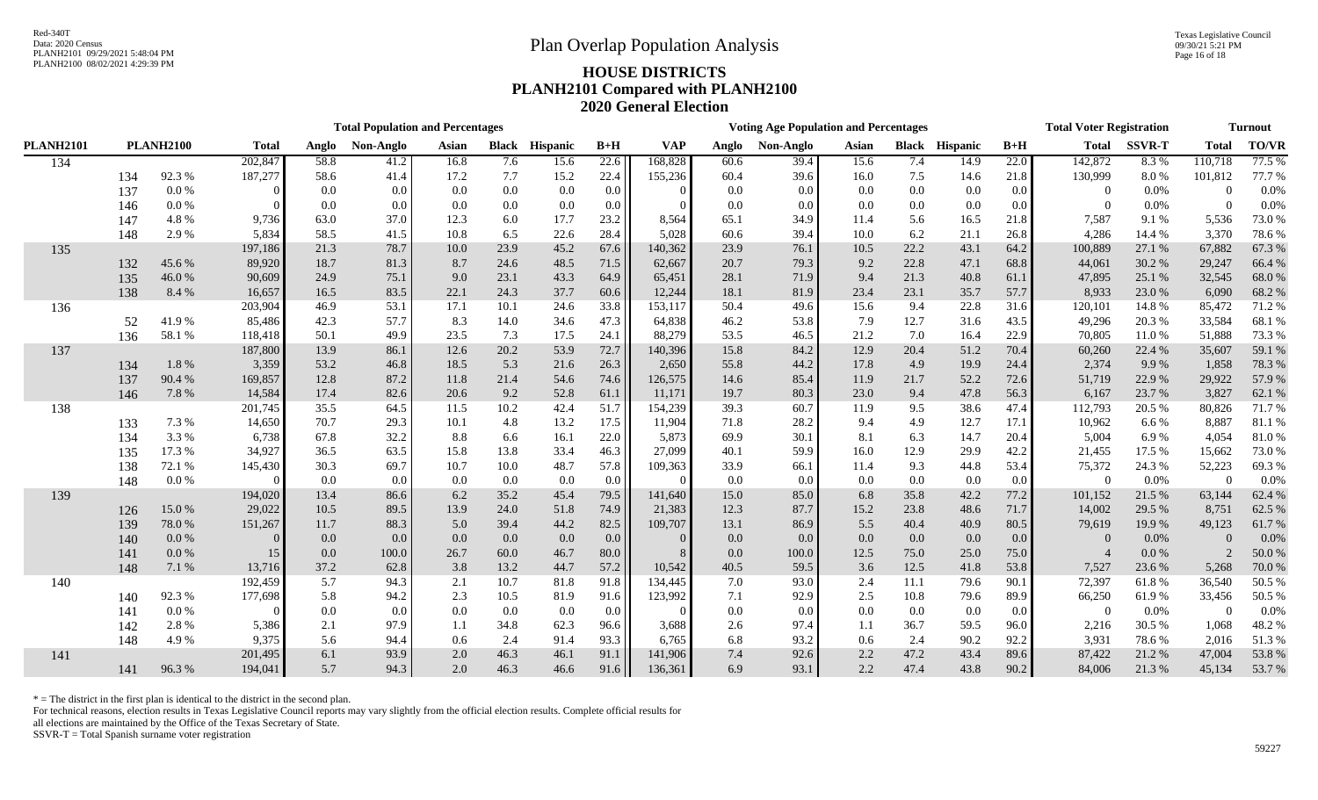|                  |     | <b>Total Population and Percentages</b> |              |       |           |       |              |          |                   | <b>Voting Age Population and Percentages</b> |       |           |       |      |                       |       | <b>Total Voter Registration</b> | <b>Turnout</b> |                |              |
|------------------|-----|-----------------------------------------|--------------|-------|-----------|-------|--------------|----------|-------------------|----------------------------------------------|-------|-----------|-------|------|-----------------------|-------|---------------------------------|----------------|----------------|--------------|
| <b>PLANH2101</b> |     | <b>PLANH2100</b>                        | <b>Total</b> | Anglo | Non-Anglo | Asian | <b>Black</b> | Hispanic | $B+H$             | <b>VAP</b>                                   | Anglo | Non-Anglo | Asian |      | <b>Black Hispanic</b> | $B+H$ | <b>Total</b>                    | <b>SSVR-T</b>  | <b>Total</b>   | <b>TO/VR</b> |
| 134              |     |                                         | 202,847      | 58.8  | 41.2      | 16.8  | 7.6          | 15.6     | $\overline{22.6}$ | 168,828                                      | 60.6  | 39.4      | 15.6  | 7.4  | 14.9                  | 22.0  | 142,872                         | 8.3%           | 110,718        | 77.5 %       |
|                  | 134 | 92.3%                                   | 187,277      | 58.6  | 41.4      | 17.2  | 7.7          | 15.2     | 22.4              | 155,236                                      | 60.4  | 39.6      | 16.0  | 7.5  | 14.6                  | 21.8  | 130,999                         | 8.0%           | 101,812        | 77.7 %       |
|                  | 137 | 0.0 %                                   |              | 0.0   | 0.0       | 0.0   | 0.0          | 0.0      | 0.0               |                                              | 0.0   | 0.0       | 0.0   | 0.0  | 0.0                   | 0.0   | $\theta$                        | $0.0\%$        | $\Omega$       | 0.0%         |
|                  | 146 | 0.0 %                                   |              | 0.0   | 0.0       | 0.0   | 0.0          | 0.0      | 0.0               |                                              | 0.0   | 0.0       | 0.0   | 0.0  | 0.0                   | 0.0   | $\overline{0}$                  | 0.0%           | $\Omega$       | 0.0%         |
|                  | 147 | 4.8%                                    | 9,736        | 63.0  | 37.0      | 12.3  | 6.0          | 17.7     | 23.2              | 8,564                                        | 65.1  | 34.9      | 11.4  | 5.6  | 16.5                  | 21.8  | 7,587                           | 9.1 %          | 5,536          | 73.0%        |
|                  | 148 | 2.9%                                    | 5,834        | 58.5  | 41.5      | 10.8  | 6.5          | 22.6     | 28.4              | 5,028                                        | 60.6  | 39.4      | 10.0  | 6.2  | 21.1                  | 26.8  | 4,286                           | 14.4 %         | 3,370          | 78.6%        |
| 135              |     |                                         | 197,186      | 21.3  | 78.7      | 10.0  | 23.9         | 45.2     | 67.6              | 140,362                                      | 23.9  | 76.1      | 10.5  | 22.2 | 43.1                  | 64.2  | 100,889                         | 27.1 %         | 67,882         | 67.3%        |
|                  | 132 | 45.6%                                   | 89,920       | 18.7  | 81.3      | 8.7   | 24.6         | 48.5     | 71.5              | 62,667                                       | 20.7  | 79.3      | 9.2   | 22.8 | 47.1                  | 68.8  | 44,061                          | 30.2 %         | 29,247         | 66.4 %       |
|                  | 135 | 46.0%                                   | 90,609       | 24.9  | 75.1      | 9.0   | 23.1         | 43.3     | 64.9              | 65,451                                       | 28.1  | 71.9      | 9.4   | 21.3 | 40.8                  | 61.1  | 47,895                          | 25.1 %         | 32,545         | 68.0%        |
|                  | 138 | 8.4 %                                   | 16,657       | 16.5  | 83.5      | 22.1  | 24.3         | 37.7     | 60.6              | 12,244                                       | 18.1  | 81.9      | 23.4  | 23.1 | 35.7                  | 57.7  | 8,933                           | 23.0%          | 6,090          | 68.2%        |
| 136              |     |                                         | 203,904      | 46.9  | 53.1      | 17.1  | 10.1         | 24.6     | 33.8              | 153,117                                      | 50.4  | 49.6      | 15.6  | 9.4  | 22.8                  | 31.6  | 120,101                         | 14.8%          | 85,472         | 71.2%        |
|                  | 52  | 41.9%                                   | 85,486       | 42.3  | 57.7      | 8.3   | 14.0         | 34.6     | 47.3              | 64,838                                       | 46.2  | 53.8      | 7.9   | 12.7 | 31.6                  | 43.5  | 49,296                          | 20.3%          | 33,584         | 68.1 %       |
|                  | 136 | 58.1 %                                  | 118,418      | 50.1  | 49.9      | 23.5  | 7.3          | 17.5     | 24.1              | 88,279                                       | 53.5  | 46.5      | 21.2  | 7.0  | 16.4                  | 22.9  | 70,805                          | 11.0%          | 51,888         | 73.3 %       |
| 137              |     |                                         | 187,800      | 13.9  | 86.1      | 12.6  | 20.2         | 53.9     | 72.7              | 140,396                                      | 15.8  | 84.2      | 12.9  | 20.4 | 51.2                  | 70.4  | 60,260                          | 22.4 %         | 35,607         | 59.1 %       |
|                  | 134 | 1.8%                                    | 3,359        | 53.2  | 46.8      | 18.5  | 5.3          | 21.6     | 26.3              | 2,650                                        | 55.8  | 44.2      | 17.8  | 4.9  | 19.9                  | 24.4  | 2,374                           | 9.9%           | 1,858          | 78.3%        |
|                  | 137 | 90.4%                                   | 169,857      | 12.8  | 87.2      | 11.8  | 21.4         | 54.6     | 74.6              | 126,575                                      | 14.6  | 85.4      | 11.9  | 21.7 | 52.2                  | 72.6  | 51,719                          | 22.9%          | 29,922         | 57.9%        |
|                  | 146 | 7.8 %                                   | 14,584       | 17.4  | 82.6      | 20.6  | 9.2          | 52.8     | 61.1              | 11,171                                       | 19.7  | 80.3      | 23.0  | 9.4  | 47.8                  | 56.3  | 6,167                           | 23.7 %         | 3,827          | 62.1 %       |
| 138              |     |                                         | 201,745      | 35.5  | 64.5      | 11.5  | 10.2         | 42.4     | 51.7              | 154,239                                      | 39.3  | 60.7      | 11.9  | 9.5  | 38.6                  | 47.4  | 112,793                         | 20.5 %         | 80,826         | 71.7%        |
|                  | 133 | 7.3 %                                   | 14,650       | 70.7  | 29.3      | 10.1  | 4.8          | 13.2     | 17.5              | 11,904                                       | 71.8  | 28.2      | 9.4   | 4.9  | 12.7                  | 17.1  | 10,962                          | 6.6 %          | 8,887          | 81.1%        |
|                  | 134 | 3.3 %                                   | 6,738        | 67.8  | 32.2      | 8.8   | 6.6          | 16.1     | 22.0              | 5,873                                        | 69.9  | 30.1      | 8.1   | 6.3  | 14.7                  | 20.4  | 5,004                           | 6.9%           | 4,054          | 81.0%        |
|                  | 135 | 17.3 %                                  | 34,927       | 36.5  | 63.5      | 15.8  | 13.8         | 33.4     | 46.3              | 27,099                                       | 40.1  | 59.9      | 16.0  | 12.9 | 29.9                  | 42.2  | 21,455                          | 17.5 %         | 15,662         | 73.0%        |
|                  | 138 | 72.1 %                                  | 145,430      | 30.3  | 69.7      | 10.7  | 10.0         | 48.7     | 57.8              | 109,363                                      | 33.9  | 66.1      | 11.4  | 9.3  | 44.8                  | 53.4  | 75,372                          | 24.3 %         | 52,223         | 69.3%        |
|                  | 148 | 0.0 %                                   |              | 0.0   | 0.0       | 0.0   | 0.0          | $0.0\,$  | 0.0               |                                              | 0.0   | 0.0       | 0.0   | 0.0  | 0.0                   | 0.0   | $\Omega$                        | 0.0%           | $\Omega$       | 0.0%         |
| 139              |     |                                         | 194,020      | 13.4  | 86.6      | 6.2   | 35.2         | 45.4     | 79.5              | 141,640                                      | 15.0  | 85.0      | 6.8   | 35.8 | 42.2                  | 77.2  | 101,152                         | 21.5 %         | 63,144         | 62.4 %       |
|                  | 126 | 15.0%                                   | 29,022       | 10.5  | 89.5      | 13.9  | 24.0         | 51.8     | 74.9              | 21,383                                       | 12.3  | 87.7      | 15.2  | 23.8 | 48.6                  | 71.7  | 14,002                          | 29.5 %         | 8,751          | 62.5 %       |
|                  | 139 | 78.0%                                   | 151,267      | 11.7  | 88.3      | 5.0   | 39.4         | 44.2     | 82.5              | 109,707                                      | 13.1  | 86.9      | 5.5   | 40.4 | 40.9                  | 80.5  | 79,619                          | 19.9%          | 49,123         | 61.7 %       |
|                  | 140 | 0.0 %                                   |              | 0.0   | 0.0       | 0.0   | 0.0          | 0.0      | 0.0               | $\vert 0 \vert$                              | 0.0   | 0.0       | 0.0   | 0.0  | 0.0                   | 0.0   | $\Omega$                        | 0.0%           |                | 0.0%         |
|                  | 141 | 0.0 %                                   | 15           | 0.0   | 100.0     | 26.7  | 60.0         | 46.7     | 80.0              |                                              | 0.0   | 100.0     | 12.5  | 75.0 | 25.0                  | 75.0  |                                 | 0.0 %          | $\mathcal{D}$  | 50.0 %       |
|                  | 148 | 7.1 %                                   | 13,716       | 37.2  | 62.8      | 3.8   | 13.2         | 44.7     | 57.2              | 10,542                                       | 40.5  | 59.5      | 3.6   | 12.5 | 41.8                  | 53.8  | 7,527                           | 23.6%          | 5,268          | 70.0 %       |
| 140              |     |                                         | 192,459      | 5.7   | 94.3      | 2.1   | 10.7         | 81.8     | 91.8              | 134,445                                      | 7.0   | 93.0      | 2.4   | 11.1 | 79.6                  | 90.1  | 72,397                          | 61.8%          | 36,540         | 50.5 %       |
|                  | 140 | 92.3%                                   | 177,698      | 5.8   | 94.2      | 2.3   | 10.5         | 81.9     | 91.6              | 123,992                                      | 7.1   | 92.9      | 2.5   | 10.8 | 79.6                  | 89.9  | 66,250                          | 61.9%          | 33,456         | 50.5 %       |
|                  | 141 | $0.0\ \%$                               |              | 0.0   | 0.0       | 0.0   | 0.0          | 0.0      | $0.0\,$           |                                              | 0.0   | 0.0       | 0.0   | 0.0  | 0.0                   | 0.0   | $\overline{0}$                  | 0.0%           | $\overline{0}$ | 0.0%         |
|                  | 142 | 2.8%                                    | 5,386        | 2.1   | 97.9      | 1.1   | 34.8         | 62.3     | 96.6              | 3,688                                        | 2.6   | 97.4      | 1.1   | 36.7 | 59.5                  | 96.0  | 2,216                           | 30.5 %         | 1,068          | 48.2%        |
|                  | 148 | 4.9%                                    | 9,375        | 5.6   | 94.4      | 0.6   | 2.4          | 91.4     | 93.3              | 6.765                                        | 6.8   | 93.2      | 0.6   | 2.4  | 90.2                  | 92.2  | 3,931                           | 78.6%          | 2,016          | 51.3%        |
| 141              |     |                                         | 201,495      | 6.1   | 93.9      | 2.0   | 46.3         | 46.1     | 91.1              | 141,906                                      | 7.4   | 92.6      | 2.2   | 47.2 | 43.4                  | 89.6  | 87,422                          | 21.2%          | 47,004         | 53.8%        |
|                  | 141 | 96.3%                                   | 194,041      | 5.7   | 94.3      | 2.0   | 46.3         | 46.6     | 91.6              | 136,361                                      | 6.9   | 93.1      | 2.2   | 47.4 | 43.8                  | 90.2  | 84,006                          | 21.3%          | 45,134         | 53.7%        |

 $*$  = The district in the first plan is identical to the district in the second plan.

For technical reasons, election results in Texas Legislative Council reports may vary slightly from the official election results. Complete official results for

all elections are maintained by the Office of the Texas Secretary of State.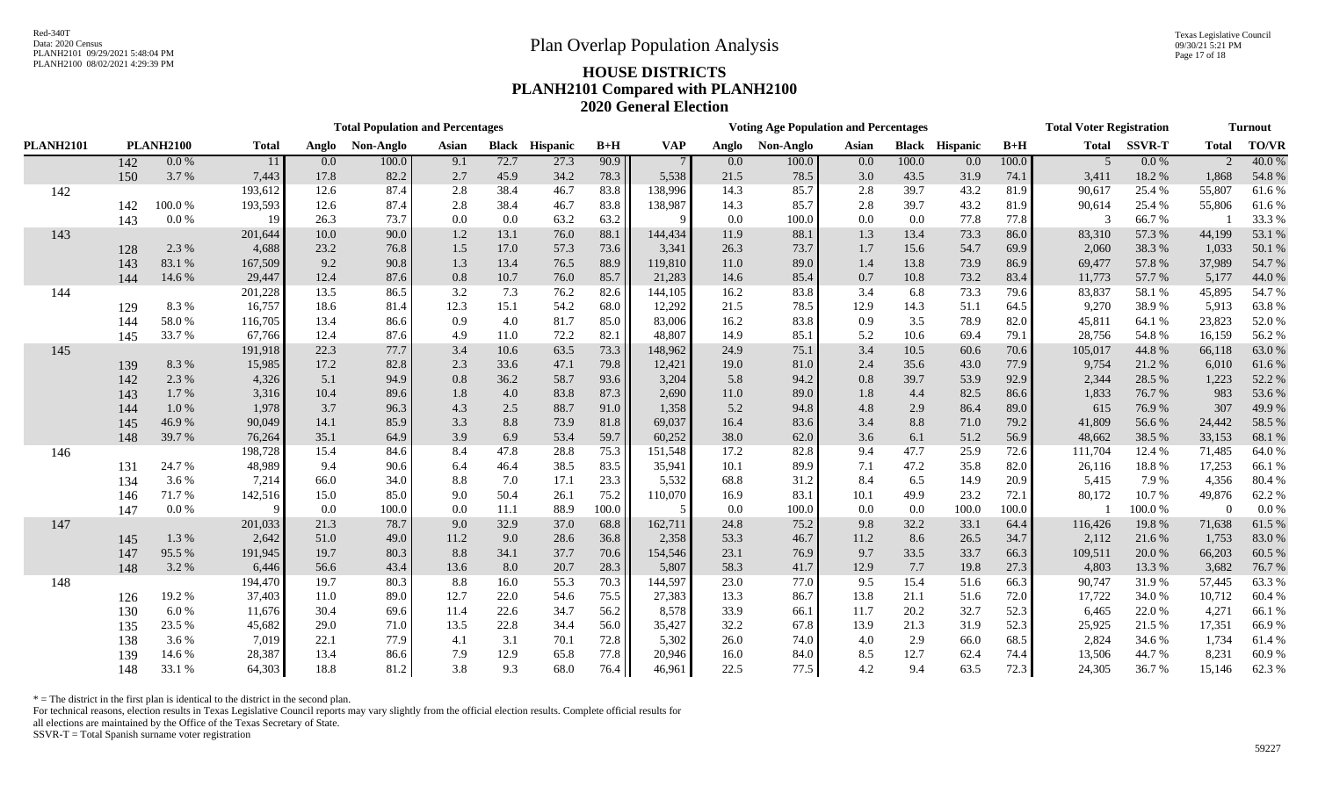Texas Legislative Council 09/30/21 5:21 PM Page 17 of 18

# PLANH2100 08/02/2021 4:29:39 PM **HOUSE DISTRICTS PLANH2101 Compared with PLANH2100 2020 General Election**

|                  | <b>Total Population and Percentages</b> |                  |              |       |           |       |              |          |       |            |         | <b>Voting Age Population and Percentages</b> |         |         |                       | <b>Total Voter Registration</b> | <b>Turnout</b> |               |               |        |
|------------------|-----------------------------------------|------------------|--------------|-------|-----------|-------|--------------|----------|-------|------------|---------|----------------------------------------------|---------|---------|-----------------------|---------------------------------|----------------|---------------|---------------|--------|
| <b>PLANH2101</b> |                                         | <b>PLANH2100</b> | <b>Total</b> | Anglo | Non-Anglo | Asian | <b>Black</b> | Hispanic | $B+H$ | <b>VAP</b> | Anglo   | Non-Anglo                                    | Asian   |         | <b>Black Hispanic</b> | $B+H$                           | <b>Total</b>   | <b>SSVR-T</b> | <b>Total</b>  | TO/VR  |
|                  | 142                                     | 0.0 %            | 11           | 0.0   | 100.0     | 9.1   | 72.7         | 27.3     | 90.9  |            | $0.0\,$ | 100.0                                        | $0.0\,$ | 100.0   | 0.0                   | 100.0                           | $\overline{5}$ | 0.0 %         | $\mathcal{D}$ | 40.0%  |
|                  | 150                                     | 3.7%             | 7,443        | 17.8  | 82.2      | 2.7   | 45.9         | 34.2     | 78.3  | 5,538      | 21.5    | 78.5                                         | 3.0     | 43.5    | 31.9                  | 74.1                            | 3,411          | 18.2%         | 1,868         | 54.8%  |
| 142              |                                         |                  | 193,612      | 12.6  | 87.4      | 2.8   | 38.4         | 46.7     | 83.8  | 138,996    | 14.3    | 85.7                                         | 2.8     | 39.7    | 43.2                  | 81.9                            | 90,617         | 25.4 %        | 55,807        | 61.6%  |
|                  | 142                                     | $100.0~\%$       | 193,593      | 12.6  | 87.4      | 2.8   | 38.4         | 46.7     | 83.8  | 138,987    | 14.3    | 85.7                                         | 2.8     | 39.7    | 43.2                  | 81.9                            | 90,614         | 25.4 %        | 55,806        | 61.6%  |
|                  | 143                                     | $0.0\ \%$        | 19           | 26.3  | 73.7      | 0.0   | 0.0          | 63.2     | 63.2  |            | 0.0     | 100.0                                        | $0.0\,$ | 0.0     | 77.8                  | 77.8                            | $\mathcal{R}$  | 66.7%         |               | 33.3 % |
| 143              |                                         |                  | 201,644      | 10.0  | 90.0      | 1.2   | 13.1         | 76.0     | 88.1  | 144,434    | 11.9    | 88.1                                         | 1.3     | 13.4    | 73.3                  | 86.0                            | 83,310         | 57.3 %        | 44,199        | 53.1 % |
|                  | 128                                     | 2.3 %            | 4,688        | 23.2  | 76.8      | 1.5   | 17.0         | 57.3     | 73.6  | 3,341      | 26.3    | 73.7                                         | 1.7     | 15.6    | 54.7                  | 69.9                            | 2,060          | 38.3 %        | 1,033         | 50.1 % |
|                  | 143                                     | 83.1 %           | 167,509      | 9.2   | 90.8      | 1.3   | 13.4         | 76.5     | 88.9  | 119,810    | 11.0    | 89.0                                         | 1.4     | 13.8    | 73.9                  | 86.9                            | 69,477         | 57.8%         | 37,989        | 54.7 % |
|                  | 144                                     | 14.6 %           | 29,447       | 12.4  | 87.6      | 0.8   | 10.7         | $76.0\,$ | 85.7  | 21,283     | 14.6    | 85.4                                         | 0.7     | 10.8    | 73.2                  | 83.4                            | 11,773         | 57.7 %        | 5,177         | 44.0 % |
| 144              |                                         |                  | 201,228      | 13.5  | 86.5      | 3.2   | 7.3          | 76.2     | 82.6  | 144,105    | 16.2    | 83.8                                         | 3.4     | 6.8     | 73.3                  | 79.6                            | 83,837         | 58.1%         | 45,895        | 54.7 % |
|                  | 129                                     | 8.3%             | 16,757       | 18.6  | 81.4      | 12.3  | 15.1         | 54.2     | 68.0  | 12,292     | 21.5    | 78.5                                         | 12.9    | 14.3    | 51.1                  | 64.5                            | 9,270          | 38.9%         | 5,913         | 63.8%  |
|                  | 144                                     | 58.0%            | 116,705      | 13.4  | 86.6      | 0.9   | 4.0          | 81.7     | 85.0  | 83,006     | 16.2    | 83.8                                         | 0.9     | 3.5     | 78.9                  | 82.0                            | 45,811         | 64.1 %        | 23,823        | 52.0%  |
|                  | 145                                     | 33.7%            | 67,766       | 12.4  | 87.6      | 4.9   | 11.0         | 72.2     | 82.1  | 48,807     | 14.9    | 85.1                                         | 5.2     | 10.6    | 69.4                  | 79.1                            | 28,756         | 54.8%         | 16,159        | 56.2 % |
| 145              |                                         |                  | 191,918      | 22.3  | 77.7      | 3.4   | 10.6         | 63.5     | 73.3  | 148,962    | 24.9    | 75.1                                         | 3.4     | 10.5    | 60.6                  | 70.6                            | 105,017        | 44.8%         | 66,118        | 63.0%  |
|                  | 139                                     | 8.3%             | 15,985       | 17.2  | 82.8      | 2.3   | 33.6         | 47.1     | 79.8  | 12,421     | 19.0    | 81.0                                         | 2.4     | 35.6    | 43.0                  | 77.9                            | 9,754          | 21.2%         | 6,010         | 61.6%  |
|                  | 142                                     | 2.3 %            | 4,326        | 5.1   | 94.9      | 0.8   | 36.2         | 58.7     | 93.6  | 3,204      | 5.8     | 94.2                                         | 0.8     | 39.7    | 53.9                  | 92.9                            | 2,344          | 28.5 %        | 1,223         | 52.2 % |
|                  | 143                                     | 1.7 %            | 3,316        | 10.4  | 89.6      | 1.8   | 4.0          | 83.8     | 87.3  | 2,690      | 11.0    | 89.0                                         | 1.8     | 4.4     | 82.5                  | 86.6                            | 1,833          | 76.7%         | 983           | 53.6%  |
|                  | 144                                     | 1.0%             | 1,978        | 3.7   | 96.3      | 4.3   | 2.5          | 88.7     | 91.0  | 1,358      | 5.2     | 94.8                                         | 4.8     | 2.9     | 86.4                  | 89.0                            | 615            | 76.9%         | 307           | 49.9%  |
|                  | 145                                     | 46.9%            | 90,049       | 14.1  | 85.9      | 3.3   | 8.8          | 73.9     | 81.8  | 69,037     | 16.4    | 83.6                                         | 3.4     | $8.8\,$ | 71.0                  | 79.2                            | 41,809         | 56.6%         | 24,442        | 58.5 % |
|                  | 148                                     | 39.7%            | 76,264       | 35.1  | 64.9      | 3.9   | 6.9          | 53.4     | 59.7  | 60,252     | 38.0    | 62.0                                         | 3.6     | 6.1     | 51.2                  | 56.9                            | 48,662         | 38.5 %        | 33,153        | 68.1 % |
| 146              |                                         |                  | 198,728      | 15.4  | 84.6      | 8.4   | 47.8         | 28.8     | 75.3  | 151,548    | 17.2    | 82.8                                         | 9.4     | 47.7    | 25.9                  | 72.6                            | 111,704        | 12.4 %        | 71,485        | 64.0%  |
|                  | 131                                     | 24.7%            | 48,989       | 9.4   | 90.6      | 6.4   | 46.4         | 38.5     | 83.5  | 35,941     | 10.1    | 89.9                                         | 7.1     | 47.2    | 35.8                  | 82.0                            | 26,116         | 18.8%         | 17,253        | 66.1%  |
|                  | 134                                     | 3.6 %            | 7,214        | 66.0  | 34.0      | 8.8   | 7.0          | 17.1     | 23.3  | 5,532      | 68.8    | 31.2                                         | 8.4     | 6.5     | 14.9                  | 20.9                            | 5,415          | 7.9%          | 4,356         | 80.4%  |
|                  | 146                                     | 71.7%            | 142,516      | 15.0  | 85.0      | 9.0   | 50.4         | 26.1     | 75.2  | 110,070    | 16.9    | 83.1                                         | 10.1    | 49.9    | 23.2                  | 72.1                            | 80,172         | 10.7%         | 49,876        | 62.2 % |
|                  | 147                                     | 0.0 %            |              | 0.0   | 100.0     | 0.0   | 11.1         | 88.9     | 100.0 |            | 0.0     | 100.0                                        | 0.0     | $0.0\,$ | 100.0                 | 100.0                           |                | 100.0%        | $\Omega$      | 0.0 %  |
| 147              |                                         |                  | 201,033      | 21.3  | 78.7      | 9.0   | 32.9         | 37.0     | 68.8  | 162,711    | 24.8    | 75.2                                         | 9.8     | 32.2    | 33.1                  | 64.4                            | 116,426        | 19.8%         | 71,638        | 61.5 % |
|                  | 145                                     | 1.3%             | 2,642        | 51.0  | 49.0      | 11.2  | 9.0          | 28.6     | 36.8  | 2,358      | 53.3    | 46.7                                         | 11.2    | 8.6     | 26.5                  | 34.7                            | 2,112          | 21.6%         | 1,753         | 83.0%  |
|                  | 147                                     | 95.5%            | 191,945      | 19.7  | 80.3      | 8.8   | 34.1         | 37.7     | 70.6  | 154,546    | 23.1    | 76.9                                         | 9.7     | 33.5    | 33.7                  | 66.3                            | 109,511        | 20.0%         | 66,203        | 60.5 % |
|                  | 148                                     | 3.2%             | 6,446        | 56.6  | 43.4      | 13.6  | 8.0          | 20.7     | 28.3  | 5,807      | 58.3    | 41.7                                         | 12.9    | 7.7     | 19.8                  | 27.3                            | 4,803          | 13.3 %        | 3,682         | 76.7 % |
| 148              |                                         |                  | 194,470      | 19.7  | 80.3      | 8.8   | 16.0         | 55.3     | 70.3  | 144,597    | 23.0    | 77.0                                         | 9.5     | 15.4    | 51.6                  | 66.3                            | 90,747         | 31.9%         | 57,445        | 63.3%  |
|                  | 126                                     | 19.2%            | 37,403       | 11.0  | 89.0      | 12.7  | 22.0         | 54.6     | 75.5  | 27,383     | 13.3    | 86.7                                         | 13.8    | 21.1    | 51.6                  | 72.0                            | 17,722         | 34.0%         | 10,712        | 60.4%  |
|                  | 130                                     | 6.0%             | 11,676       | 30.4  | 69.6      | 11.4  | 22.6         | 34.7     | 56.2  | 8,578      | 33.9    | 66.1                                         | 11.7    | 20.2    | 32.7                  | 52.3                            | 6,465          | 22.0%         | 4,271         | 66.1%  |
|                  | 135                                     | 23.5 %           | 45,682       | 29.0  | 71.0      | 13.5  | 22.8         | 34.4     | 56.0  | 35,427     | 32.2    | 67.8                                         | 13.9    | 21.3    | 31.9                  | 52.3                            | 25,925         | 21.5%         | 17,351        | 66.9%  |
|                  | 138                                     | 3.6 %            | 7,019        | 22.1  | 77.9      | 4.1   | 3.1          | 70.1     | 72.8  | 5,302      | 26.0    | 74.0                                         | 4.0     | 2.9     | 66.0                  | 68.5                            | 2,824          | 34.6 %        | 1,734         | 61.4%  |
|                  | 139                                     | 14.6 %           | 28,387       | 13.4  | 86.6      | 7.9   | 12.9         | 65.8     | 77.8  | 20,946     | 16.0    | 84.0                                         | 8.5     | 12.7    | 62.4                  | 74.4                            | 13,506         | 44.7%         | 8,231         | 60.9%  |
|                  | 148                                     | 33.1 %           | 64,303       | 18.8  | 81.2      | 3.8   | 9.3          | 68.0     | 76.4  | 46,961     | 22.5    | 77.5                                         | 4.2     | 9.4     | 63.5                  | 72.3                            | 24,305         | 36.7%         | 15,146        | 62.3%  |

 $*$  = The district in the first plan is identical to the district in the second plan.

For technical reasons, election results in Texas Legislative Council reports may vary slightly from the official election results. Complete official results for

all elections are maintained by the Office of the Texas Secretary of State.